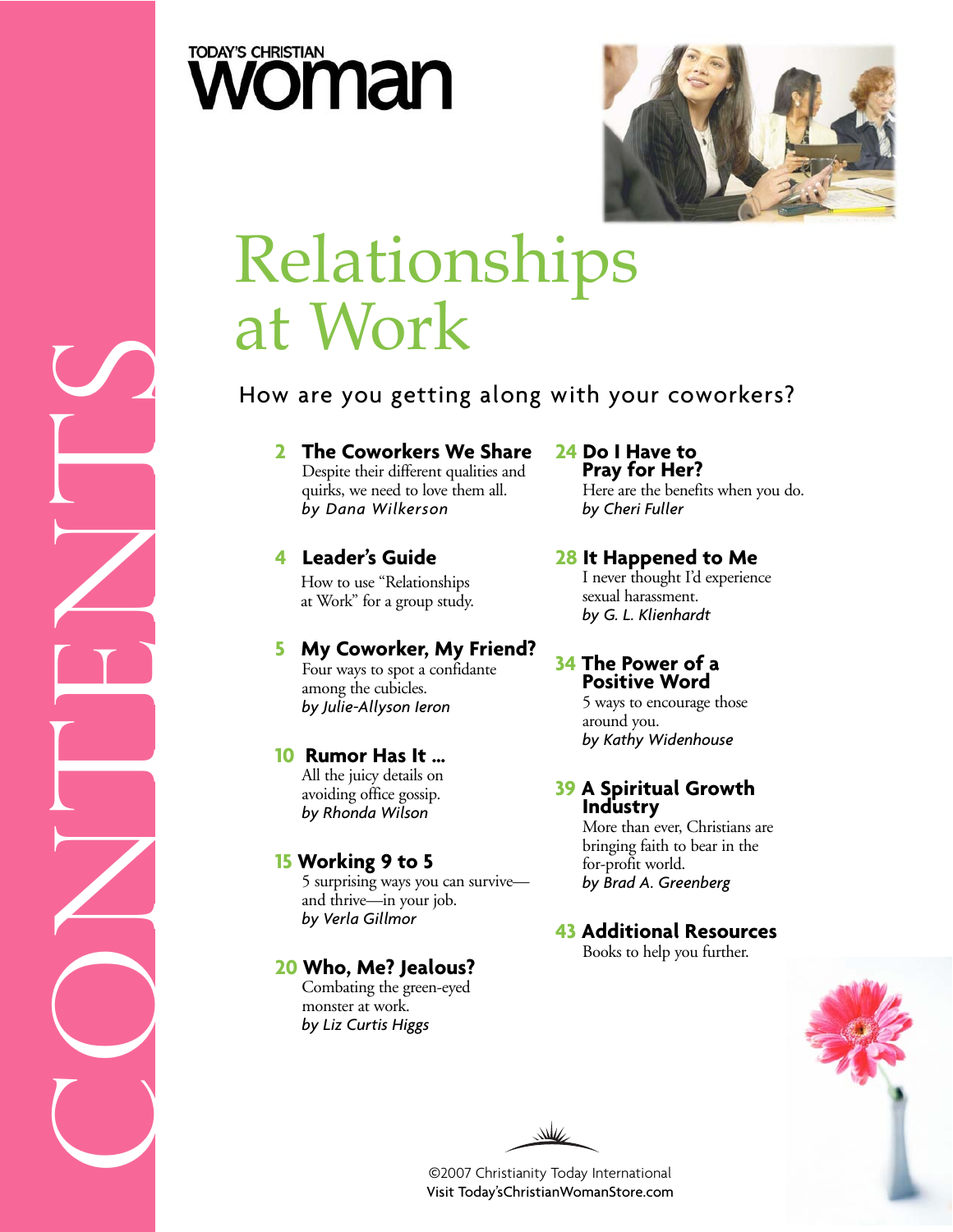



# Relationships at Work

### How are you getting along with your coworkers?

**2 The Coworkers We Share** Despite their different qualities and quirks, we need to love them all. *by Dana Wilkerson*

### **4 Leader's Guide**

How to use "Relationships at Work" for a group study.

### **5 My Coworker, My Friend?**

Four ways to spot a confidante among the cubicles. *by Julie-Allyson Ieron*

#### **10 Rumor Has It …**

All the juicy details on avoiding office gossip. *by Rhonda Wilson*

#### **15 Working 9 to 5**

5 surprising ways you can survive and thrive—in your job. *by Verla Gillmor* 

### **20 Who, Me? Jealous?**  Combating the green-eyed

monster at work. *by Liz Curtis Higgs* **24 Do I Have to Pray for Her?** 

Here are the benefits when you do. *by Cheri Fuller*

### **28 It Happened to Me**

I never thought I'd experience sexual harassment. *by G. L. Klienhardt*

#### **34 The Power of a Positive Word**

5 ways to encourage those around you. *by Kathy Widenhouse*

#### **39 A Spiritual Growth Industry**

More than ever, Christians are bringing faith to bear in the for-profit world. *by Brad A. Greenberg*

### **43 Additional Resources**

Books to help you further.



₩

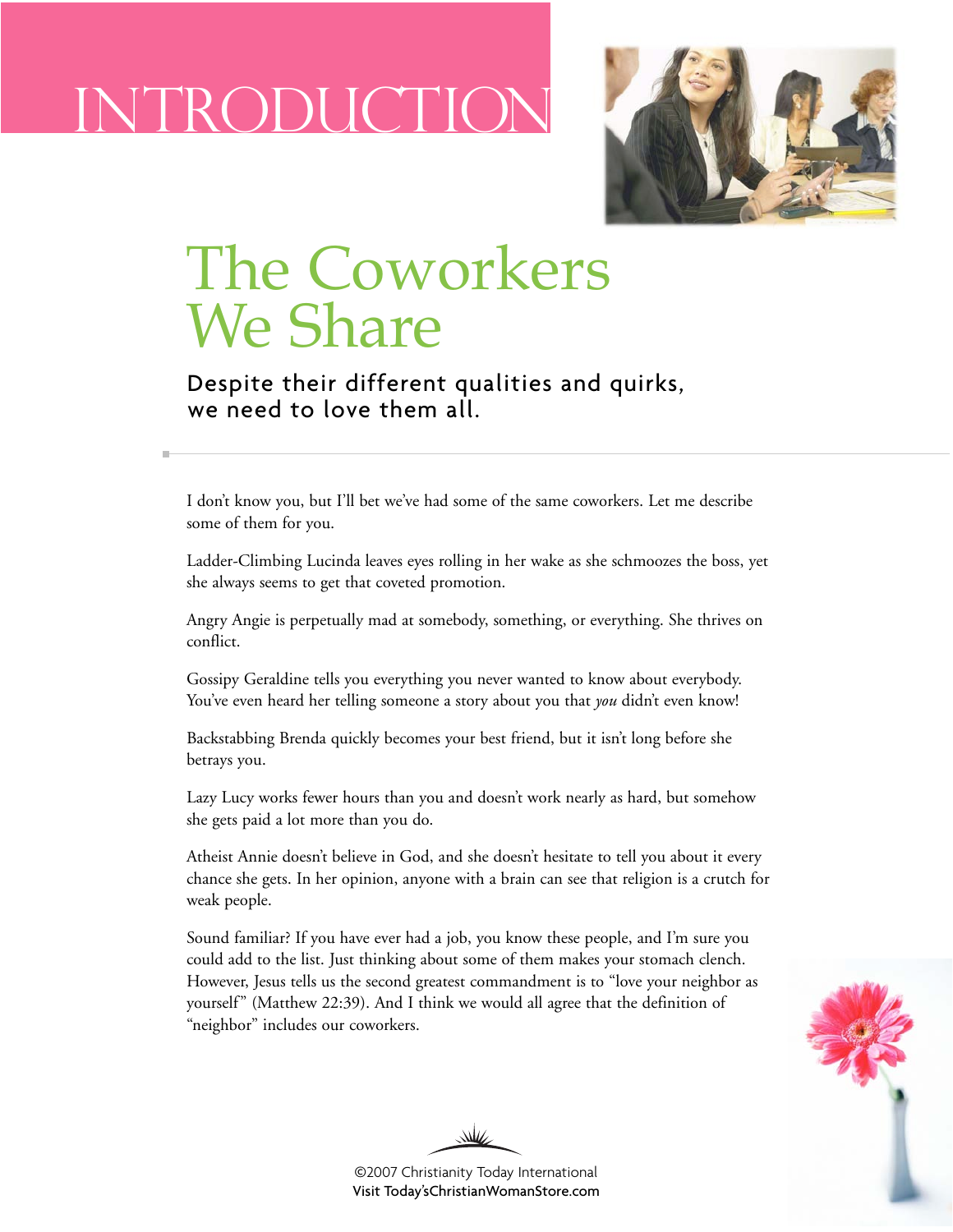### INTRODUCTION



### The Coworkers We Share

### Despite their different qualities and quirks, we need to love them all.

I don't know you, but I'll bet we've had some of the same coworkers. Let me describe some of them for you.

Ladder-Climbing Lucinda leaves eyes rolling in her wake as she schmoozes the boss, yet she always seems to get that coveted promotion.

Angry Angie is perpetually mad at somebody, something, or everything. She thrives on conflict.

Gossipy Geraldine tells you everything you never wanted to know about everybody. You've even heard her telling someone a story about you that *you* didn't even know!

Backstabbing Brenda quickly becomes your best friend, but it isn't long before she betrays you.

Lazy Lucy works fewer hours than you and doesn't work nearly as hard, but somehow she gets paid a lot more than you do.

Atheist Annie doesn't believe in God, and she doesn't hesitate to tell you about it every chance she gets. In her opinion, anyone with a brain can see that religion is a crutch for weak people.

Sound familiar? If you have ever had a job, you know these people, and I'm sure you could add to the list. Just thinking about some of them makes your stomach clench. However, Jesus tells us the second greatest commandment is to "love your neighbor as yourself" (Matthew 22:39). And I think we would all agree that the definition of "neighbor" includes our coworkers.



©2007 Christianity Today International [Visit Today'sChristianWomanStore.com](http://todayschristianwomanstore.com)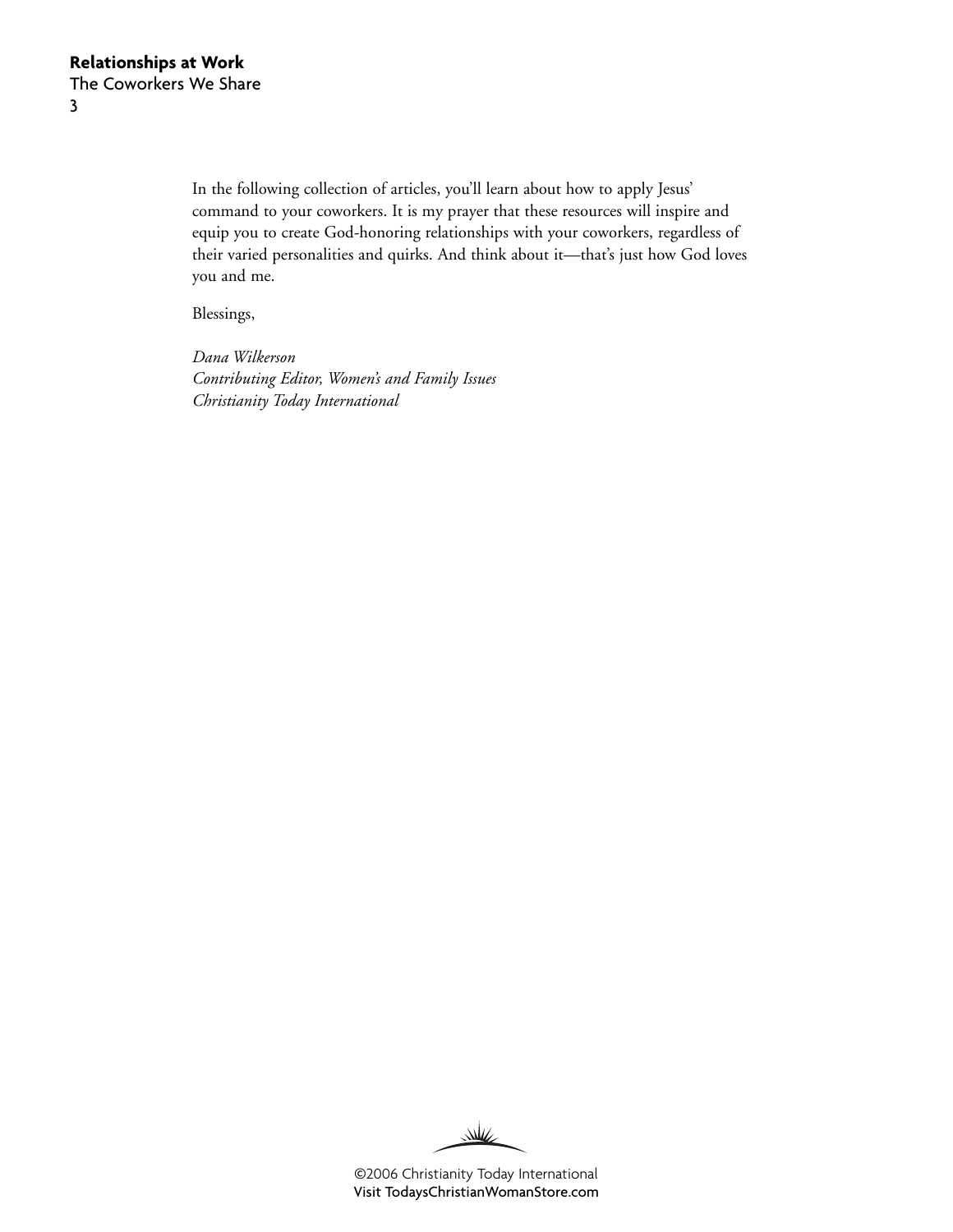In the following collection of articles, you'll learn about how to apply Jesus' command to your coworkers. It is my prayer that these resources will inspire and equip you to create God-honoring relationships with your coworkers, regardless of their varied personalities and quirks. And think about it—that's just how God loves you and me.

Blessings,

*Dana Wilkerson Contributing Editor, Women's and Family Issues Christianity Today International*

 $\underline{\mathcal{W}}$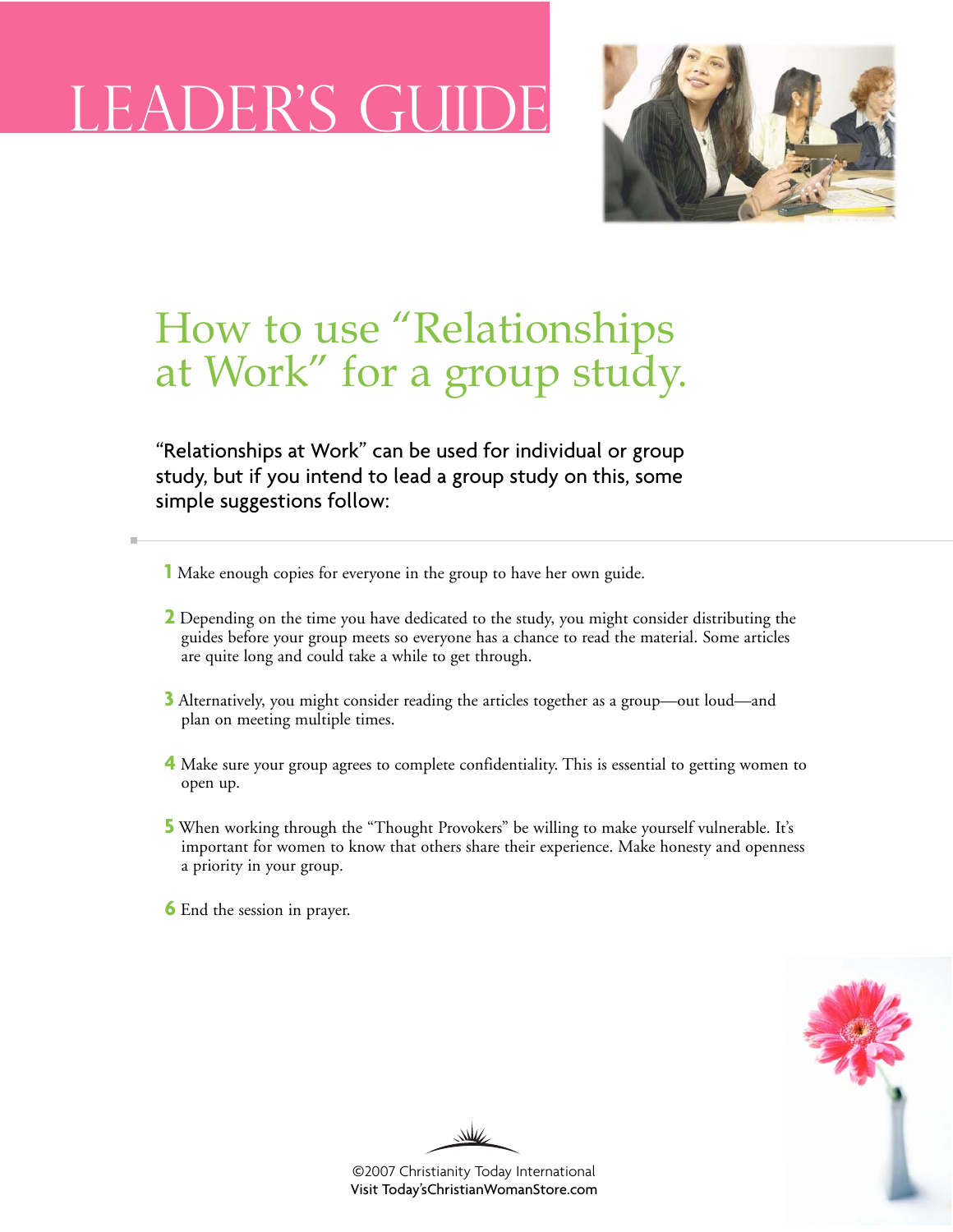### LEE



### How to use "Relationships at Work" for a group study.

"Relationships at Work" can be used for individual or group study, but if you intend to lead a group study on this, some simple suggestions follow:

- **1** Make enough copies for everyone in the group to have her own guide.
- **2** Depending on the time you have dedicated to the study, you might consider distributing the guides before your group meets so everyone has a chance to read the material. Some articles are quite long and could take a while to get through.
- **3** Alternatively, you might consider reading the articles together as a group—out loud—and plan on meeting multiple times.
- **4** Make sure your group agrees to complete confidentiality. This is essential to getting women to open up.
- **5** When working through the "Thought Provokers" be willing to make yourself vulnerable. It's important for women to know that others share their experience. Make honesty and openness a priority in your group.
- **6** End the session in prayer.



₩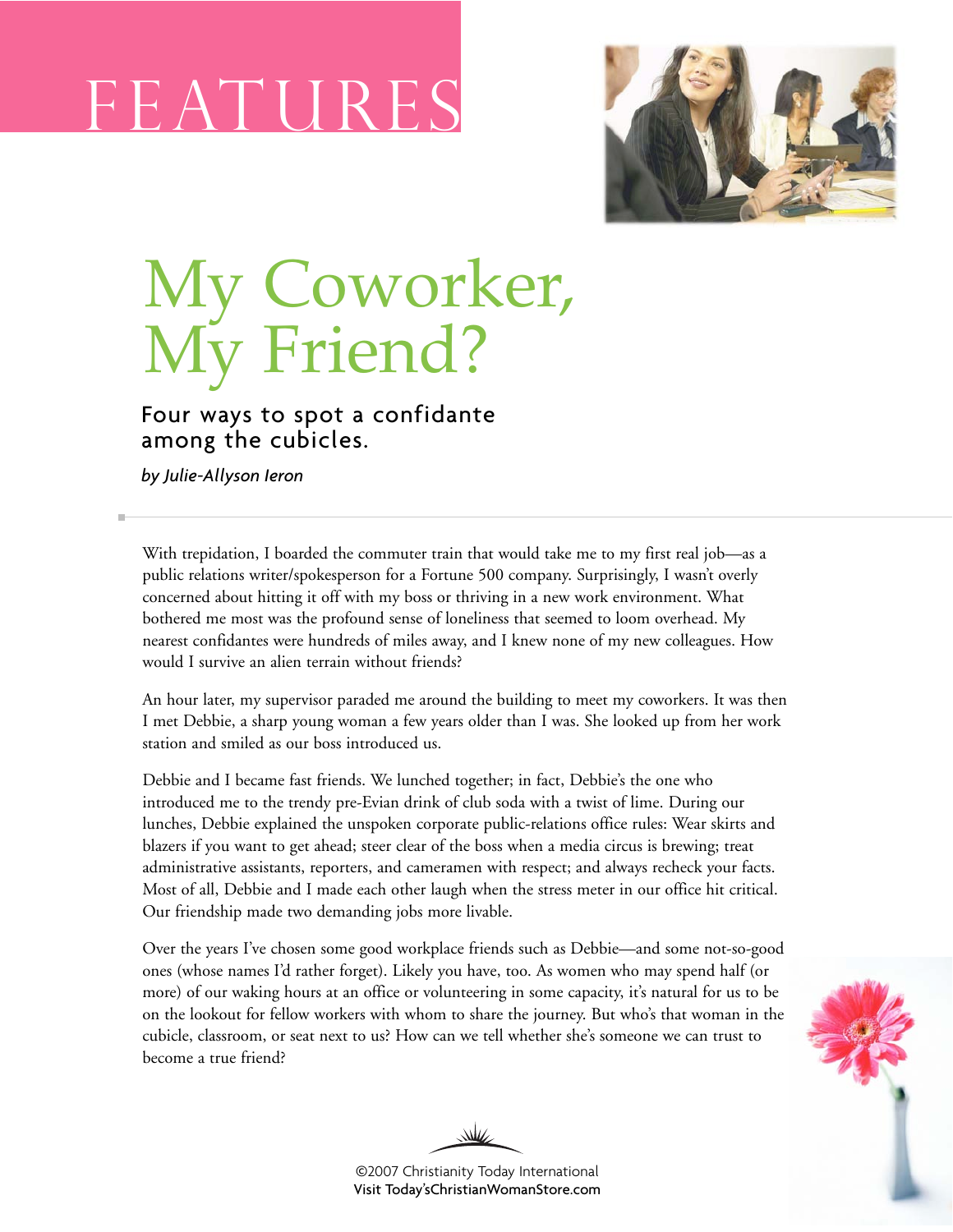# F EAT U RE S



# My Coworker, My Friend?

### Four ways to spot a confidante among the cubicles.

*by Julie-Allyson Ieron*

With trepidation, I boarded the commuter train that would take me to my first real job—as a public relations writer/spokesperson for a Fortune 500 company. Surprisingly, I wasn't overly concerned about hitting it off with my boss or thriving in a new work environment. What bothered me most was the profound sense of loneliness that seemed to loom overhead. My nearest confidantes were hundreds of miles away, and I knew none of my new colleagues. How would I survive an alien terrain without friends?

An hour later, my supervisor paraded me around the building to meet my coworkers. It was then I met Debbie, a sharp young woman a few years older than I was. She looked up from her work station and smiled as our boss introduced us.

Debbie and I became fast friends. We lunched together; in fact, Debbie's the one who introduced me to the trendy pre-Evian drink of club soda with a twist of lime. During our lunches, Debbie explained the unspoken corporate public-relations office rules: Wear skirts and blazers if you want to get ahead; steer clear of the boss when a media circus is brewing; treat administrative assistants, reporters, and cameramen with respect; and always recheck your facts. Most of all, Debbie and I made each other laugh when the stress meter in our office hit critical. Our friendship made two demanding jobs more livable.

Over the years I've chosen some good workplace friends such as Debbie—and some not-so-good ones (whose names I'd rather forget). Likely you have, too. As women who may spend half (or more) of our waking hours at an office or volunteering in some capacity, it's natural for us to be on the lookout for fellow workers with whom to share the journey. But who's that woman in the cubicle, classroom, or seat next to us? How can we tell whether she's someone we can trust to become a true friend?



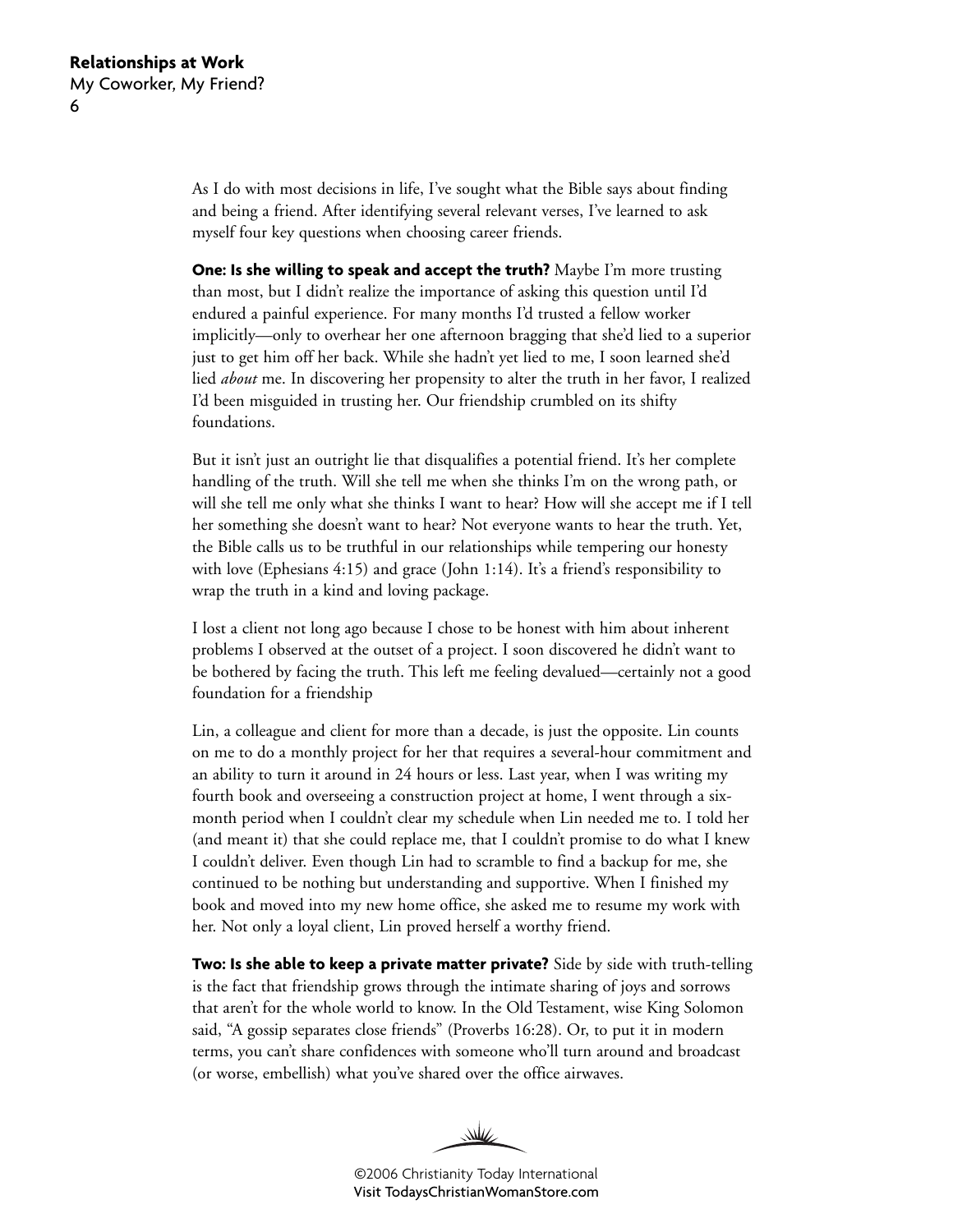As I do with most decisions in life, I've sought what the Bible says about finding and being a friend. After identifying several relevant verses, I've learned to ask myself four key questions when choosing career friends.

**One: Is she willing to speak and accept the truth?** Maybe I'm more trusting than most, but I didn't realize the importance of asking this question until I'd endured a painful experience. For many months I'd trusted a fellow worker implicitly—only to overhear her one afternoon bragging that she'd lied to a superior just to get him off her back. While she hadn't yet lied to me, I soon learned she'd lied *about* me. In discovering her propensity to alter the truth in her favor, I realized I'd been misguided in trusting her. Our friendship crumbled on its shifty foundations.

But it isn't just an outright lie that disqualifies a potential friend. It's her complete handling of the truth. Will she tell me when she thinks I'm on the wrong path, or will she tell me only what she thinks I want to hear? How will she accept me if I tell her something she doesn't want to hear? Not everyone wants to hear the truth. Yet, the Bible calls us to be truthful in our relationships while tempering our honesty with love (Ephesians 4:15) and grace (John 1:14). It's a friend's responsibility to wrap the truth in a kind and loving package.

I lost a client not long ago because I chose to be honest with him about inherent problems I observed at the outset of a project. I soon discovered he didn't want to be bothered by facing the truth. This left me feeling devalued—certainly not a good foundation for a friendship

Lin, a colleague and client for more than a decade, is just the opposite. Lin counts on me to do a monthly project for her that requires a several-hour commitment and an ability to turn it around in 24 hours or less. Last year, when I was writing my fourth book and overseeing a construction project at home, I went through a sixmonth period when I couldn't clear my schedule when Lin needed me to. I told her (and meant it) that she could replace me, that I couldn't promise to do what I knew I couldn't deliver. Even though Lin had to scramble to find a backup for me, she continued to be nothing but understanding and supportive. When I finished my book and moved into my new home office, she asked me to resume my work with her. Not only a loyal client, Lin proved herself a worthy friend.

**Two: Is she able to keep a private matter private?** Side by side with truth-telling is the fact that friendship grows through the intimate sharing of joys and sorrows that aren't for the whole world to know. In the Old Testament, wise King Solomon said, "A gossip separates close friends" (Proverbs 16:28). Or, to put it in modern terms, you can't share confidences with someone who'll turn around and broadcast (or worse, embellish) what you've shared over the office airwaves.

WW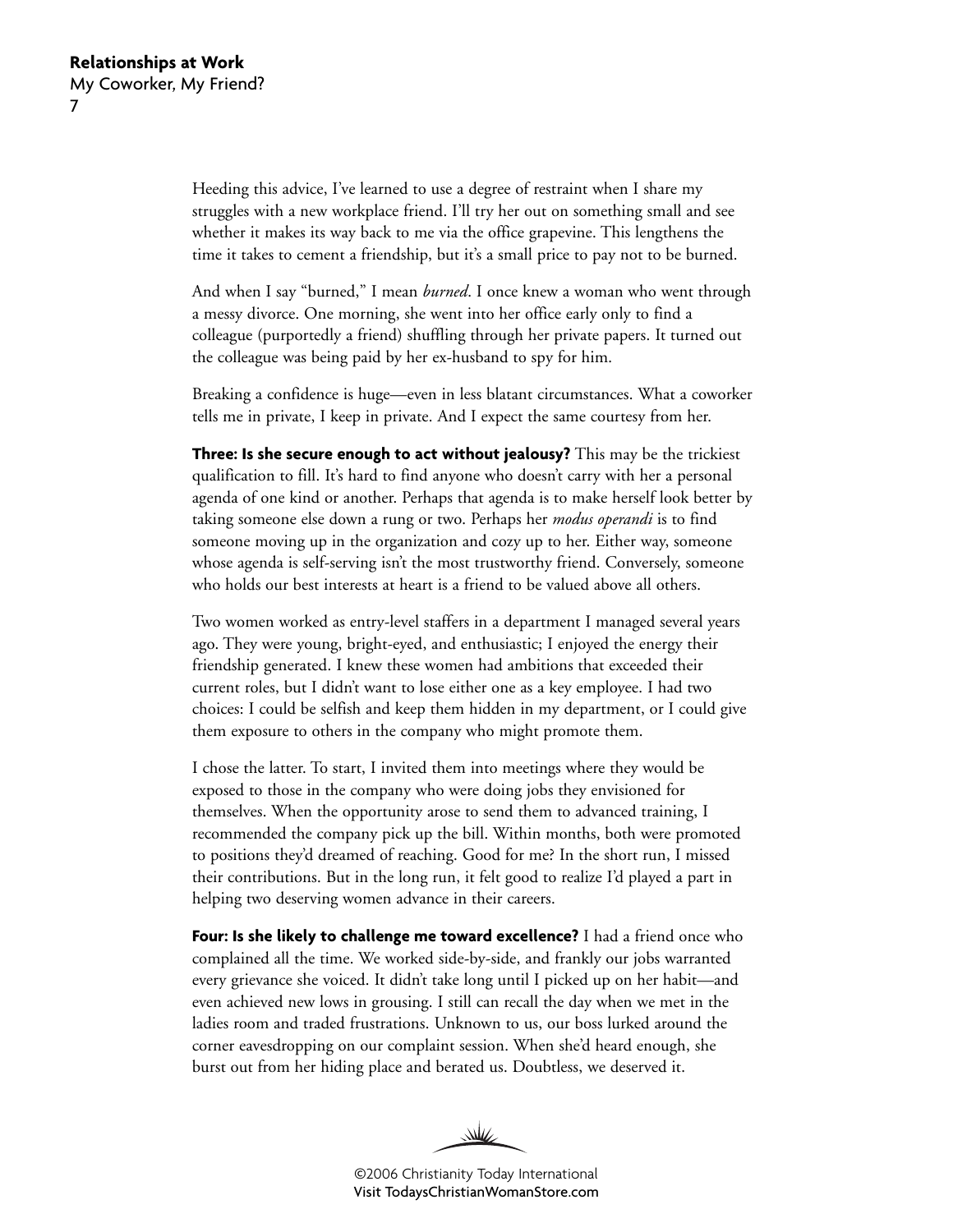Heeding this advice, I've learned to use a degree of restraint when I share my struggles with a new workplace friend. I'll try her out on something small and see whether it makes its way back to me via the office grapevine. This lengthens the time it takes to cement a friendship, but it's a small price to pay not to be burned.

And when I say "burned," I mean *burned*. I once knew a woman who went through a messy divorce. One morning, she went into her office early only to find a colleague (purportedly a friend) shuffling through her private papers. It turned out the colleague was being paid by her ex-husband to spy for him.

Breaking a confidence is huge—even in less blatant circumstances. What a coworker tells me in private, I keep in private. And I expect the same courtesy from her.

**Three: Is she secure enough to act without jealousy?** This may be the trickiest qualification to fill. It's hard to find anyone who doesn't carry with her a personal agenda of one kind or another. Perhaps that agenda is to make herself look better by taking someone else down a rung or two. Perhaps her *modus operandi* is to find someone moving up in the organization and cozy up to her. Either way, someone whose agenda is self-serving isn't the most trustworthy friend. Conversely, someone who holds our best interests at heart is a friend to be valued above all others.

Two women worked as entry-level staffers in a department I managed several years ago. They were young, bright-eyed, and enthusiastic; I enjoyed the energy their friendship generated. I knew these women had ambitions that exceeded their current roles, but I didn't want to lose either one as a key employee. I had two choices: I could be selfish and keep them hidden in my department, or I could give them exposure to others in the company who might promote them.

I chose the latter. To start, I invited them into meetings where they would be exposed to those in the company who were doing jobs they envisioned for themselves. When the opportunity arose to send them to advanced training, I recommended the company pick up the bill. Within months, both were promoted to positions they'd dreamed of reaching. Good for me? In the short run, I missed their contributions. But in the long run, it felt good to realize I'd played a part in helping two deserving women advance in their careers.

**Four: Is she likely to challenge me toward excellence?** I had a friend once who complained all the time. We worked side-by-side, and frankly our jobs warranted every grievance she voiced. It didn't take long until I picked up on her habit—and even achieved new lows in grousing. I still can recall the day when we met in the ladies room and traded frustrations. Unknown to us, our boss lurked around the corner eavesdropping on our complaint session. When she'd heard enough, she burst out from her hiding place and berated us. Doubtless, we deserved it.

W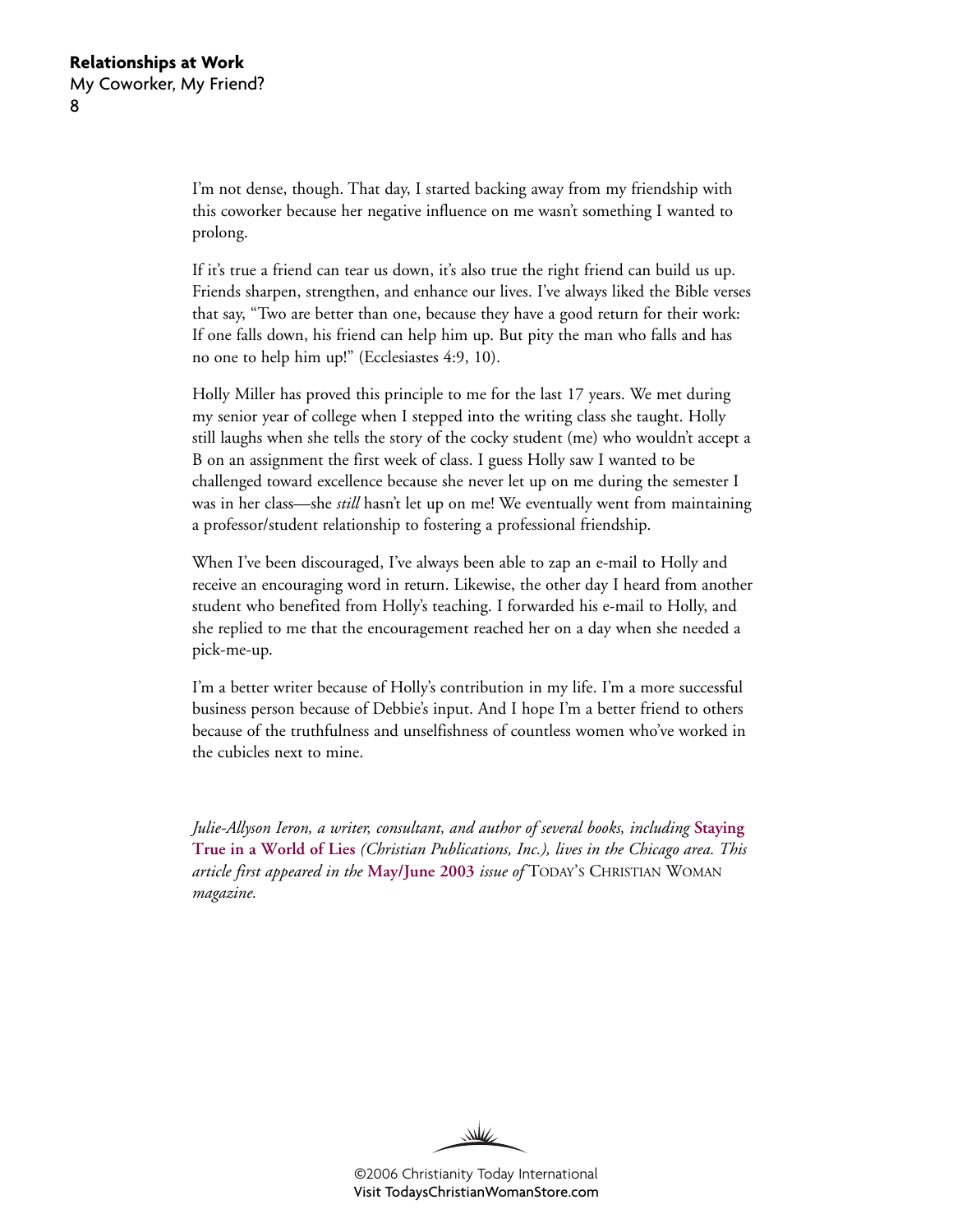I'm not dense, though. That day, I started backing away from my friendship with this coworker because her negative influence on me wasn't something I wanted to prolong.

If it's true a friend can tear us down, it's also true the right friend can build us up. Friends sharpen, strengthen, and enhance our lives. I've always liked the Bible verses that say, "Two are better than one, because they have a good return for their work: If one falls down, his friend can help him up. But pity the man who falls and has no one to help him up!" (Ecclesiastes 4:9, 10).

Holly Miller has proved this principle to me for the last 17 years. We met during my senior year of college when I stepped into the writing class she taught. Holly still laughs when she tells the story of the cocky student (me) who wouldn't accept a B on an assignment the first week of class. I guess Holly saw I wanted to be challenged toward excellence because she never let up on me during the semester I was in her class—she *still* hasn't let up on me! We eventually went from maintaining a professor/student relationship to fostering a professional friendship.

When I've been discouraged, I've always been able to zap an e-mail to Holly and receive an encouraging word in return. Likewise, the other day I heard from another student who benefited from Holly's teaching. I forwarded his e-mail to Holly, and she replied to me that the encouragement reached her on a day when she needed a pick-me-up.

I'm a better writer because of Holly's contribution in my life. I'm a more successful business person because of Debbie's input. And I hope I'm a better friend to others because of the truthfulness and unselfishness of countless women who've worked in the cubicles next to mine.

*Julie-Allyson Ieron, a writer, consultant, and author of several books, including* **[Staying](http://www.christianbook.com/Christian/Books/product?item_no=52058&netp_id=279887&event=ESRCN&item_code=WW) [True in a World of Lies](http://www.christianbook.com/Christian/Books/product?item_no=52058&netp_id=279887&event=ESRCN&item_code=WW)** *(Christian Publications, Inc.), lives in the Chicago area. This article first appeared in the* **[May/June 2003](http://www.christianitytoday.com/tcw/2003/mayjun/5.52.html)** *issue of* TODAY'S CHRISTIAN WOMAN *magazine.*

₩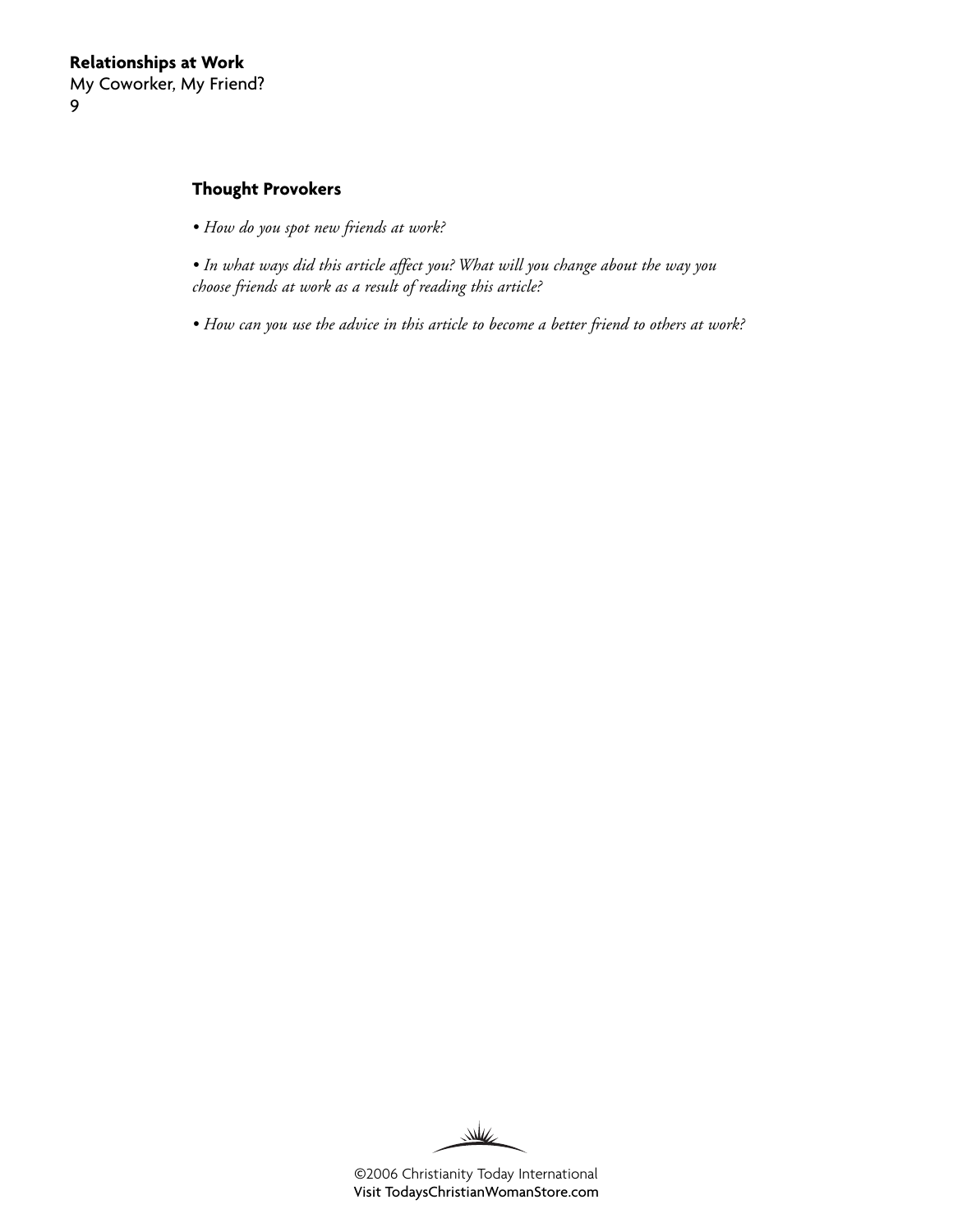#### **Thought Provokers**

- *How do you spot new friends at work?*
- *In what ways did this article affect you? What will you change about the way you choose friends at work as a result of reading this article?*
- *How can you use the advice in this article to become a better friend to others at work?*

W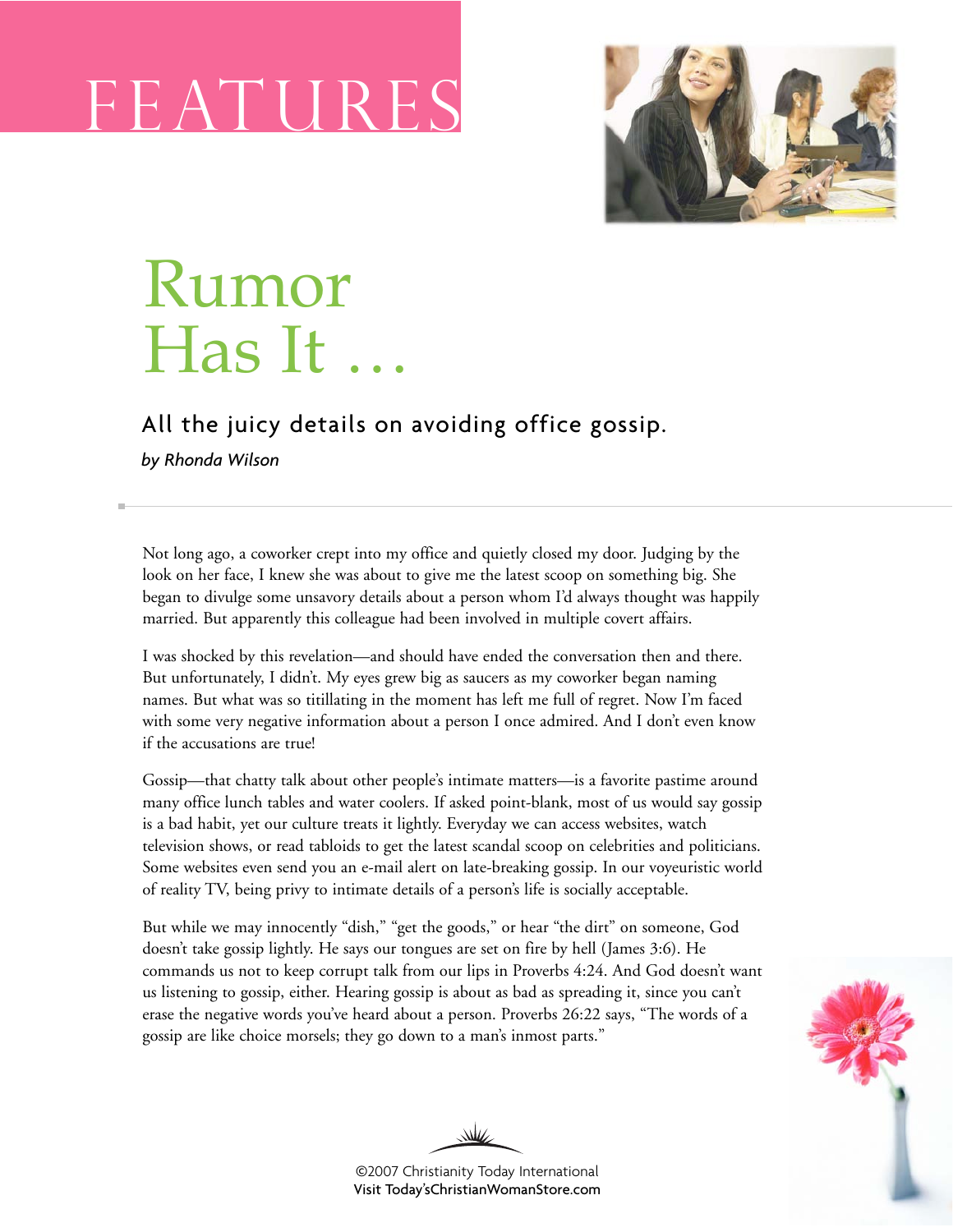# FEATURE



# Rumor Has It …

### All the juicy details on avoiding office gossip.

*by Rhonda Wilson*

Not long ago, a coworker crept into my office and quietly closed my door. Judging by the look on her face, I knew she was about to give me the latest scoop on something big. She began to divulge some unsavory details about a person whom I'd always thought was happily married. But apparently this colleague had been involved in multiple covert affairs.

I was shocked by this revelation—and should have ended the conversation then and there. But unfortunately, I didn't. My eyes grew big as saucers as my coworker began naming names. But what was so titillating in the moment has left me full of regret. Now I'm faced with some very negative information about a person I once admired. And I don't even know if the accusations are true!

Gossip—that chatty talk about other people's intimate matters—is a favorite pastime around many office lunch tables and water coolers. If asked point-blank, most of us would say gossip is a bad habit, yet our culture treats it lightly. Everyday we can access websites, watch television shows, or read tabloids to get the latest scandal scoop on celebrities and politicians. Some websites even send you an e-mail alert on late-breaking gossip. In our voyeuristic world of reality TV, being privy to intimate details of a person's life is socially acceptable.

But while we may innocently "dish," "get the goods," or hear "the dirt" on someone, God doesn't take gossip lightly. He says our tongues are set on fire by hell (James 3:6). He commands us not to keep corrupt talk from our lips in Proverbs 4:24. And God doesn't want us listening to gossip, either. Hearing gossip is about as bad as spreading it, since you can't erase the negative words you've heard about a person. Proverbs 26:22 says, "The words of a gossip are like choice morsels; they go down to a man's inmost parts."



©2007 Christianity Today International [Visit Today'sChristianWomanStore.com](http://todayschristianwomanstore.com)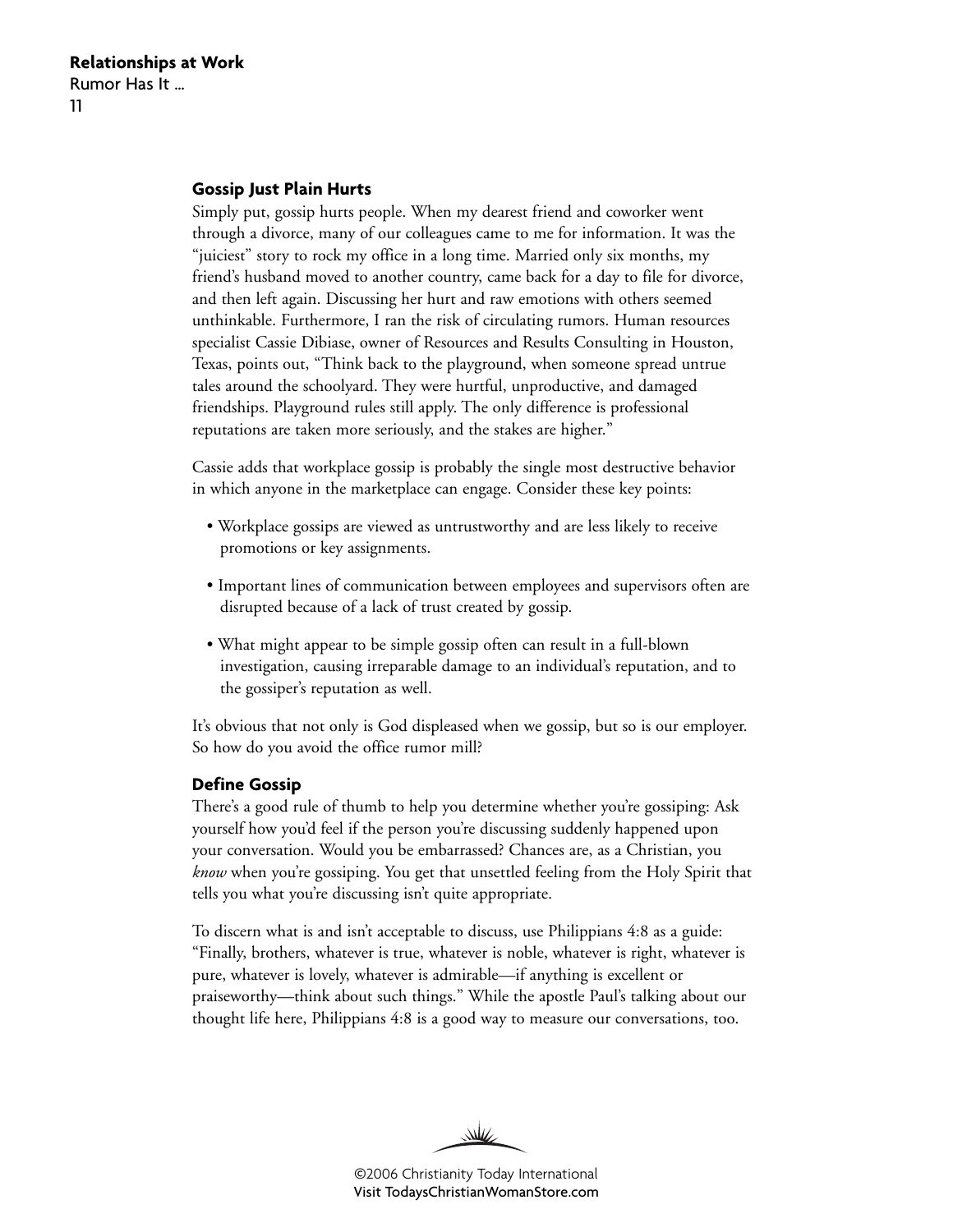#### **Gossip Just Plain Hurts**

Simply put, gossip hurts people. When my dearest friend and coworker went through a divorce, many of our colleagues came to me for information. It was the "juiciest" story to rock my office in a long time. Married only six months, my friend's husband moved to another country, came back for a day to file for divorce, and then left again. Discussing her hurt and raw emotions with others seemed unthinkable. Furthermore, I ran the risk of circulating rumors. Human resources specialist Cassie Dibiase, owner of Resources and Results Consulting in Houston, Texas, points out, "Think back to the playground, when someone spread untrue tales around the schoolyard. They were hurtful, unproductive, and damaged friendships. Playground rules still apply. The only difference is professional reputations are taken more seriously, and the stakes are higher."

Cassie adds that workplace gossip is probably the single most destructive behavior in which anyone in the marketplace can engage. Consider these key points:

- Workplace gossips are viewed as untrustworthy and are less likely to receive promotions or key assignments.
- Important lines of communication between employees and supervisors often are disrupted because of a lack of trust created by gossip.
- What might appear to be simple gossip often can result in a full-blown investigation, causing irreparable damage to an individual's reputation, and to the gossiper's reputation as well.

It's obvious that not only is God displeased when we gossip, but so is our employer. So how do you avoid the office rumor mill?

#### **Define Gossip**

There's a good rule of thumb to help you determine whether you're gossiping: Ask yourself how you'd feel if the person you're discussing suddenly happened upon your conversation. Would you be embarrassed? Chances are, as a Christian, you *know* when you're gossiping. You get that unsettled feeling from the Holy Spirit that tells you what you're discussing isn't quite appropriate.

To discern what is and isn't acceptable to discuss, use Philippians 4:8 as a guide: "Finally, brothers, whatever is true, whatever is noble, whatever is right, whatever is pure, whatever is lovely, whatever is admirable—if anything is excellent or praiseworthy—think about such things." While the apostle Paul's talking about our thought life here, Philippians 4:8 is a good way to measure our conversations, too.

W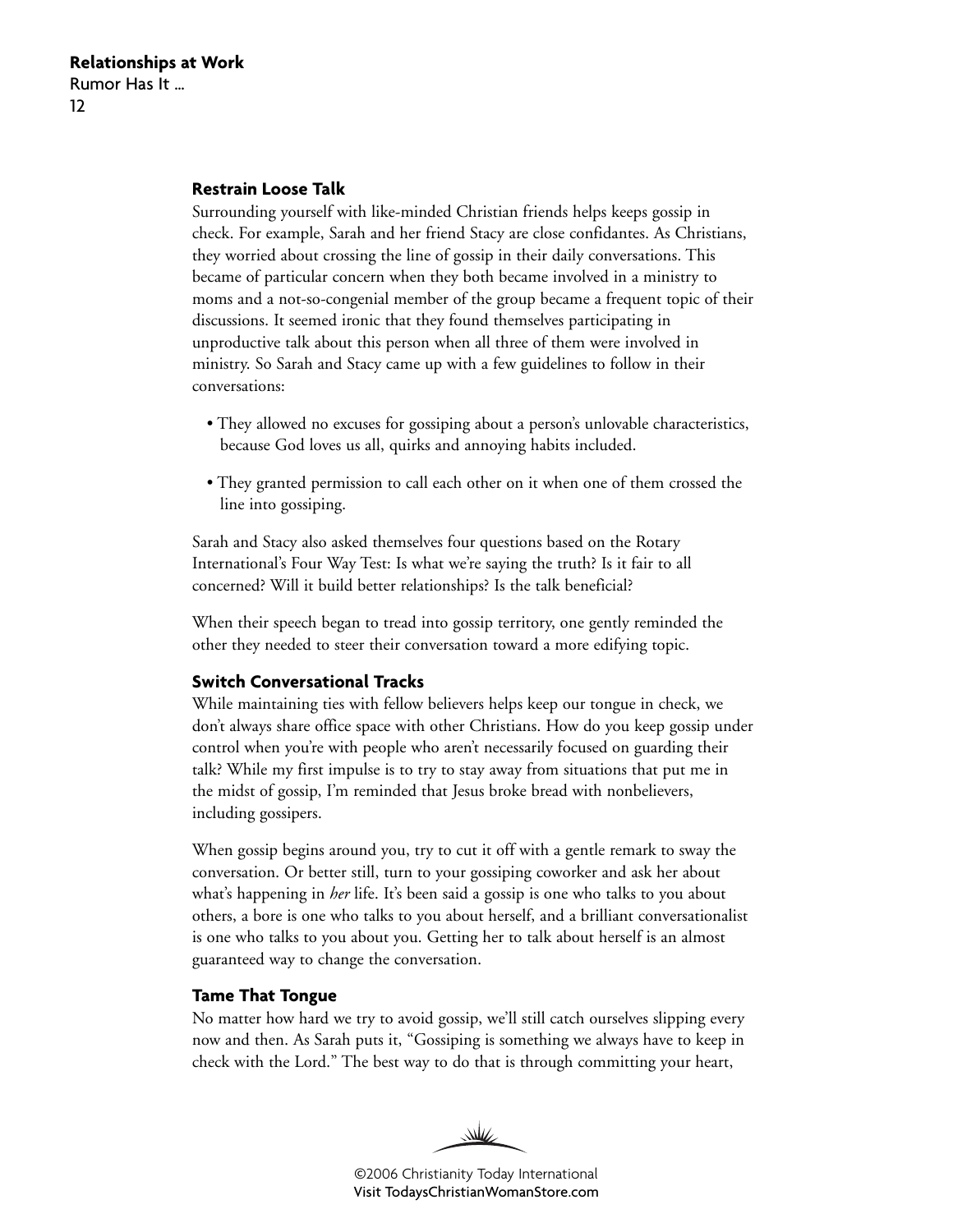#### **Restrain Loose Talk**

Surrounding yourself with like-minded Christian friends helps keeps gossip in check. For example, Sarah and her friend Stacy are close confidantes. As Christians, they worried about crossing the line of gossip in their daily conversations. This became of particular concern when they both became involved in a ministry to moms and a not-so-congenial member of the group became a frequent topic of their discussions. It seemed ironic that they found themselves participating in unproductive talk about this person when all three of them were involved in ministry. So Sarah and Stacy came up with a few guidelines to follow in their conversations:

- They allowed no excuses for gossiping about a person's unlovable characteristics, because God loves us all, quirks and annoying habits included.
- They granted permission to call each other on it when one of them crossed the line into gossiping.

Sarah and Stacy also asked themselves four questions based on the Rotary International's Four Way Test: Is what we're saying the truth? Is it fair to all concerned? Will it build better relationships? Is the talk beneficial?

When their speech began to tread into gossip territory, one gently reminded the other they needed to steer their conversation toward a more edifying topic.

#### **Switch Conversational Tracks**

While maintaining ties with fellow believers helps keep our tongue in check, we don't always share office space with other Christians. How do you keep gossip under control when you're with people who aren't necessarily focused on guarding their talk? While my first impulse is to try to stay away from situations that put me in the midst of gossip, I'm reminded that Jesus broke bread with nonbelievers, including gossipers.

When gossip begins around you, try to cut it off with a gentle remark to sway the conversation. Or better still, turn to your gossiping coworker and ask her about what's happening in *her* life. It's been said a gossip is one who talks to you about others, a bore is one who talks to you about herself, and a brilliant conversationalist is one who talks to you about you. Getting her to talk about herself is an almost guaranteed way to change the conversation.

#### **Tame That Tongue**

No matter how hard we try to avoid gossip, we'll still catch ourselves slipping every now and then. As Sarah puts it, "Gossiping is something we always have to keep in check with the Lord." The best way to do that is through committing your heart,

WW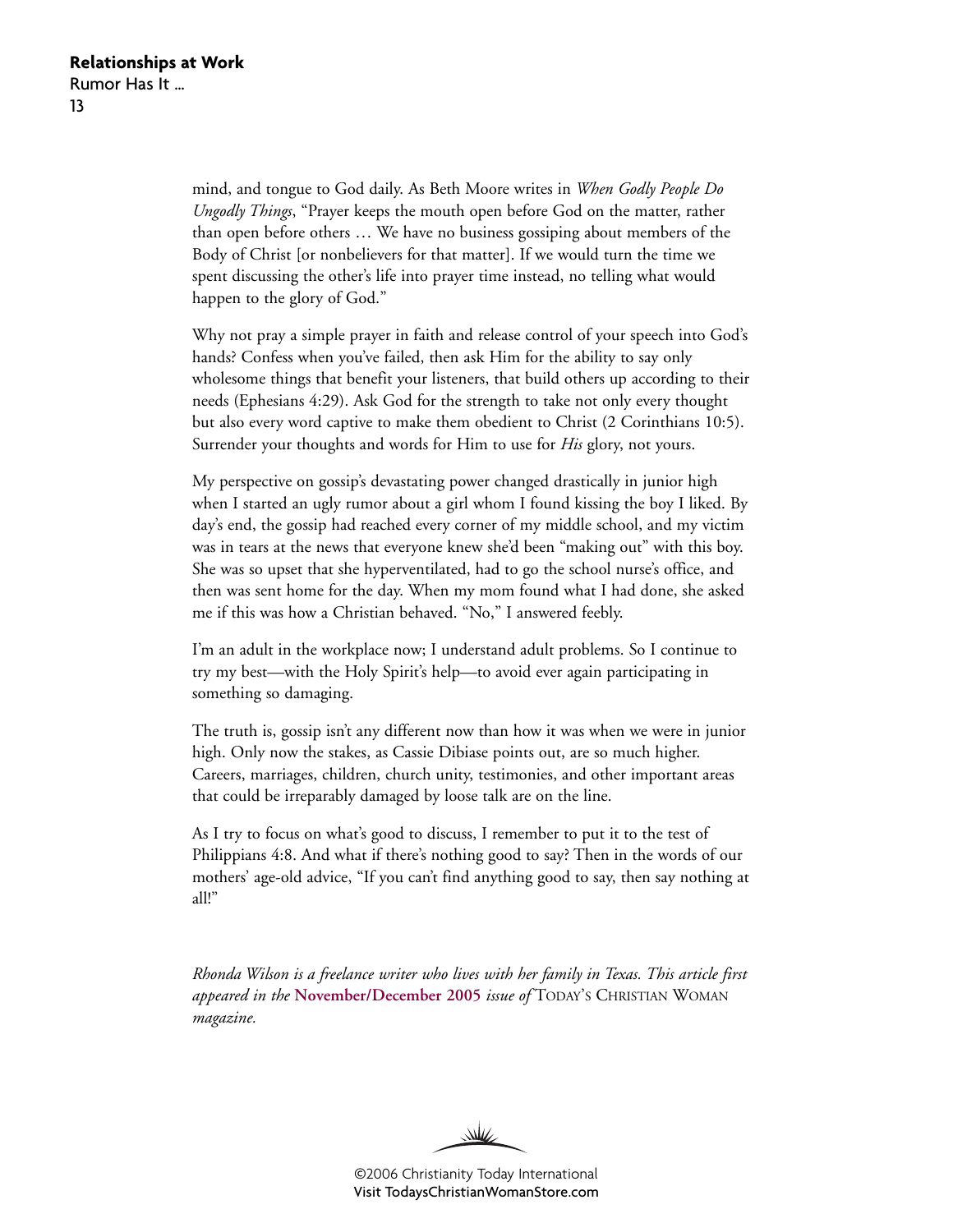mind, and tongue to God daily. As Beth Moore writes in *When Godly People Do Ungodly Things*, "Prayer keeps the mouth open before God on the matter, rather than open before others … We have no business gossiping about members of the Body of Christ [or nonbelievers for that matter]. If we would turn the time we spent discussing the other's life into prayer time instead, no telling what would happen to the glory of God."

Why not pray a simple prayer in faith and release control of your speech into God's hands? Confess when you've failed, then ask Him for the ability to say only wholesome things that benefit your listeners, that build others up according to their needs (Ephesians 4:29). Ask God for the strength to take not only every thought but also every word captive to make them obedient to Christ (2 Corinthians 10:5). Surrender your thoughts and words for Him to use for *His* glory, not yours.

My perspective on gossip's devastating power changed drastically in junior high when I started an ugly rumor about a girl whom I found kissing the boy I liked. By day's end, the gossip had reached every corner of my middle school, and my victim was in tears at the news that everyone knew she'd been "making out" with this boy. She was so upset that she hyperventilated, had to go the school nurse's office, and then was sent home for the day. When my mom found what I had done, she asked me if this was how a Christian behaved. "No," I answered feebly.

I'm an adult in the workplace now; I understand adult problems. So I continue to try my best—with the Holy Spirit's help—to avoid ever again participating in something so damaging.

The truth is, gossip isn't any different now than how it was when we were in junior high. Only now the stakes, as Cassie Dibiase points out, are so much higher. Careers, marriages, children, church unity, testimonies, and other important areas that could be irreparably damaged by loose talk are on the line.

As I try to focus on what's good to discuss, I remember to put it to the test of Philippians 4:8. And what if there's nothing good to say? Then in the words of our mothers' age-old advice, "If you can't find anything good to say, then say nothing at all!"

*Rhonda Wilson is a freelance writer who lives with her family in Texas. This article first appeared in the* **[November/December 2005](http://www.christianitytoday.com/tcw/2005/novdec/5.66.html)** *issue of* TODAY'S CHRISTIAN WOMAN *magazine.*

W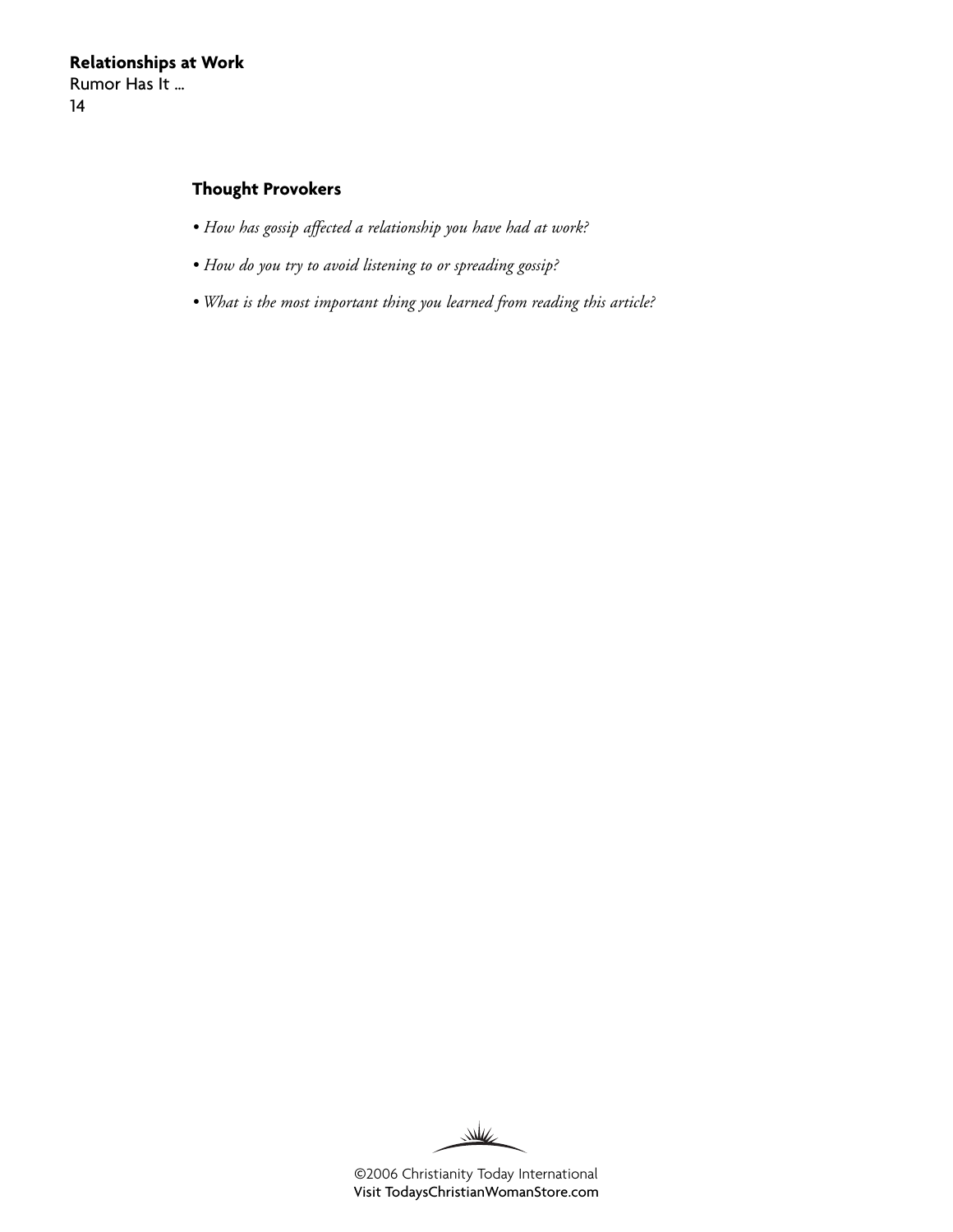#### **Thought Provokers**

- *How has gossip affected a relationship you have had at work?*
- *How do you try to avoid listening to or spreading gossip?*
- *What is the most important thing you learned from reading this article?*

W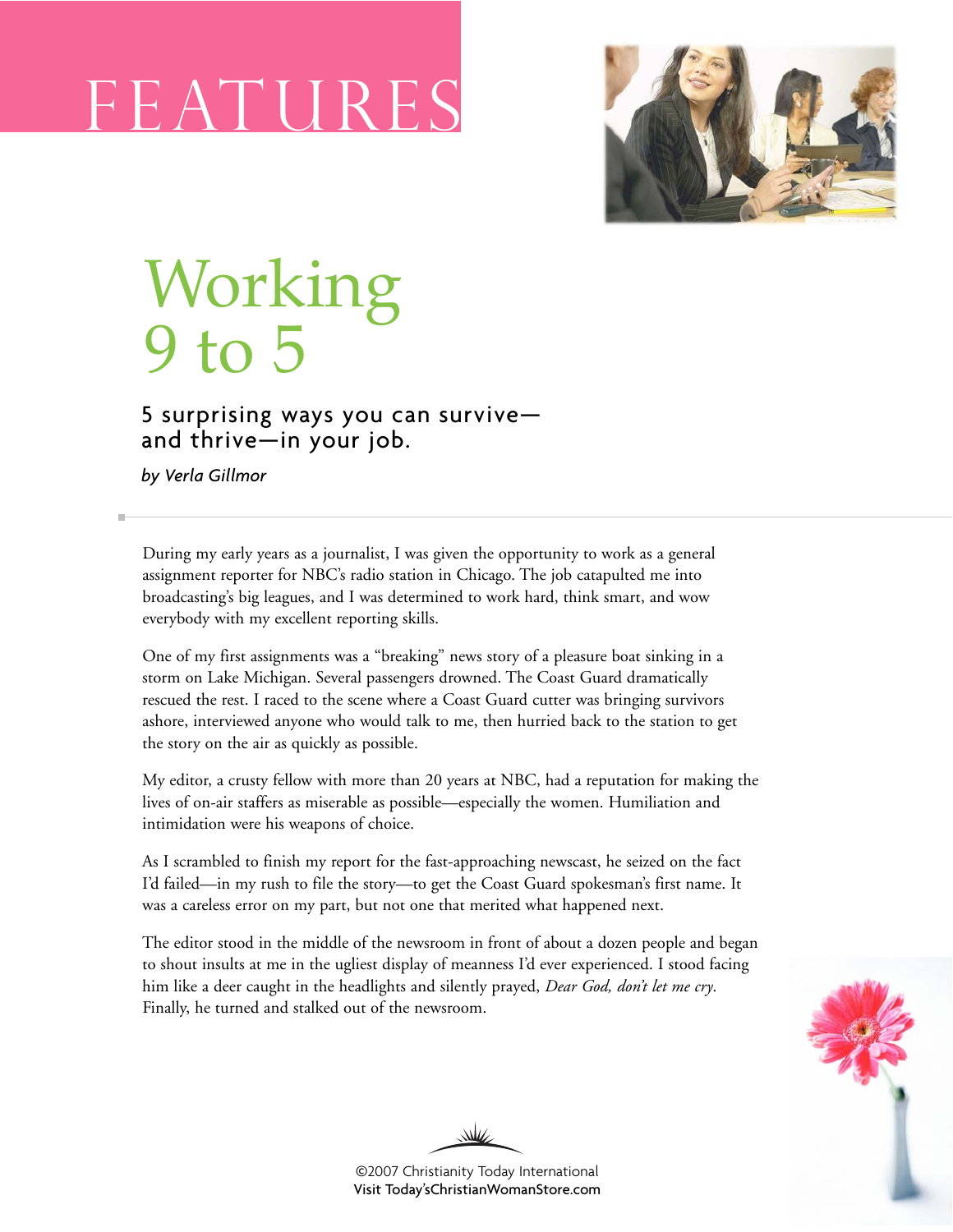# FEAT U



## Working 9 to 5

### 5 surprising ways you can survive and thrive—in your job.

*by Verla Gillmor*

During my early years as a journalist, I was given the opportunity to work as a general assignment reporter for NBC's radio station in Chicago. The job catapulted me into broadcasting's big leagues, and I was determined to work hard, think smart, and wow everybody with my excellent reporting skills.

One of my first assignments was a "breaking" news story of a pleasure boat sinking in a storm on Lake Michigan. Several passengers drowned. The Coast Guard dramatically rescued the rest. I raced to the scene where a Coast Guard cutter was bringing survivors ashore, interviewed anyone who would talk to me, then hurried back to the station to get the story on the air as quickly as possible.

My editor, a crusty fellow with more than 20 years at NBC, had a reputation for making the lives of on-air staffers as miserable as possible—especially the women. Humiliation and intimidation were his weapons of choice.

As I scrambled to finish my report for the fast-approaching newscast, he seized on the fact I'd failed—in my rush to file the story—to get the Coast Guard spokesman's first name. It was a careless error on my part, but not one that merited what happened next.

The editor stood in the middle of the newsroom in front of about a dozen people and began to shout insults at me in the ugliest display of meanness I'd ever experienced. I stood facing him like a deer caught in the headlights and silently prayed, *Dear God, don't let me cry*. Finally, he turned and stalked out of the newsroom.



W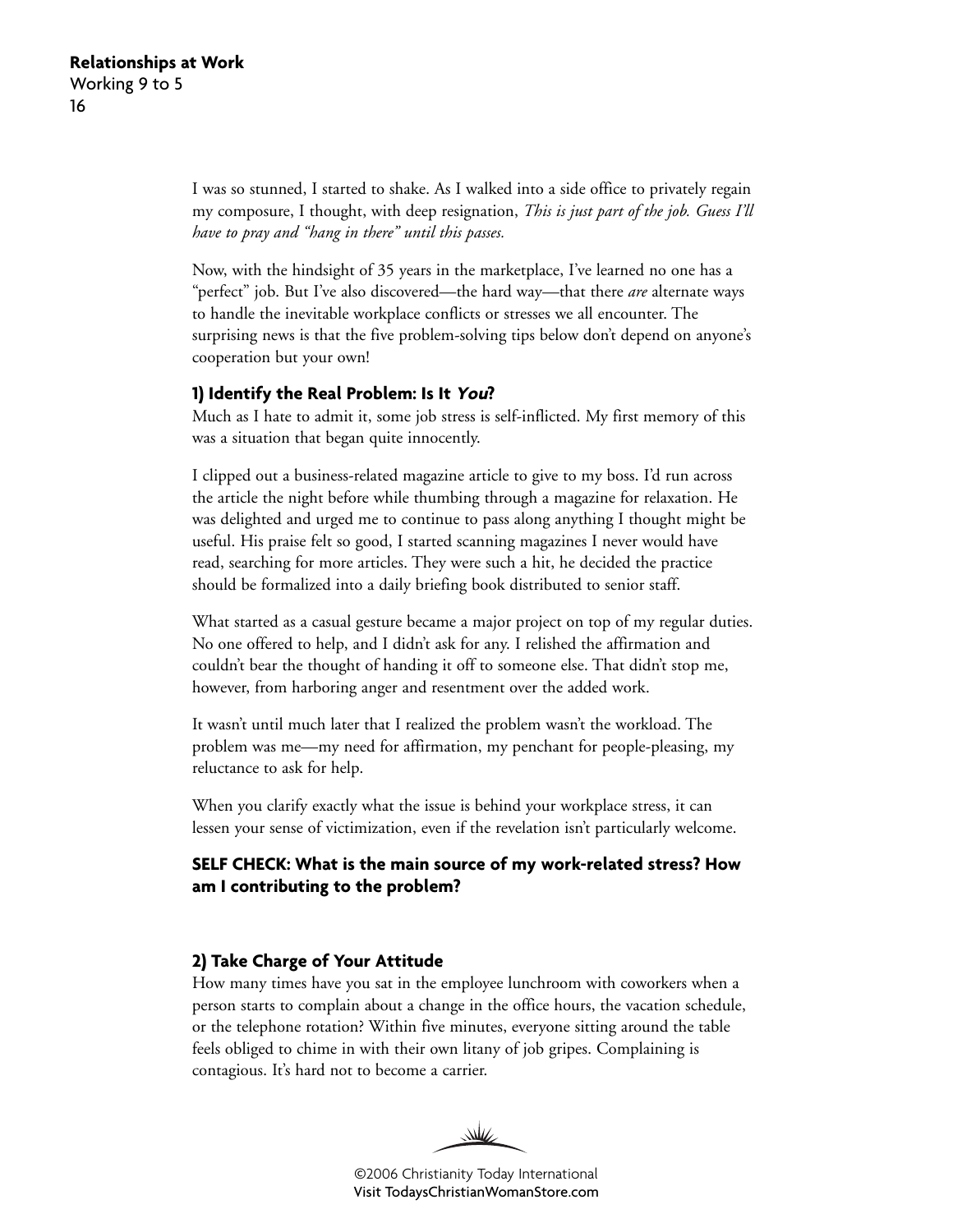I was so stunned, I started to shake. As I walked into a side office to privately regain my composure, I thought, with deep resignation, *This is just part of the job. Guess I'll have to pray and "hang in there" until this passes.*

Now, with the hindsight of 35 years in the marketplace, I've learned no one has a "perfect" job. But I've also discovered—the hard way—that there *are* alternate ways to handle the inevitable workplace conflicts or stresses we all encounter. The surprising news is that the five problem-solving tips below don't depend on anyone's cooperation but your own!

#### **1) Identify the Real Problem: Is It You?**

Much as I hate to admit it, some job stress is self-inflicted. My first memory of this was a situation that began quite innocently.

I clipped out a business-related magazine article to give to my boss. I'd run across the article the night before while thumbing through a magazine for relaxation. He was delighted and urged me to continue to pass along anything I thought might be useful. His praise felt so good, I started scanning magazines I never would have read, searching for more articles. They were such a hit, he decided the practice should be formalized into a daily briefing book distributed to senior staff.

What started as a casual gesture became a major project on top of my regular duties. No one offered to help, and I didn't ask for any. I relished the affirmation and couldn't bear the thought of handing it off to someone else. That didn't stop me, however, from harboring anger and resentment over the added work.

It wasn't until much later that I realized the problem wasn't the workload. The problem was me—my need for affirmation, my penchant for people-pleasing, my reluctance to ask for help.

When you clarify exactly what the issue is behind your workplace stress, it can lessen your sense of victimization, even if the revelation isn't particularly welcome.

#### **SELF CHECK: What is the main source of my work-related stress? How am I contributing to the problem?**

#### **2) Take Charge of Your Attitude**

How many times have you sat in the employee lunchroom with coworkers when a person starts to complain about a change in the office hours, the vacation schedule, or the telephone rotation? Within five minutes, everyone sitting around the table feels obliged to chime in with their own litany of job gripes. Complaining is contagious. It's hard not to become a carrier.

W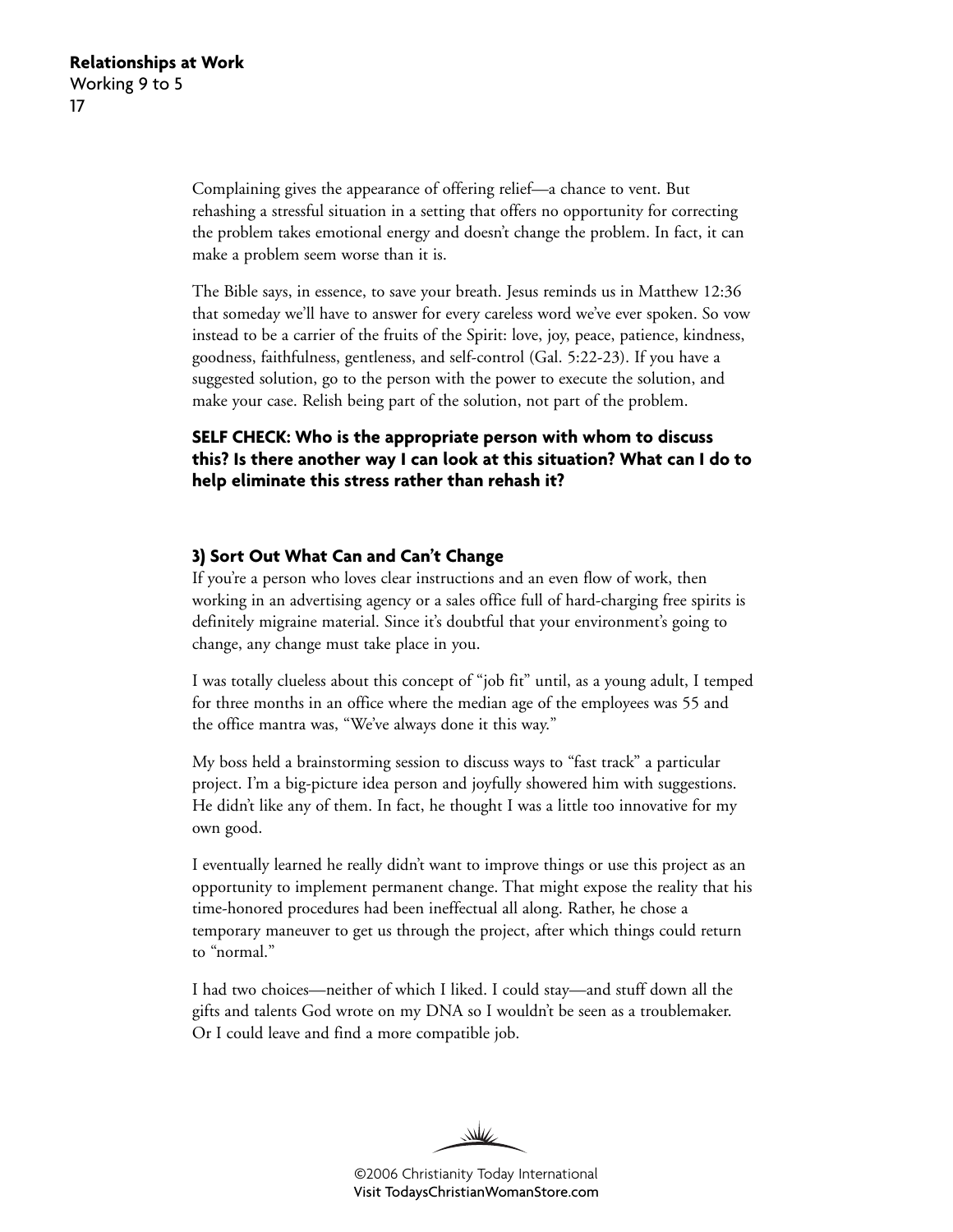Complaining gives the appearance of offering relief—a chance to vent. But rehashing a stressful situation in a setting that offers no opportunity for correcting the problem takes emotional energy and doesn't change the problem. In fact, it can make a problem seem worse than it is.

The Bible says, in essence, to save your breath. Jesus reminds us in Matthew 12:36 that someday we'll have to answer for every careless word we've ever spoken. So vow instead to be a carrier of the fruits of the Spirit: love, joy, peace, patience, kindness, goodness, faithfulness, gentleness, and self-control (Gal. 5:22-23). If you have a suggested solution, go to the person with the power to execute the solution, and make your case. Relish being part of the solution, not part of the problem.

#### **SELF CHECK: Who is the appropriate person with whom to discuss this? Is there another way I can look at this situation? What can I do to help eliminate this stress rather than rehash it?**

#### **3) Sort Out What Can and Can't Change**

If you're a person who loves clear instructions and an even flow of work, then working in an advertising agency or a sales office full of hard-charging free spirits is definitely migraine material. Since it's doubtful that your environment's going to change, any change must take place in you.

I was totally clueless about this concept of "job fit" until, as a young adult, I temped for three months in an office where the median age of the employees was 55 and the office mantra was, "We've always done it this way."

My boss held a brainstorming session to discuss ways to "fast track" a particular project. I'm a big-picture idea person and joyfully showered him with suggestions. He didn't like any of them. In fact, he thought I was a little too innovative for my own good.

I eventually learned he really didn't want to improve things or use this project as an opportunity to implement permanent change. That might expose the reality that his time-honored procedures had been ineffectual all along. Rather, he chose a temporary maneuver to get us through the project, after which things could return to "normal."

I had two choices—neither of which I liked. I could stay—and stuff down all the gifts and talents God wrote on my DNA so I wouldn't be seen as a troublemaker. Or I could leave and find a more compatible job.

 $\mathcal{W}$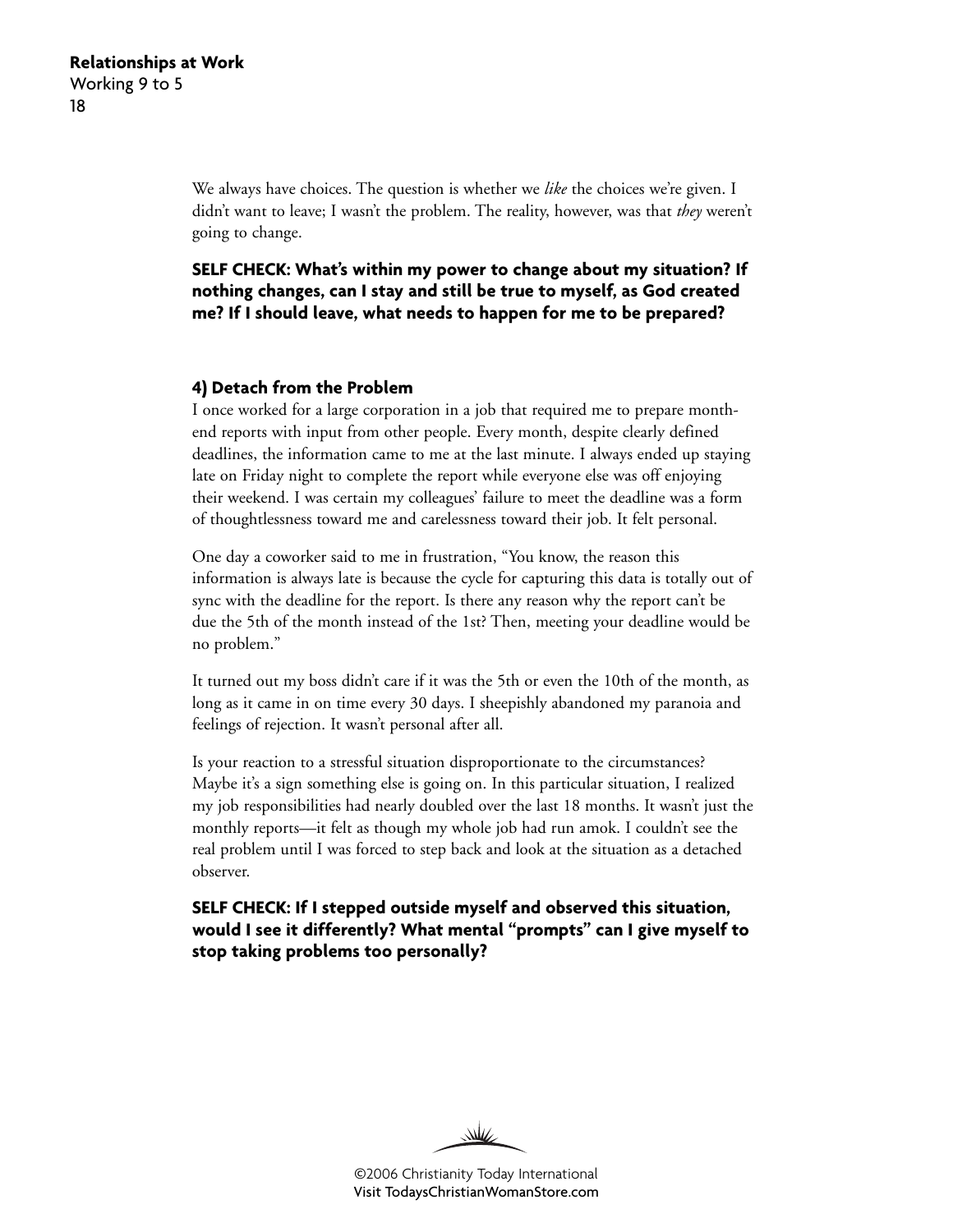We always have choices. The question is whether we *like* the choices we're given. I didn't want to leave; I wasn't the problem. The reality, however, was that *they* weren't going to change.

**SELF CHECK: What's within my power to change about my situation? If nothing changes, can I stay and still be true to myself, as God created me? If I should leave, what needs to happen for me to be prepared?**

#### **4) Detach from the Problem**

I once worked for a large corporation in a job that required me to prepare monthend reports with input from other people. Every month, despite clearly defined deadlines, the information came to me at the last minute. I always ended up staying late on Friday night to complete the report while everyone else was off enjoying their weekend. I was certain my colleagues' failure to meet the deadline was a form of thoughtlessness toward me and carelessness toward their job. It felt personal.

One day a coworker said to me in frustration, "You know, the reason this information is always late is because the cycle for capturing this data is totally out of sync with the deadline for the report. Is there any reason why the report can't be due the 5th of the month instead of the 1st? Then, meeting your deadline would be no problem."

It turned out my boss didn't care if it was the 5th or even the 10th of the month, as long as it came in on time every 30 days. I sheepishly abandoned my paranoia and feelings of rejection. It wasn't personal after all.

Is your reaction to a stressful situation disproportionate to the circumstances? Maybe it's a sign something else is going on. In this particular situation, I realized my job responsibilities had nearly doubled over the last 18 months. It wasn't just the monthly reports—it felt as though my whole job had run amok. I couldn't see the real problem until I was forced to step back and look at the situation as a detached observer.

**SELF CHECK: If I stepped outside myself and observed this situation, would I see it differently? What mental "prompts" can I give myself to stop taking problems too personally?**

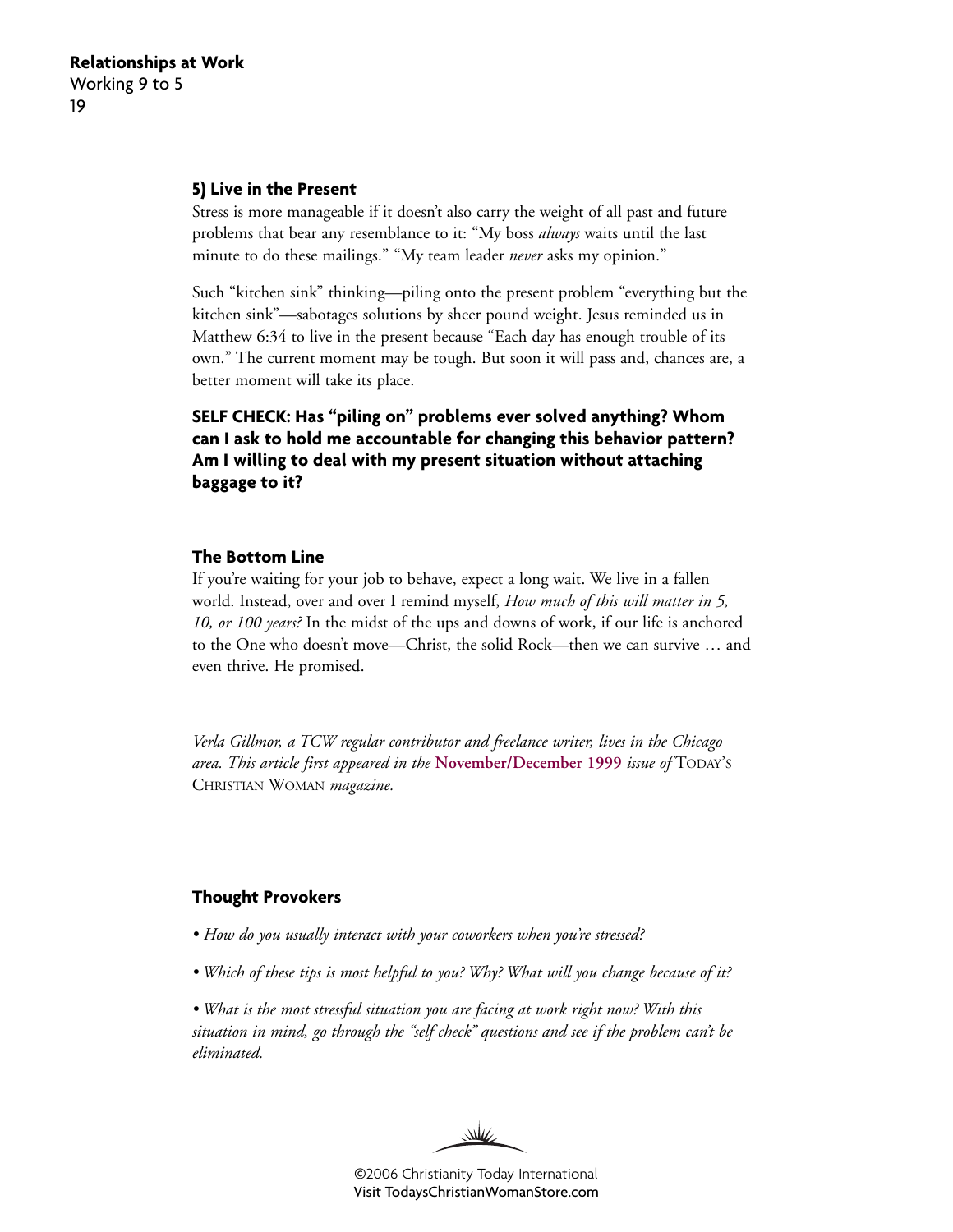#### **5) Live in the Present**

Stress is more manageable if it doesn't also carry the weight of all past and future problems that bear any resemblance to it: "My boss *always* waits until the last minute to do these mailings." "My team leader *never* asks my opinion."

Such "kitchen sink" thinking—piling onto the present problem "everything but the kitchen sink"—sabotages solutions by sheer pound weight. Jesus reminded us in Matthew 6:34 to live in the present because "Each day has enough trouble of its own." The current moment may be tough. But soon it will pass and, chances are, a better moment will take its place.

**SELF CHECK: Has "piling on" problems ever solved anything? Whom can I ask to hold me accountable for changing this behavior pattern? Am I willing to deal with my present situation without attaching baggage to it?**

#### **The Bottom Line**

If you're waiting for your job to behave, expect a long wait. We live in a fallen world. Instead, over and over I remind myself, *How much of this will matter in 5, 10, or 100 years?* In the midst of the ups and downs of work, if our life is anchored to the One who doesn't move—Christ, the solid Rock—then we can survive … and even thrive. He promised.

*Verla Gillmor, a TCW regular contributor and freelance writer, lives in the Chicago area. This article first appeared in the* **[November/December 1999](http://www.christianitytoday.com/tcw/1999/novdec/9w6124.html)** *issue of* TODAY'S CHRISTIAN WOMAN *magazine.*

#### **Thought Provokers**

- *How do you usually interact with your coworkers when you're stressed?*
- *Which of these tips is most helpful to you? Why? What will you change because of it?*

*• What is the most stressful situation you are facing at work right now? With this situation in mind, go through the "self check" questions and see if the problem can't be eliminated.*

₩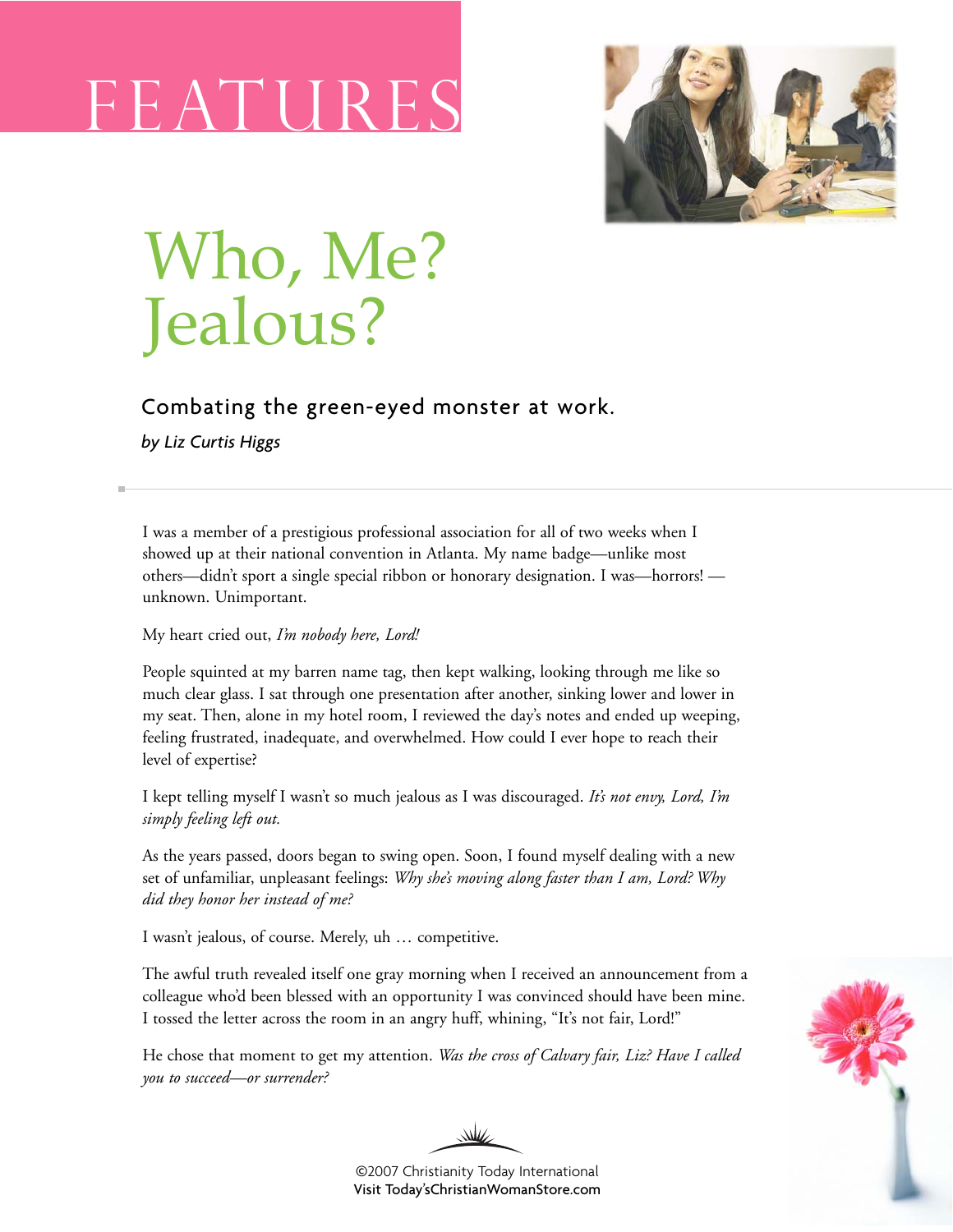# F EATH



# Who, Me? Jealous?

### Combating the green-eyed monster at work.

*by Liz Curtis Higgs*

I was a member of a prestigious professional association for all of two weeks when I showed up at their national convention in Atlanta. My name badge—unlike most others—didn't sport a single special ribbon or honorary designation. I was—horrors! unknown. Unimportant.

#### My heart cried out, *I'm nobody here, Lord!*

People squinted at my barren name tag, then kept walking, looking through me like so much clear glass. I sat through one presentation after another, sinking lower and lower in my seat. Then, alone in my hotel room, I reviewed the day's notes and ended up weeping, feeling frustrated, inadequate, and overwhelmed. How could I ever hope to reach their level of expertise?

I kept telling myself I wasn't so much jealous as I was discouraged. *It's not envy, Lord, I'm simply feeling left out.*

As the years passed, doors began to swing open. Soon, I found myself dealing with a new set of unfamiliar, unpleasant feelings: *Why she's moving along faster than I am, Lord? Why did they honor her instead of me?*

I wasn't jealous, of course. Merely, uh … competitive.

The awful truth revealed itself one gray morning when I received an announcement from a colleague who'd been blessed with an opportunity I was convinced should have been mine. I tossed the letter across the room in an angry huff, whining, "It's not fair, Lord!"

He chose that moment to get my attention. *Was the cross of Calvary fair, Liz? Have I called you to succeed—or surrender?*





©2007 Christianity Today International [Visit Today'sChristianWomanStore.com](http://todayschristianwomanstore.com)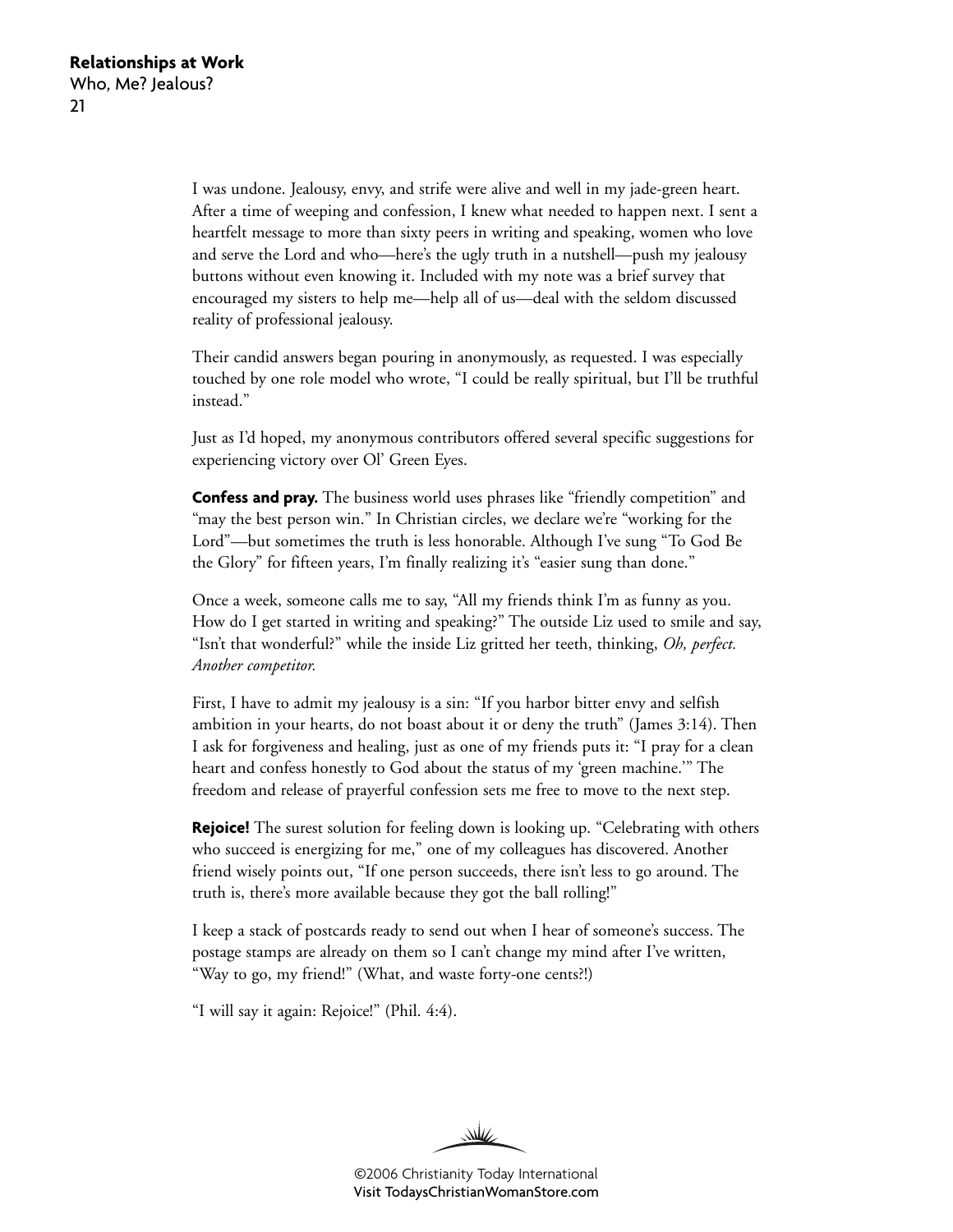I was undone. Jealousy, envy, and strife were alive and well in my jade-green heart. After a time of weeping and confession, I knew what needed to happen next. I sent a heartfelt message to more than sixty peers in writing and speaking, women who love and serve the Lord and who—here's the ugly truth in a nutshell—push my jealousy buttons without even knowing it. Included with my note was a brief survey that encouraged my sisters to help me—help all of us—deal with the seldom discussed reality of professional jealousy.

Their candid answers began pouring in anonymously, as requested. I was especially touched by one role model who wrote, "I could be really spiritual, but I'll be truthful instead."

Just as I'd hoped, my anonymous contributors offered several specific suggestions for experiencing victory over Ol' Green Eyes.

**Confess and pray.** The business world uses phrases like "friendly competition" and "may the best person win." In Christian circles, we declare we're "working for the Lord"—but sometimes the truth is less honorable. Although I've sung "To God Be the Glory" for fifteen years, I'm finally realizing it's "easier sung than done."

Once a week, someone calls me to say, "All my friends think I'm as funny as you. How do I get started in writing and speaking?" The outside Liz used to smile and say, "Isn't that wonderful?" while the inside Liz gritted her teeth, thinking, *Oh, perfect. Another competitor.*

First, I have to admit my jealousy is a sin: "If you harbor bitter envy and selfish ambition in your hearts, do not boast about it or deny the truth" (James 3:14). Then I ask for forgiveness and healing, just as one of my friends puts it: "I pray for a clean heart and confess honestly to God about the status of my 'green machine.'" The freedom and release of prayerful confession sets me free to move to the next step.

**Rejoice!** The surest solution for feeling down is looking up. "Celebrating with others who succeed is energizing for me," one of my colleagues has discovered. Another friend wisely points out, "If one person succeeds, there isn't less to go around. The truth is, there's more available because they got the ball rolling!"

I keep a stack of postcards ready to send out when I hear of someone's success. The postage stamps are already on them so I can't change my mind after I've written, "Way to go, my friend!" (What, and waste forty-one cents?!)

"I will say it again: Rejoice!" (Phil. 4:4).

W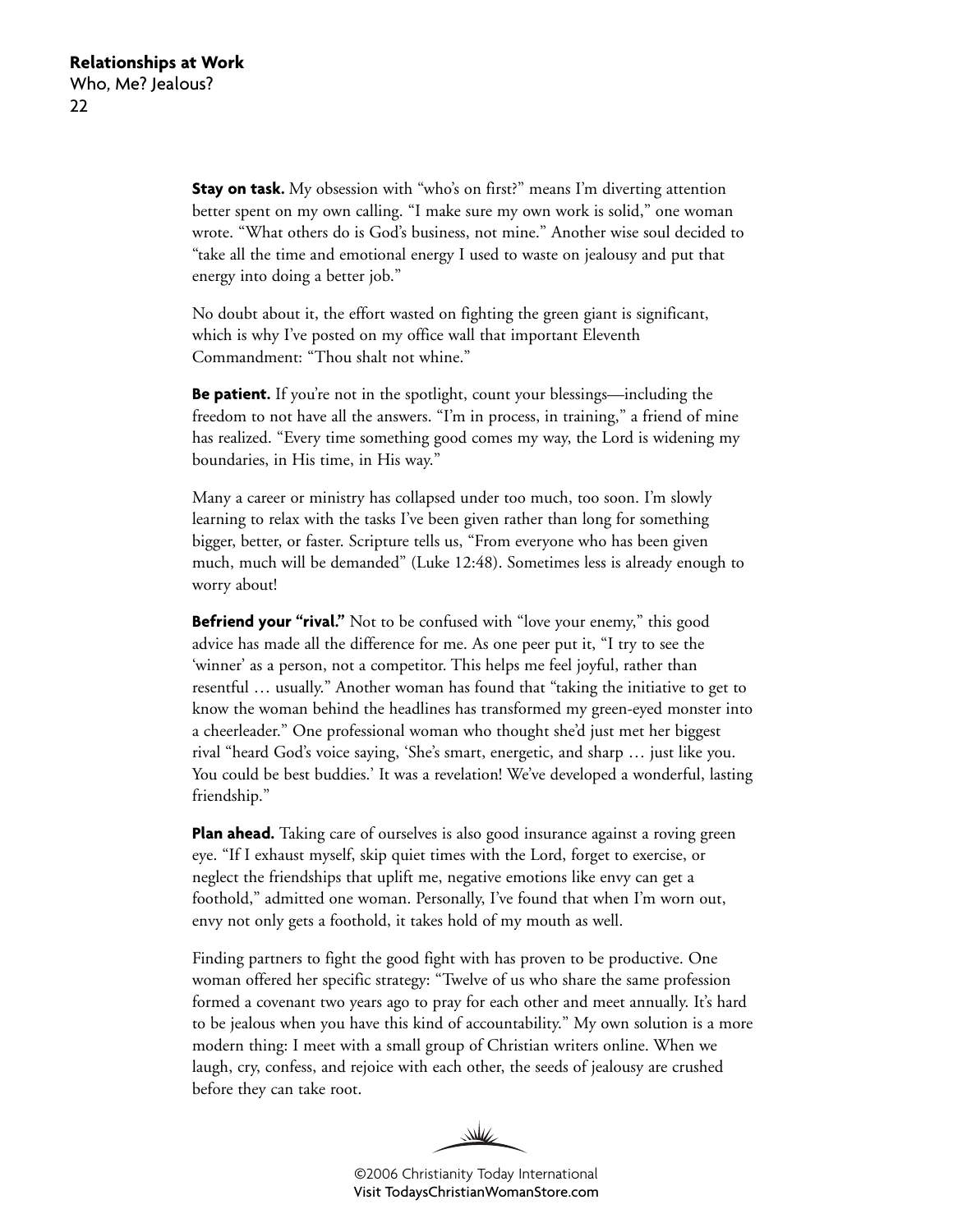**Stay on task.** My obsession with "who's on first?" means I'm diverting attention better spent on my own calling. "I make sure my own work is solid," one woman wrote. "What others do is God's business, not mine." Another wise soul decided to "take all the time and emotional energy I used to waste on jealousy and put that energy into doing a better job."

No doubt about it, the effort wasted on fighting the green giant is significant, which is why I've posted on my office wall that important Eleventh Commandment: "Thou shalt not whine."

**Be patient.** If you're not in the spotlight, count your blessings—including the freedom to not have all the answers. "I'm in process, in training," a friend of mine has realized. "Every time something good comes my way, the Lord is widening my boundaries, in His time, in His way."

Many a career or ministry has collapsed under too much, too soon. I'm slowly learning to relax with the tasks I've been given rather than long for something bigger, better, or faster. Scripture tells us, "From everyone who has been given much, much will be demanded" (Luke 12:48). Sometimes less is already enough to worry about!

**Befriend your "rival."** Not to be confused with "love your enemy," this good advice has made all the difference for me. As one peer put it, "I try to see the 'winner' as a person, not a competitor. This helps me feel joyful, rather than resentful … usually." Another woman has found that "taking the initiative to get to know the woman behind the headlines has transformed my green-eyed monster into a cheerleader." One professional woman who thought she'd just met her biggest rival "heard God's voice saying, 'She's smart, energetic, and sharp … just like you. You could be best buddies.' It was a revelation! We've developed a wonderful, lasting friendship."

**Plan ahead.** Taking care of ourselves is also good insurance against a roving green eye. "If I exhaust myself, skip quiet times with the Lord, forget to exercise, or neglect the friendships that uplift me, negative emotions like envy can get a foothold," admitted one woman. Personally, I've found that when I'm worn out, envy not only gets a foothold, it takes hold of my mouth as well.

Finding partners to fight the good fight with has proven to be productive. One woman offered her specific strategy: "Twelve of us who share the same profession formed a covenant two years ago to pray for each other and meet annually. It's hard to be jealous when you have this kind of accountability." My own solution is a more modern thing: I meet with a small group of Christian writers online. When we laugh, cry, confess, and rejoice with each other, the seeds of jealousy are crushed before they can take root.

WW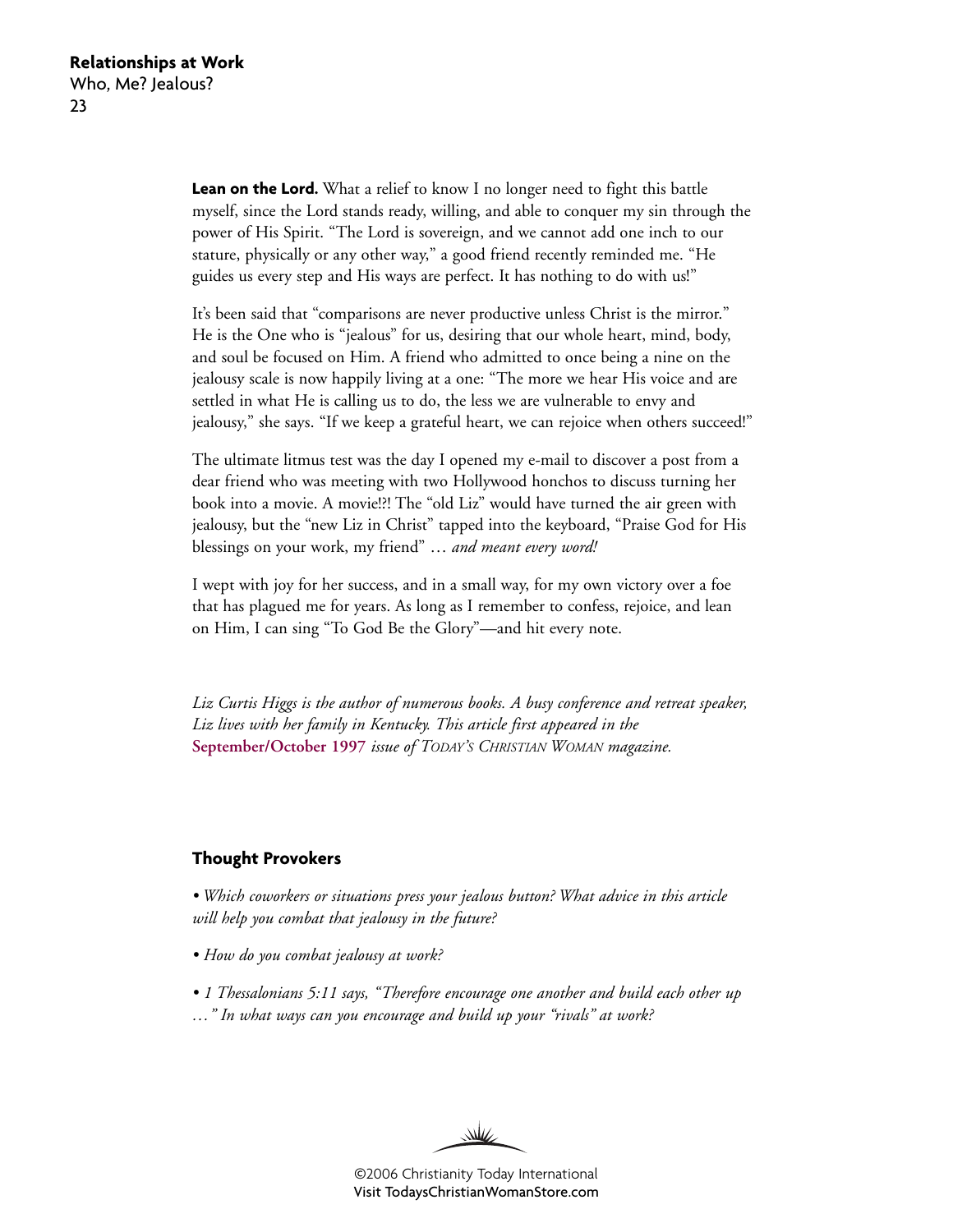**Lean on the Lord.** What a relief to know I no longer need to fight this battle myself, since the Lord stands ready, willing, and able to conquer my sin through the power of His Spirit. "The Lord is sovereign, and we cannot add one inch to our stature, physically or any other way," a good friend recently reminded me. "He guides us every step and His ways are perfect. It has nothing to do with us!"

It's been said that "comparisons are never productive unless Christ is the mirror." He is the One who is "jealous" for us, desiring that our whole heart, mind, body, and soul be focused on Him. A friend who admitted to once being a nine on the jealousy scale is now happily living at a one: "The more we hear His voice and are settled in what He is calling us to do, the less we are vulnerable to envy and jealousy," she says. "If we keep a grateful heart, we can rejoice when others succeed!"

The ultimate litmus test was the day I opened my e-mail to discover a post from a dear friend who was meeting with two Hollywood honchos to discuss turning her book into a movie. A movie!?! The "old Liz" would have turned the air green with jealousy, but the "new Liz in Christ" tapped into the keyboard, "Praise God for His blessings on your work, my friend" … *and meant every word!*

I wept with joy for her success, and in a small way, for my own victory over a foe that has plagued me for years. As long as I remember to confess, rejoice, and lean on Him, I can sing "To God Be the Glory"—and hit every note.

*Liz Curtis Higgs is the author of numerous books. A busy conference and retreat speaker, Liz lives with her family in Kentucky. This article first appeared in the* **[September/October 1997](http://www.christianitytoday.com/tcw/1997/sepoct/7w5060.html)** *issue of TODAY'S CHRISTIAN WOMAN magazine.*

#### **Thought Provokers**

*• Which coworkers or situations press your jealous button? What advice in this article will help you combat that jealousy in the future?*

- *How do you combat jealousy at work?*
- *1 Thessalonians 5:11 says, "Therefore encourage one another and build each other up*
- *…" In what ways can you encourage and build up your "rivals" at work?*

W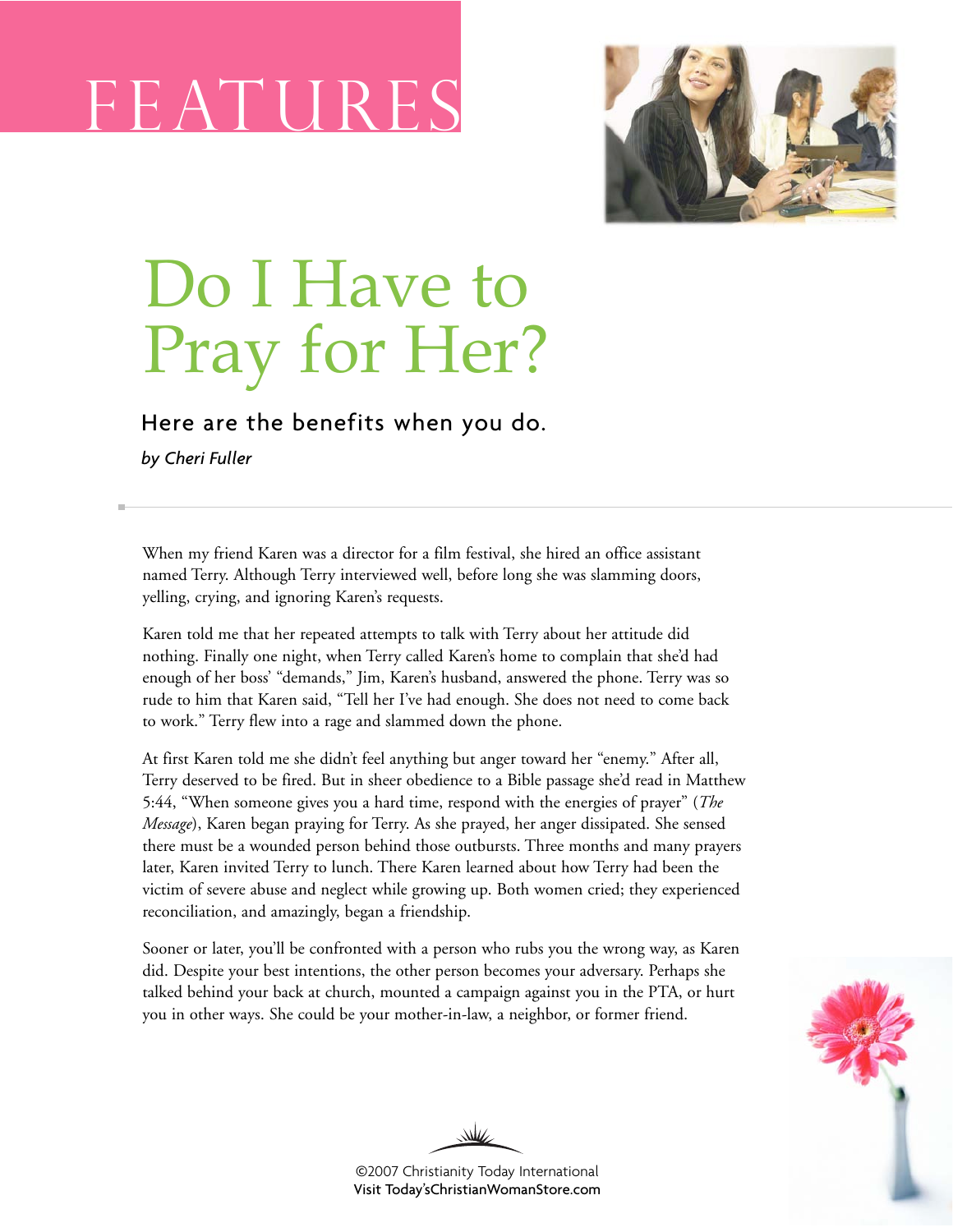# F E AT MOR ES



# Do I Have to Pray for Her?

Here are the benefits when you do.

*by Cheri Fuller*

When my friend Karen was a director for a film festival, she hired an office assistant named Terry. Although Terry interviewed well, before long she was slamming doors, yelling, crying, and ignoring Karen's requests.

Karen told me that her repeated attempts to talk with Terry about her attitude did nothing. Finally one night, when Terry called Karen's home to complain that she'd had enough of her boss' "demands," Jim, Karen's husband, answered the phone. Terry was so rude to him that Karen said, "Tell her I've had enough. She does not need to come back to work." Terry flew into a rage and slammed down the phone.

At first Karen told me she didn't feel anything but anger toward her "enemy." After all, Terry deserved to be fired. But in sheer obedience to a Bible passage she'd read in Matthew 5:44, "When someone gives you a hard time, respond with the energies of prayer" (*The Message*), Karen began praying for Terry. As she prayed, her anger dissipated. She sensed there must be a wounded person behind those outbursts. Three months and many prayers later, Karen invited Terry to lunch. There Karen learned about how Terry had been the victim of severe abuse and neglect while growing up. Both women cried; they experienced reconciliation, and amazingly, began a friendship.

Sooner or later, you'll be confronted with a person who rubs you the wrong way, as Karen did. Despite your best intentions, the other person becomes your adversary. Perhaps she talked behind your back at church, mounted a campaign against you in the PTA, or hurt you in other ways. She could be your mother-in-law, a neighbor, or former friend.



₩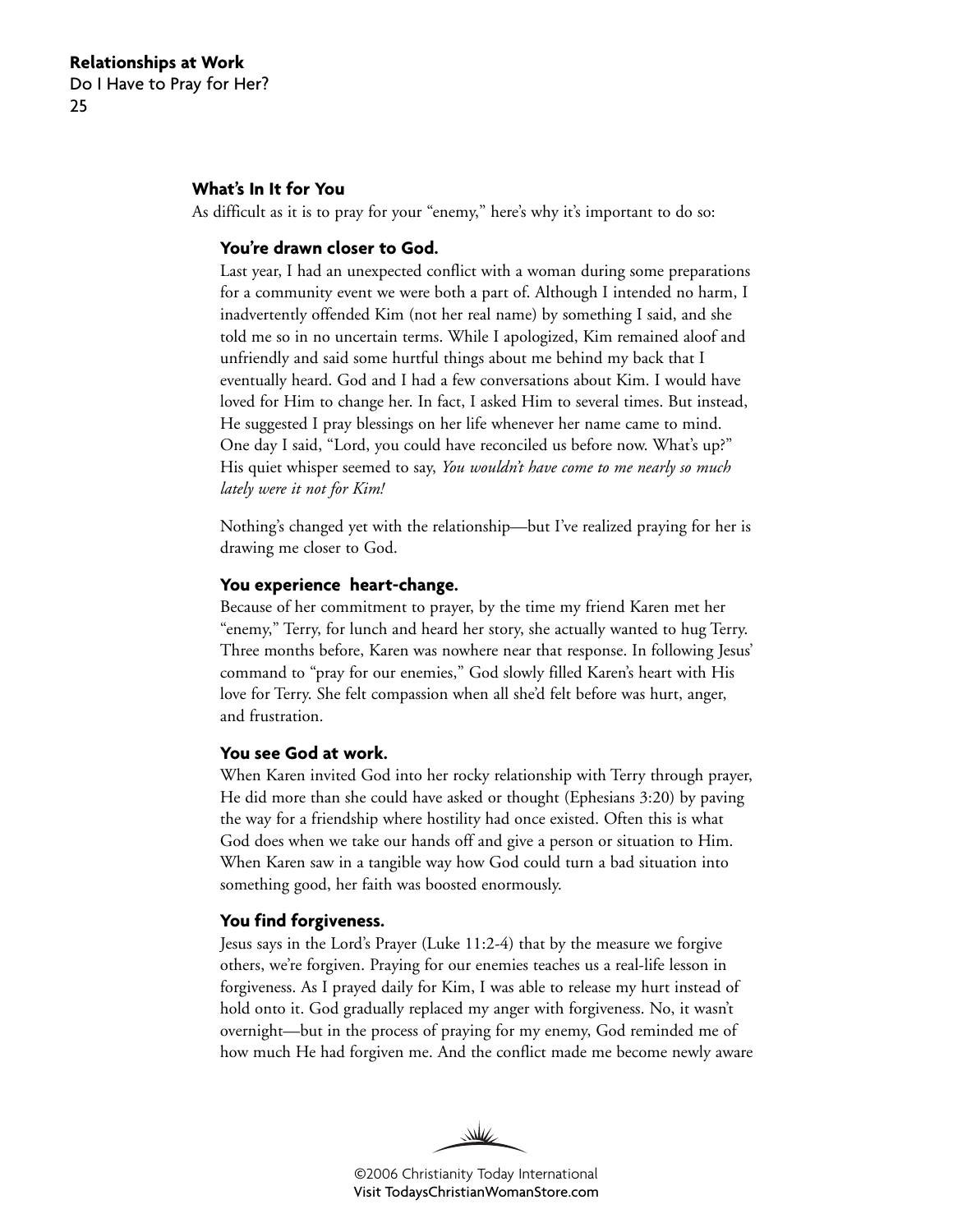#### **What's In It for You**

As difficult as it is to pray for your "enemy," here's why it's important to do so:

#### **You're drawn closer to God.**

Last year, I had an unexpected conflict with a woman during some preparations for a community event we were both a part of. Although I intended no harm, I inadvertently offended Kim (not her real name) by something I said, and she told me so in no uncertain terms. While I apologized, Kim remained aloof and unfriendly and said some hurtful things about me behind my back that I eventually heard. God and I had a few conversations about Kim. I would have loved for Him to change her. In fact, I asked Him to several times. But instead, He suggested I pray blessings on her life whenever her name came to mind. One day I said, "Lord, you could have reconciled us before now. What's up?" His quiet whisper seemed to say, *You wouldn't have come to me nearly so much lately were it not for Kim!*

Nothing's changed yet with the relationship—but I've realized praying for her is drawing me closer to God.

#### **You experience heart-change.**

Because of her commitment to prayer, by the time my friend Karen met her "enemy," Terry, for lunch and heard her story, she actually wanted to hug Terry. Three months before, Karen was nowhere near that response. In following Jesus' command to "pray for our enemies," God slowly filled Karen's heart with His love for Terry. She felt compassion when all she'd felt before was hurt, anger, and frustration.

#### **You see God at work.**

When Karen invited God into her rocky relationship with Terry through prayer, He did more than she could have asked or thought (Ephesians 3:20) by paving the way for a friendship where hostility had once existed. Often this is what God does when we take our hands off and give a person or situation to Him. When Karen saw in a tangible way how God could turn a bad situation into something good, her faith was boosted enormously.

#### **You find forgiveness.**

Jesus says in the Lord's Prayer (Luke 11:2-4) that by the measure we forgive others, we're forgiven. Praying for our enemies teaches us a real-life lesson in forgiveness. As I prayed daily for Kim, I was able to release my hurt instead of hold onto it. God gradually replaced my anger with forgiveness. No, it wasn't overnight—but in the process of praying for my enemy, God reminded me of how much He had forgiven me. And the conflict made me become newly aware

W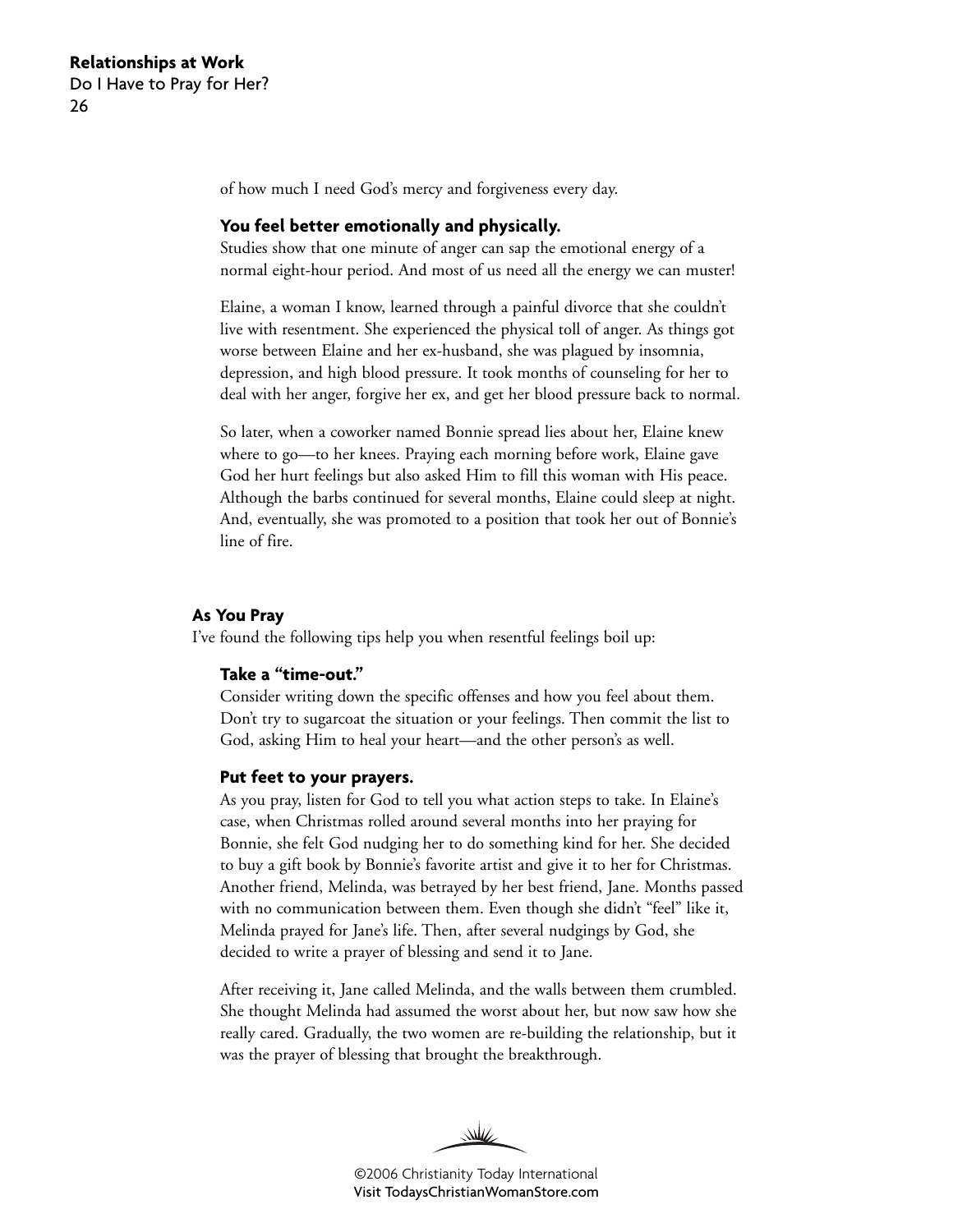of how much I need God's mercy and forgiveness every day.

#### **You feel better emotionally and physically.**

Studies show that one minute of anger can sap the emotional energy of a normal eight-hour period. And most of us need all the energy we can muster!

Elaine, a woman I know, learned through a painful divorce that she couldn't live with resentment. She experienced the physical toll of anger. As things got worse between Elaine and her ex-husband, she was plagued by insomnia, depression, and high blood pressure. It took months of counseling for her to deal with her anger, forgive her ex, and get her blood pressure back to normal.

So later, when a coworker named Bonnie spread lies about her, Elaine knew where to go—to her knees. Praying each morning before work, Elaine gave God her hurt feelings but also asked Him to fill this woman with His peace. Although the barbs continued for several months, Elaine could sleep at night. And, eventually, she was promoted to a position that took her out of Bonnie's line of fire.

#### **As You Pray**

I've found the following tips help you when resentful feelings boil up:

#### **Take a "time-out."**

Consider writing down the specific offenses and how you feel about them. Don't try to sugarcoat the situation or your feelings. Then commit the list to God, asking Him to heal your heart—and the other person's as well.

#### **Put feet to your prayers.**

As you pray, listen for God to tell you what action steps to take. In Elaine's case, when Christmas rolled around several months into her praying for Bonnie, she felt God nudging her to do something kind for her. She decided to buy a gift book by Bonnie's favorite artist and give it to her for Christmas. Another friend, Melinda, was betrayed by her best friend, Jane. Months passed with no communication between them. Even though she didn't "feel" like it, Melinda prayed for Jane's life. Then, after several nudgings by God, she decided to write a prayer of blessing and send it to Jane.

After receiving it, Jane called Melinda, and the walls between them crumbled. She thought Melinda had assumed the worst about her, but now saw how she really cared. Gradually, the two women are re-building the relationship, but it was the prayer of blessing that brought the breakthrough.

WW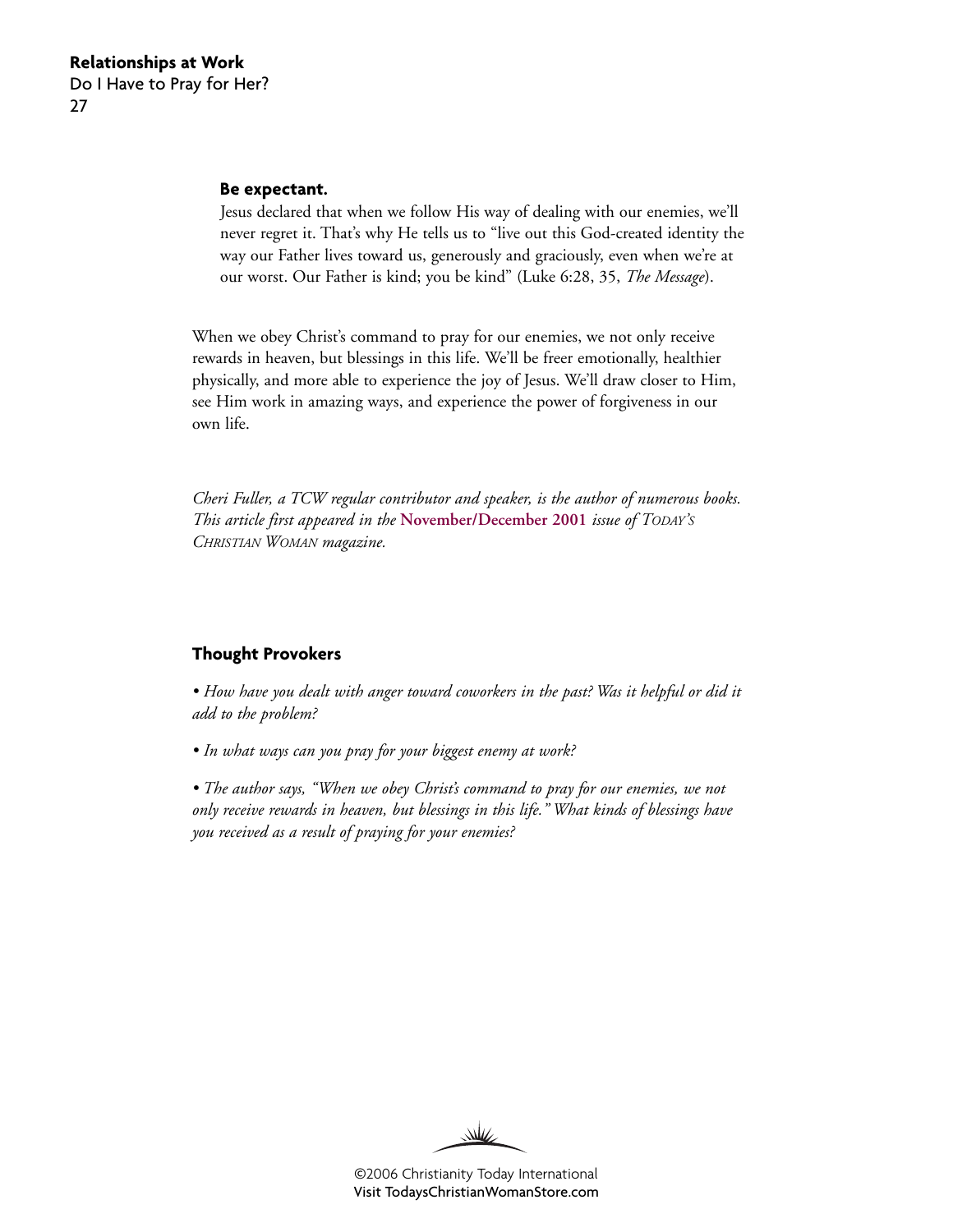#### **Be expectant.**

Jesus declared that when we follow His way of dealing with our enemies, we'll never regret it. That's why He tells us to "live out this God-created identity the way our Father lives toward us, generously and graciously, even when we're at our worst. Our Father is kind; you be kind" (Luke 6:28, 35, *The Message*).

When we obey Christ's command to pray for our enemies, we not only receive rewards in heaven, but blessings in this life. We'll be freer emotionally, healthier physically, and more able to experience the joy of Jesus. We'll draw closer to Him, see Him work in amazing ways, and experience the power of forgiveness in our own life.

*Cheri Fuller, a TCW regular contributor and speaker, is the author of numerous books. This article first appeared in the* **[November/December 2001](http://www.christianitytoday.com/tcw/2001/novdec/2.41.html)** *issue of TODAY'S CHRISTIAN WOMAN magazine.*

#### **Thought Provokers**

*• How have you dealt with anger toward coworkers in the past? Was it helpful or did it add to the problem?*

*• In what ways can you pray for your biggest enemy at work?*

*• The author says, "When we obey Christ's command to pray for our enemies, we not only receive rewards in heaven, but blessings in this life." What kinds of blessings have you received as a result of praying for your enemies?*

W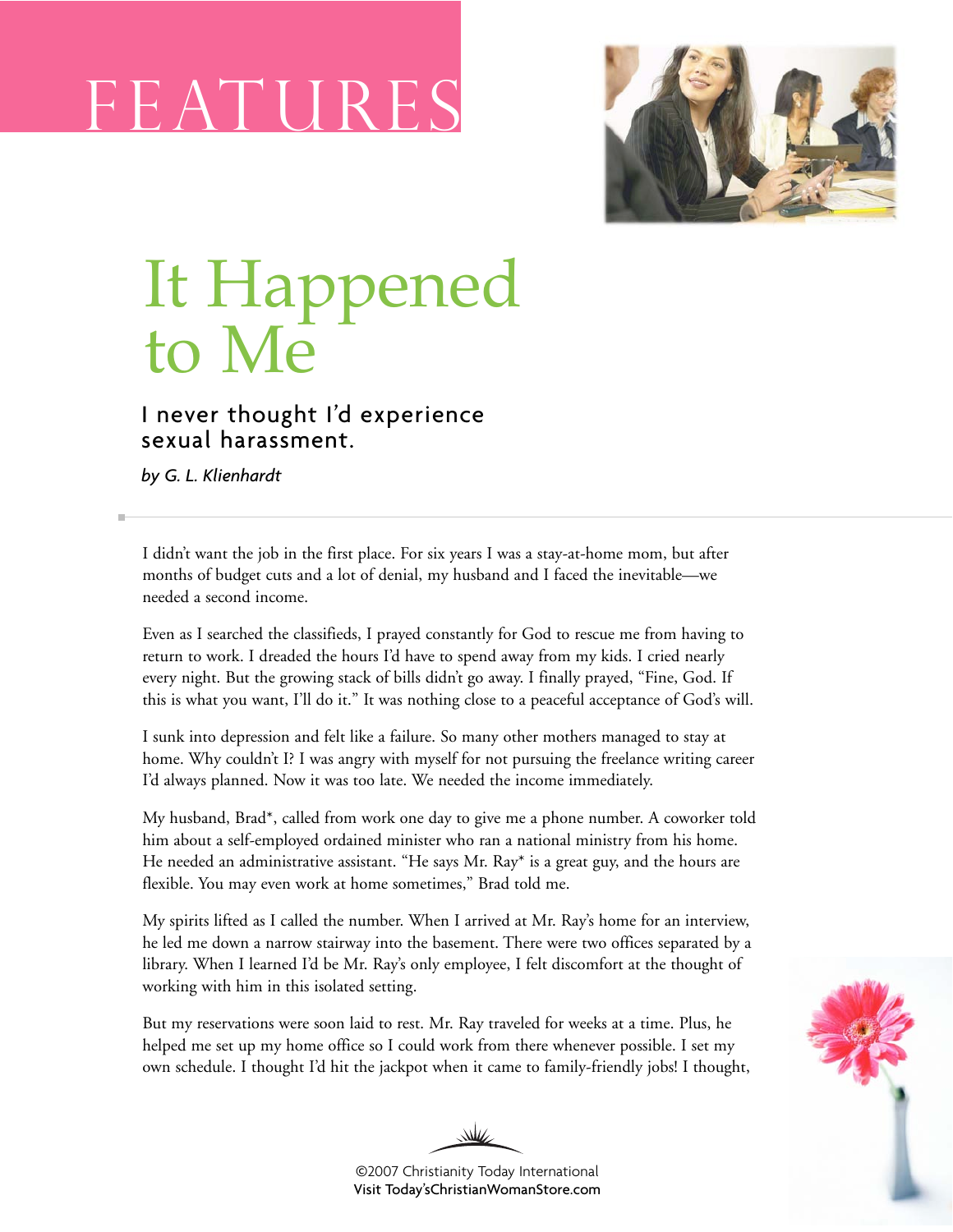# F EAT U RE S



# It Happened to Me

### I never thought I'd experience sexual harassment.

*by G. L. Klienhardt*

I didn't want the job in the first place. For six years I was a stay-at-home mom, but after months of budget cuts and a lot of denial, my husband and I faced the inevitable—we needed a second income.

Even as I searched the classifieds, I prayed constantly for God to rescue me from having to return to work. I dreaded the hours I'd have to spend away from my kids. I cried nearly every night. But the growing stack of bills didn't go away. I finally prayed, "Fine, God. If this is what you want, I'll do it." It was nothing close to a peaceful acceptance of God's will.

I sunk into depression and felt like a failure. So many other mothers managed to stay at home. Why couldn't I? I was angry with myself for not pursuing the freelance writing career I'd always planned. Now it was too late. We needed the income immediately.

My husband, Brad\*, called from work one day to give me a phone number. A coworker told him about a self-employed ordained minister who ran a national ministry from his home. He needed an administrative assistant. "He says Mr. Ray\* is a great guy, and the hours are flexible. You may even work at home sometimes," Brad told me.

My spirits lifted as I called the number. When I arrived at Mr. Ray's home for an interview, he led me down a narrow stairway into the basement. There were two offices separated by a library. When I learned I'd be Mr. Ray's only employee, I felt discomfort at the thought of working with him in this isolated setting.

But my reservations were soon laid to rest. Mr. Ray traveled for weeks at a time. Plus, he helped me set up my home office so I could work from there whenever possible. I set my own schedule. I thought I'd hit the jackpot when it came to family-friendly jobs! I thought,



©2007 Christianity Today International [Visit Today'sChristianWomanStore.com](http://todayschristianwomanstore.com)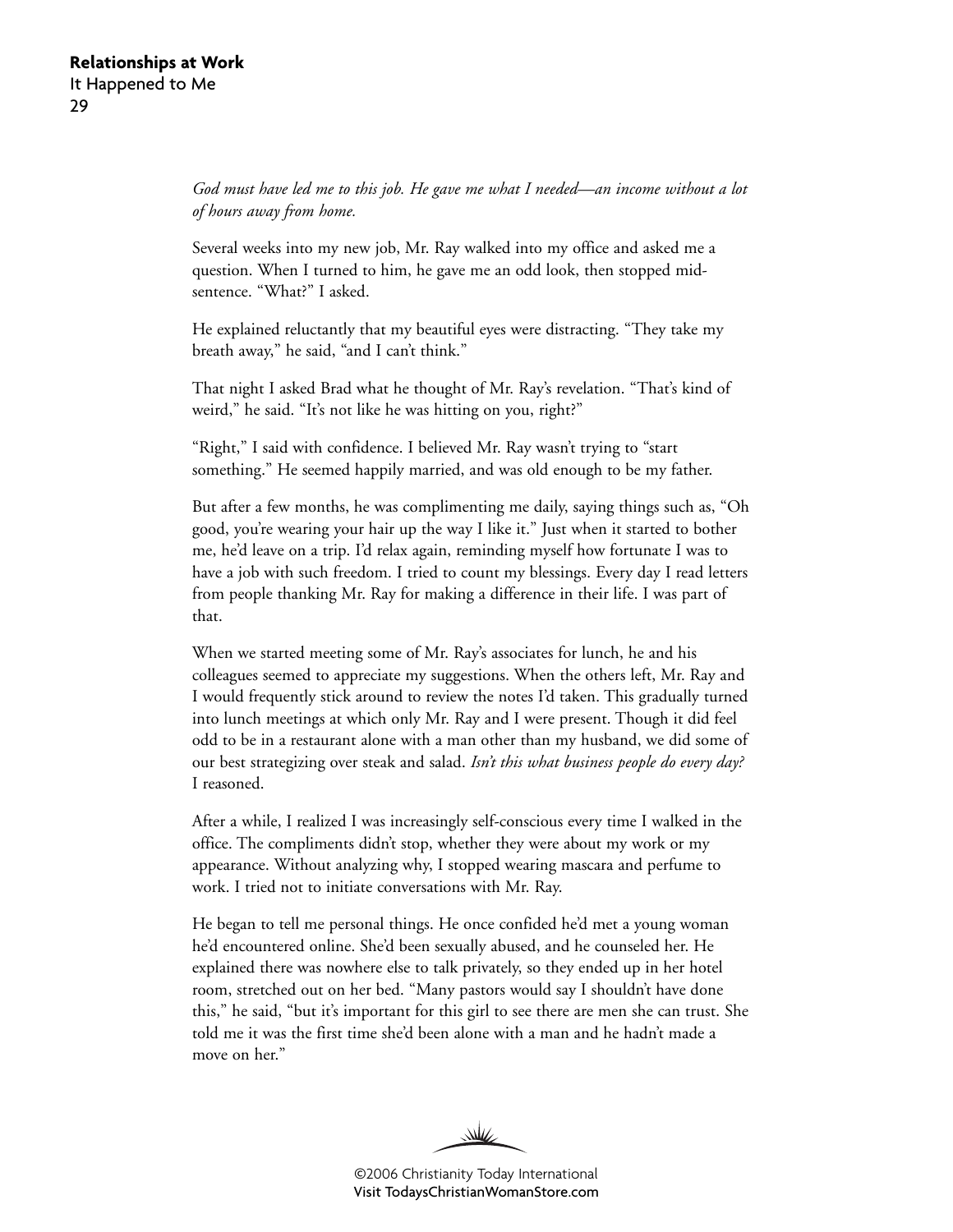*God must have led me to this job. He gave me what I needed—an income without a lot of hours away from home.*

Several weeks into my new job, Mr. Ray walked into my office and asked me a question. When I turned to him, he gave me an odd look, then stopped midsentence. "What?" I asked.

He explained reluctantly that my beautiful eyes were distracting. "They take my breath away," he said, "and I can't think."

That night I asked Brad what he thought of Mr. Ray's revelation. "That's kind of weird," he said. "It's not like he was hitting on you, right?"

"Right," I said with confidence. I believed Mr. Ray wasn't trying to "start something." He seemed happily married, and was old enough to be my father.

But after a few months, he was complimenting me daily, saying things such as, "Oh good, you're wearing your hair up the way I like it." Just when it started to bother me, he'd leave on a trip. I'd relax again, reminding myself how fortunate I was to have a job with such freedom. I tried to count my blessings. Every day I read letters from people thanking Mr. Ray for making a difference in their life. I was part of that.

When we started meeting some of Mr. Ray's associates for lunch, he and his colleagues seemed to appreciate my suggestions. When the others left, Mr. Ray and I would frequently stick around to review the notes I'd taken. This gradually turned into lunch meetings at which only Mr. Ray and I were present. Though it did feel odd to be in a restaurant alone with a man other than my husband, we did some of our best strategizing over steak and salad. *Isn't this what business people do every day?* I reasoned.

After a while, I realized I was increasingly self-conscious every time I walked in the office. The compliments didn't stop, whether they were about my work or my appearance. Without analyzing why, I stopped wearing mascara and perfume to work. I tried not to initiate conversations with Mr. Ray.

He began to tell me personal things. He once confided he'd met a young woman he'd encountered online. She'd been sexually abused, and he counseled her. He explained there was nowhere else to talk privately, so they ended up in her hotel room, stretched out on her bed. "Many pastors would say I shouldn't have done this," he said, "but it's important for this girl to see there are men she can trust. She told me it was the first time she'd been alone with a man and he hadn't made a move on her."

W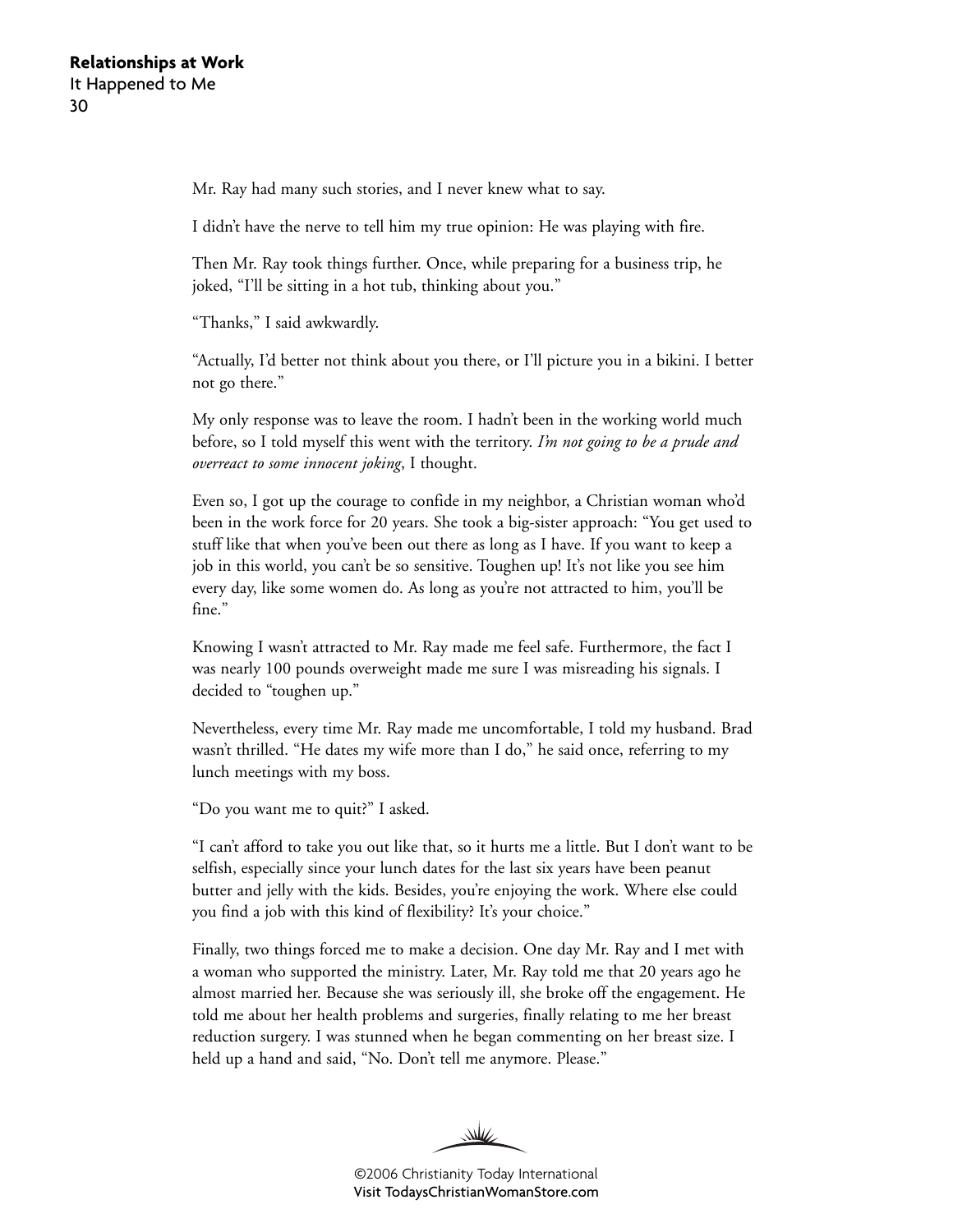Mr. Ray had many such stories, and I never knew what to say.

I didn't have the nerve to tell him my true opinion: He was playing with fire.

Then Mr. Ray took things further. Once, while preparing for a business trip, he joked, "I'll be sitting in a hot tub, thinking about you."

"Thanks," I said awkwardly.

"Actually, I'd better not think about you there, or I'll picture you in a bikini. I better not go there."

My only response was to leave the room. I hadn't been in the working world much before, so I told myself this went with the territory. *I'm not going to be a prude and overreact to some innocent joking*, I thought.

Even so, I got up the courage to confide in my neighbor, a Christian woman who'd been in the work force for 20 years. She took a big-sister approach: "You get used to stuff like that when you've been out there as long as I have. If you want to keep a job in this world, you can't be so sensitive. Toughen up! It's not like you see him every day, like some women do. As long as you're not attracted to him, you'll be fine."

Knowing I wasn't attracted to Mr. Ray made me feel safe. Furthermore, the fact I was nearly 100 pounds overweight made me sure I was misreading his signals. I decided to "toughen up."

Nevertheless, every time Mr. Ray made me uncomfortable, I told my husband. Brad wasn't thrilled. "He dates my wife more than I do," he said once, referring to my lunch meetings with my boss.

"Do you want me to quit?" I asked.

"I can't afford to take you out like that, so it hurts me a little. But I don't want to be selfish, especially since your lunch dates for the last six years have been peanut butter and jelly with the kids. Besides, you're enjoying the work. Where else could you find a job with this kind of flexibility? It's your choice."

Finally, two things forced me to make a decision. One day Mr. Ray and I met with a woman who supported the ministry. Later, Mr. Ray told me that 20 years ago he almost married her. Because she was seriously ill, she broke off the engagement. He told me about her health problems and surgeries, finally relating to me her breast reduction surgery. I was stunned when he began commenting on her breast size. I held up a hand and said, "No. Don't tell me anymore. Please."

W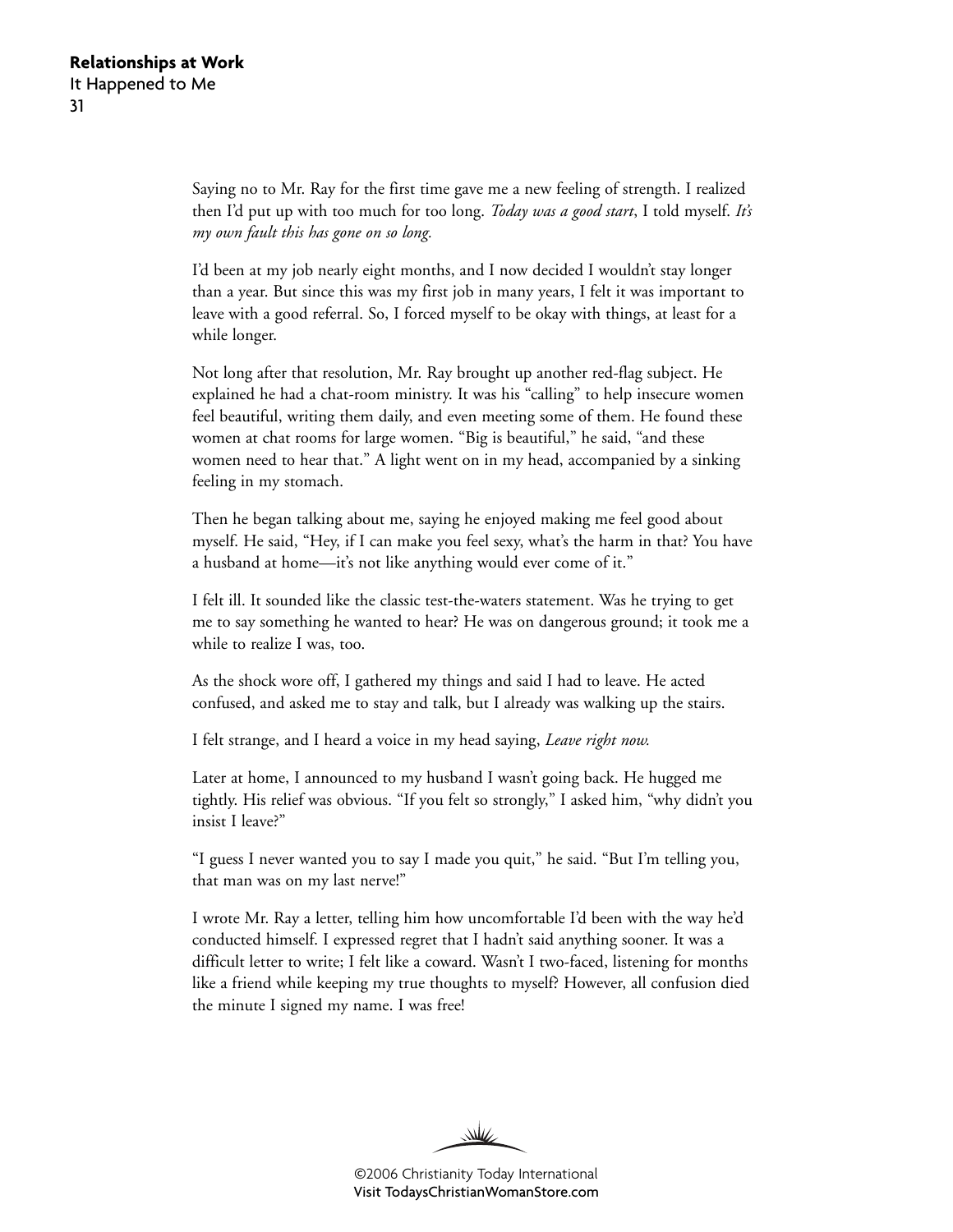Saying no to Mr. Ray for the first time gave me a new feeling of strength. I realized then I'd put up with too much for too long. *Today was a good start*, I told myself. *It's my own fault this has gone on so long.*

I'd been at my job nearly eight months, and I now decided I wouldn't stay longer than a year. But since this was my first job in many years, I felt it was important to leave with a good referral. So, I forced myself to be okay with things, at least for a while longer.

Not long after that resolution, Mr. Ray brought up another red-flag subject. He explained he had a chat-room ministry. It was his "calling" to help insecure women feel beautiful, writing them daily, and even meeting some of them. He found these women at chat rooms for large women. "Big is beautiful," he said, "and these women need to hear that." A light went on in my head, accompanied by a sinking feeling in my stomach.

Then he began talking about me, saying he enjoyed making me feel good about myself. He said, "Hey, if I can make you feel sexy, what's the harm in that? You have a husband at home—it's not like anything would ever come of it."

I felt ill. It sounded like the classic test-the-waters statement. Was he trying to get me to say something he wanted to hear? He was on dangerous ground; it took me a while to realize I was, too.

As the shock wore off, I gathered my things and said I had to leave. He acted confused, and asked me to stay and talk, but I already was walking up the stairs.

I felt strange, and I heard a voice in my head saying, *Leave right now.*

Later at home, I announced to my husband I wasn't going back. He hugged me tightly. His relief was obvious. "If you felt so strongly," I asked him, "why didn't you insist I leave?"

"I guess I never wanted you to say I made you quit," he said. "But I'm telling you, that man was on my last nerve!"

I wrote Mr. Ray a letter, telling him how uncomfortable I'd been with the way he'd conducted himself. I expressed regret that I hadn't said anything sooner. It was a difficult letter to write; I felt like a coward. Wasn't I two-faced, listening for months like a friend while keeping my true thoughts to myself? However, all confusion died the minute I signed my name. I was free!

W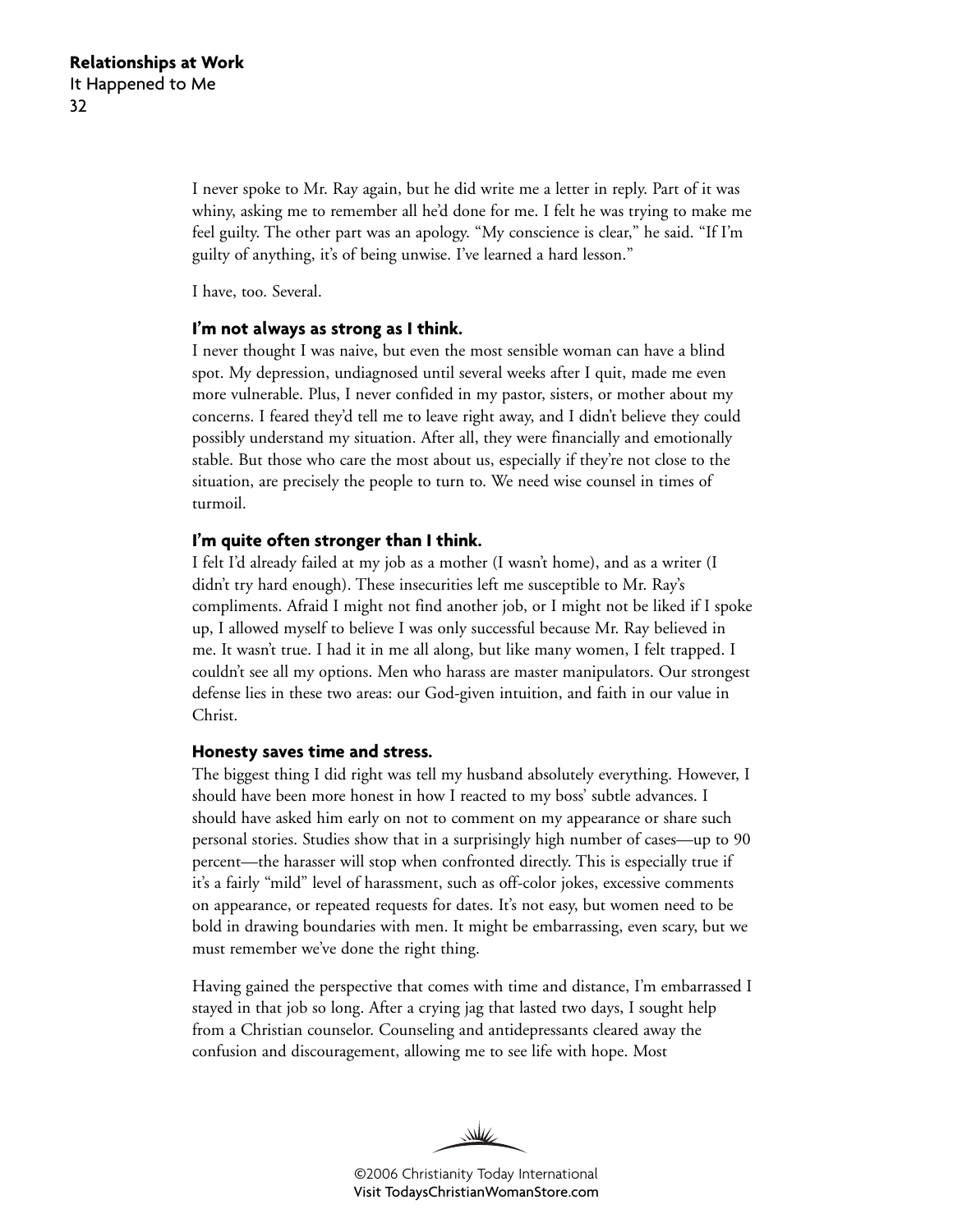I never spoke to Mr. Ray again, but he did write me a letter in reply. Part of it was whiny, asking me to remember all he'd done for me. I felt he was trying to make me feel guilty. The other part was an apology. "My conscience is clear," he said. "If I'm guilty of anything, it's of being unwise. I've learned a hard lesson."

I have, too. Several.

#### **I'm not always as strong as I think.**

I never thought I was naive, but even the most sensible woman can have a blind spot. My depression, undiagnosed until several weeks after I quit, made me even more vulnerable. Plus, I never confided in my pastor, sisters, or mother about my concerns. I feared they'd tell me to leave right away, and I didn't believe they could possibly understand my situation. After all, they were financially and emotionally stable. But those who care the most about us, especially if they're not close to the situation, are precisely the people to turn to. We need wise counsel in times of turmoil.

#### **I'm quite often stronger than I think.**

I felt I'd already failed at my job as a mother (I wasn't home), and as a writer (I didn't try hard enough). These insecurities left me susceptible to Mr. Ray's compliments. Afraid I might not find another job, or I might not be liked if I spoke up, I allowed myself to believe I was only successful because Mr. Ray believed in me. It wasn't true. I had it in me all along, but like many women, I felt trapped. I couldn't see all my options. Men who harass are master manipulators. Our strongest defense lies in these two areas: our God-given intuition, and faith in our value in Christ.

#### **Honesty saves time and stress.**

The biggest thing I did right was tell my husband absolutely everything. However, I should have been more honest in how I reacted to my boss' subtle advances. I should have asked him early on not to comment on my appearance or share such personal stories. Studies show that in a surprisingly high number of cases—up to 90 percent—the harasser will stop when confronted directly. This is especially true if it's a fairly "mild" level of harassment, such as off-color jokes, excessive comments on appearance, or repeated requests for dates. It's not easy, but women need to be bold in drawing boundaries with men. It might be embarrassing, even scary, but we must remember we've done the right thing.

Having gained the perspective that comes with time and distance, I'm embarrassed I stayed in that job so long. After a crying jag that lasted two days, I sought help from a Christian counselor. Counseling and antidepressants cleared away the confusion and discouragement, allowing me to see life with hope. Most

WW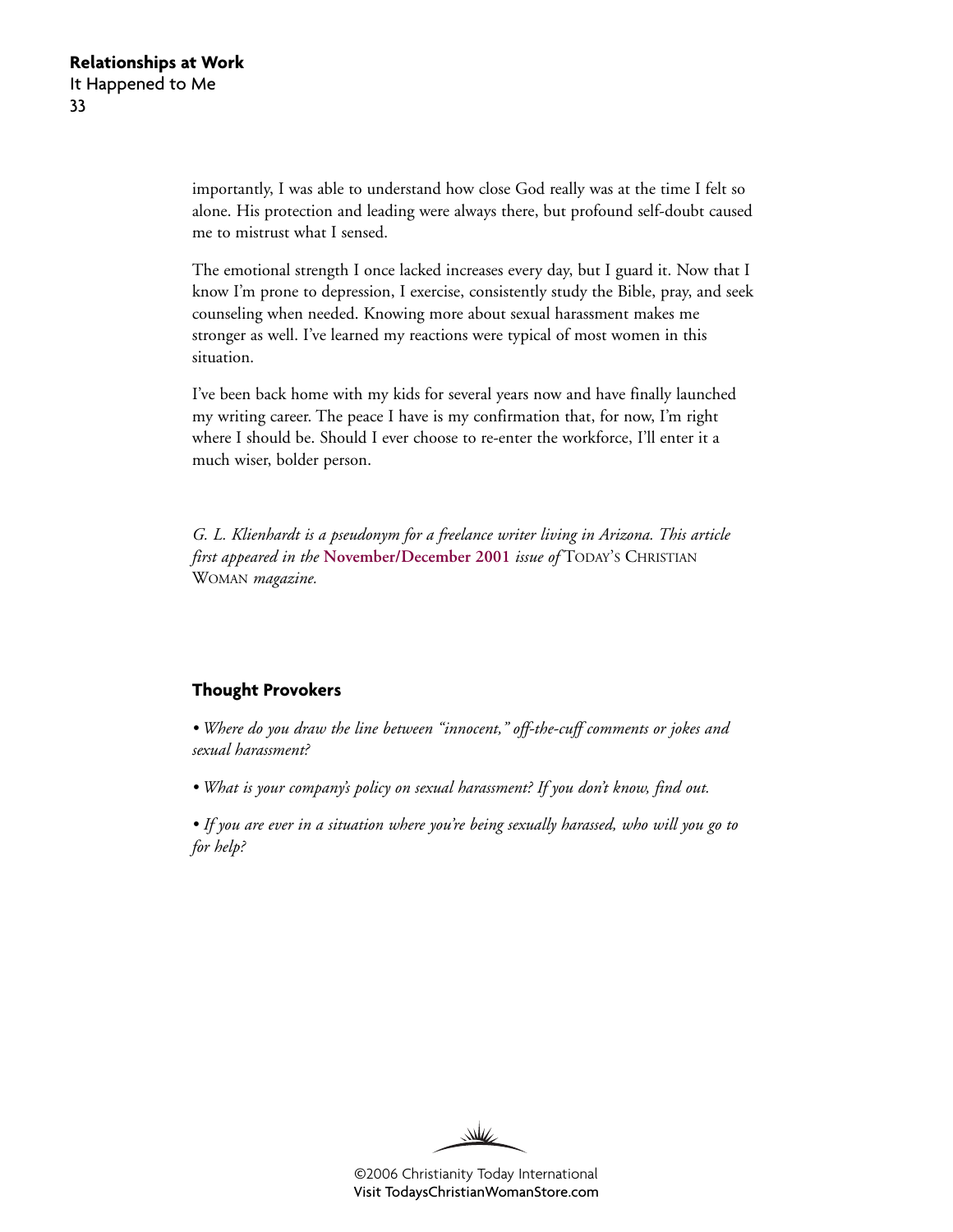importantly, I was able to understand how close God really was at the time I felt so alone. His protection and leading were always there, but profound self-doubt caused me to mistrust what I sensed.

The emotional strength I once lacked increases every day, but I guard it. Now that I know I'm prone to depression, I exercise, consistently study the Bible, pray, and seek counseling when needed. Knowing more about sexual harassment makes me stronger as well. I've learned my reactions were typical of most women in this situation.

I've been back home with my kids for several years now and have finally launched my writing career. The peace I have is my confirmation that, for now, I'm right where I should be. Should I ever choose to re-enter the workforce, I'll enter it a much wiser, bolder person.

*G. L. Klienhardt is a pseudonym for a freelance writer living in Arizona. This article first appeared in the* **[November/December 2001](http://www.christianitytoday.com/tcw/2001/novdec/7.68.html)** *issue of* TODAY'S CHRISTIAN WOMAN *magazine.*

#### **Thought Provokers**

*• Where do you draw the line between "innocent," off-the-cuff comments or jokes and sexual harassment?*

*• What is your company's policy on sexual harassment? If you don't know, find out.*

*• If you are ever in a situation where you're being sexually harassed, who will you go to for help?*

W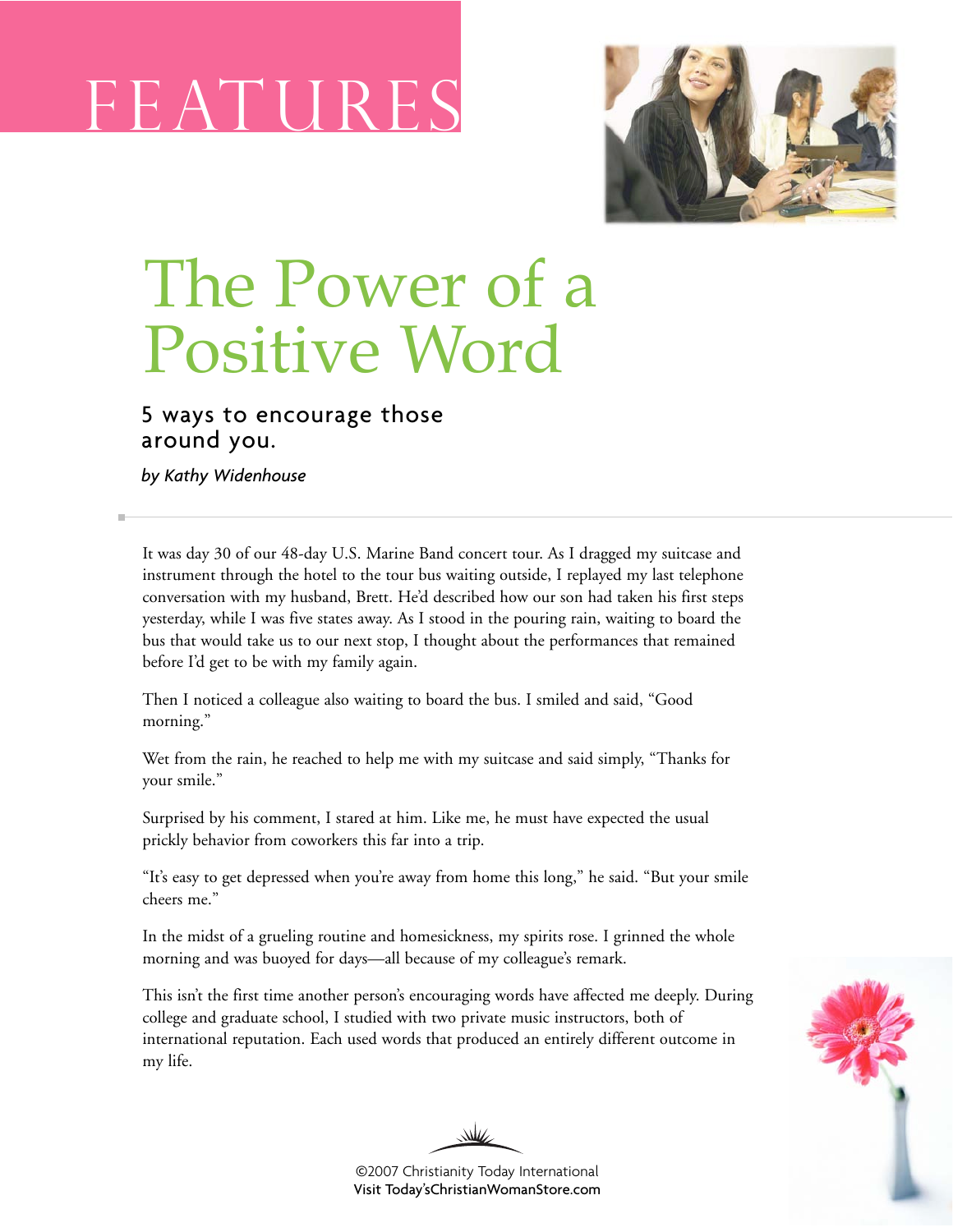# F E AT U



# The Power of a Positive Word

### 5 ways to encourage those around you.

*by Kathy Widenhouse*

It was day 30 of our 48-day U.S. Marine Band concert tour. As I dragged my suitcase and instrument through the hotel to the tour bus waiting outside, I replayed my last telephone conversation with my husband, Brett. He'd described how our son had taken his first steps yesterday, while I was five states away. As I stood in the pouring rain, waiting to board the bus that would take us to our next stop, I thought about the performances that remained before I'd get to be with my family again.

Then I noticed a colleague also waiting to board the bus. I smiled and said, "Good morning."

Wet from the rain, he reached to help me with my suitcase and said simply, "Thanks for your smile."

Surprised by his comment, I stared at him. Like me, he must have expected the usual prickly behavior from coworkers this far into a trip.

"It's easy to get depressed when you're away from home this long," he said. "But your smile cheers me."

In the midst of a grueling routine and homesickness, my spirits rose. I grinned the whole morning and was buoyed for days—all because of my colleague's remark.

This isn't the first time another person's encouraging words have affected me deeply. During college and graduate school, I studied with two private music instructors, both of international reputation. Each used words that produced an entirely different outcome in my life.



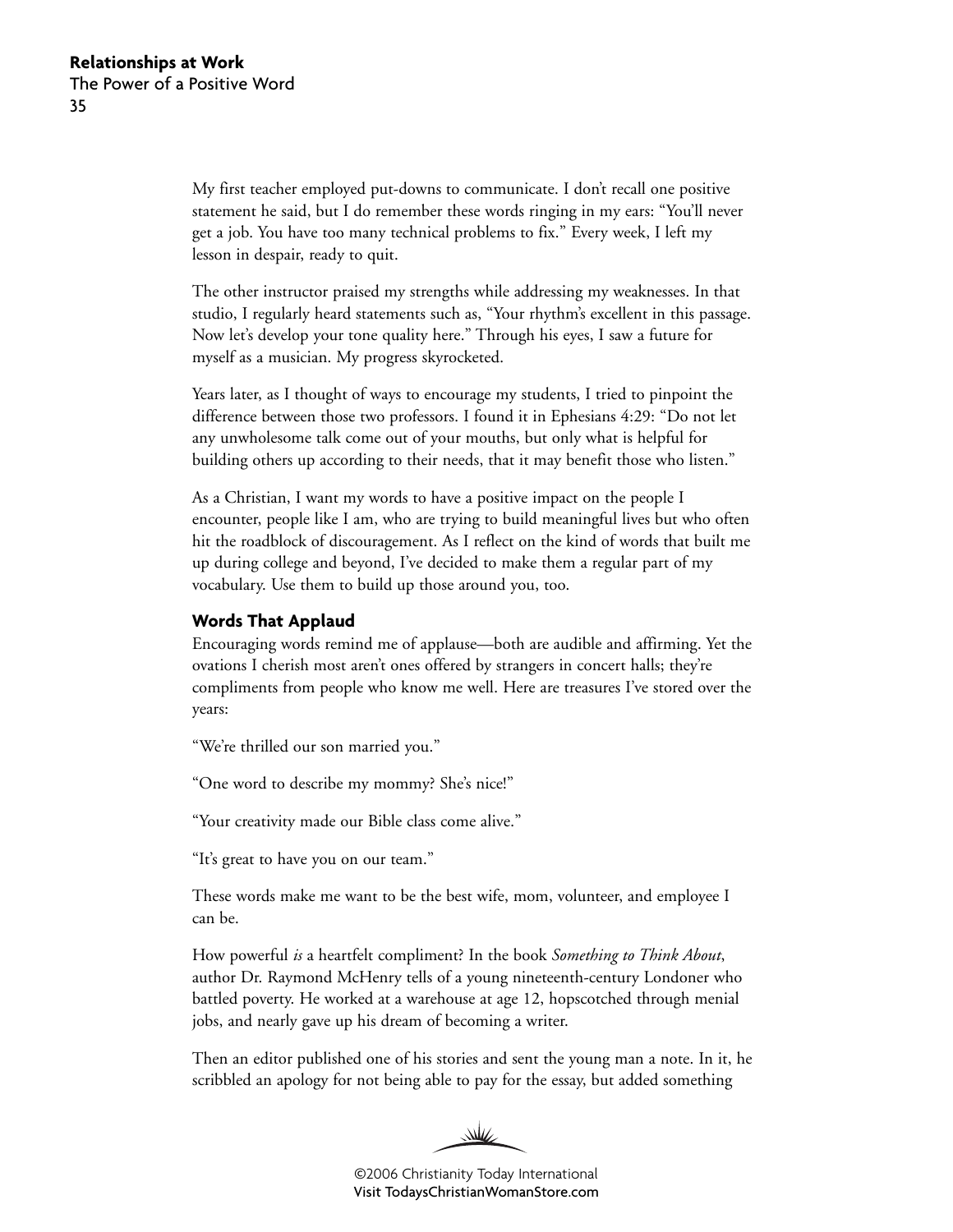My first teacher employed put-downs to communicate. I don't recall one positive statement he said, but I do remember these words ringing in my ears: "You'll never get a job. You have too many technical problems to fix." Every week, I left my lesson in despair, ready to quit.

The other instructor praised my strengths while addressing my weaknesses. In that studio, I regularly heard statements such as, "Your rhythm's excellent in this passage. Now let's develop your tone quality here." Through his eyes, I saw a future for myself as a musician. My progress skyrocketed.

Years later, as I thought of ways to encourage my students, I tried to pinpoint the difference between those two professors. I found it in Ephesians 4:29: "Do not let any unwholesome talk come out of your mouths, but only what is helpful for building others up according to their needs, that it may benefit those who listen."

As a Christian, I want my words to have a positive impact on the people I encounter, people like I am, who are trying to build meaningful lives but who often hit the roadblock of discouragement. As I reflect on the kind of words that built me up during college and beyond, I've decided to make them a regular part of my vocabulary. Use them to build up those around you, too.

#### **Words That Applaud**

Encouraging words remind me of applause—both are audible and affirming. Yet the ovations I cherish most aren't ones offered by strangers in concert halls; they're compliments from people who know me well. Here are treasures I've stored over the years:

"We're thrilled our son married you."

"One word to describe my mommy? She's nice!"

"Your creativity made our Bible class come alive."

"It's great to have you on our team."

These words make me want to be the best wife, mom, volunteer, and employee I can be.

How powerful *is* a heartfelt compliment? In the book *Something to Think About*, author Dr. Raymond McHenry tells of a young nineteenth-century Londoner who battled poverty. He worked at a warehouse at age 12, hopscotched through menial jobs, and nearly gave up his dream of becoming a writer.

Then an editor published one of his stories and sent the young man a note. In it, he scribbled an apology for not being able to pay for the essay, but added something

WW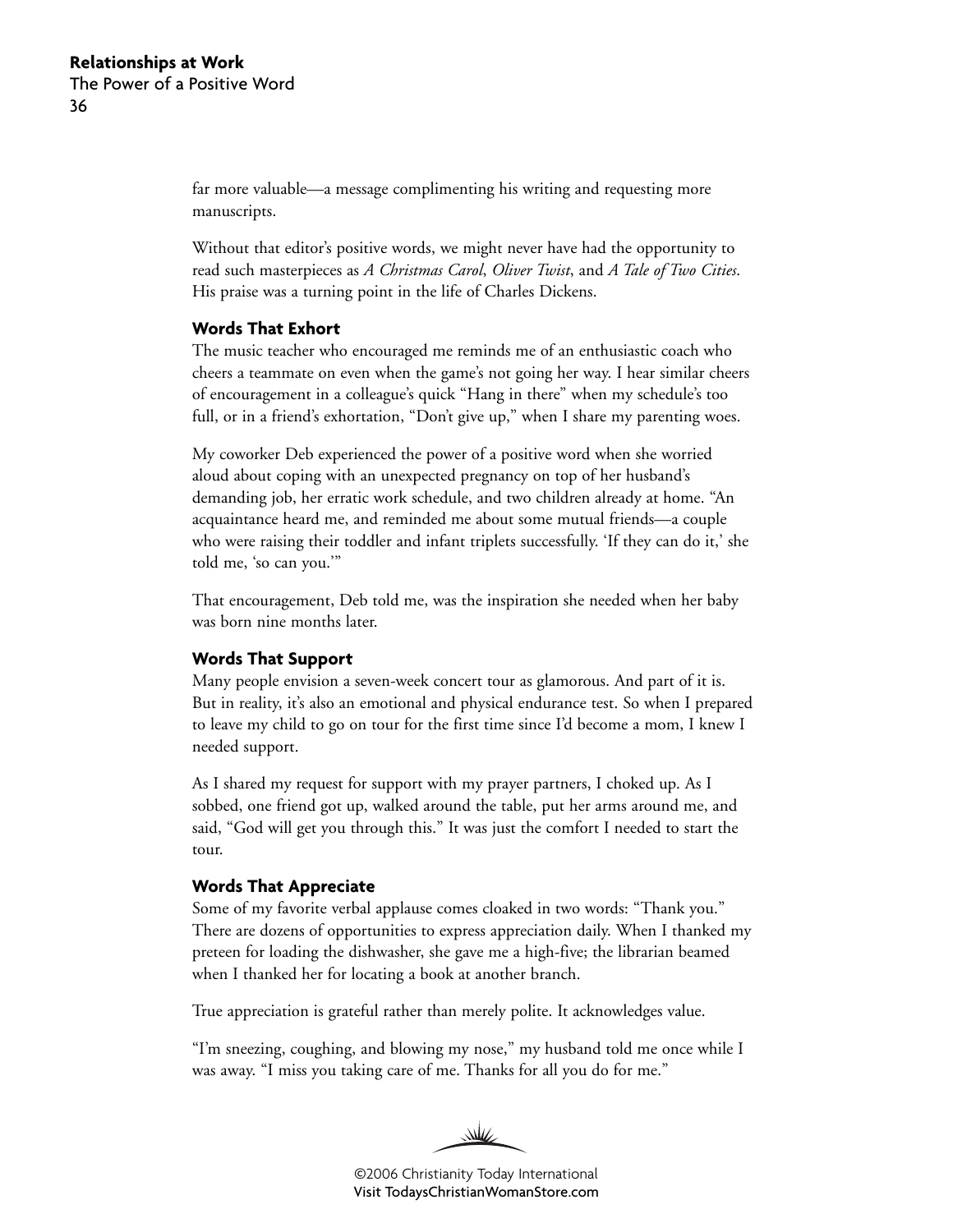far more valuable—a message complimenting his writing and requesting more manuscripts.

Without that editor's positive words, we might never have had the opportunity to read such masterpieces as *A Christmas Carol*, *Oliver Twist*, and *A Tale of Two Cities*. His praise was a turning point in the life of Charles Dickens.

#### **Words That Exhort**

The music teacher who encouraged me reminds me of an enthusiastic coach who cheers a teammate on even when the game's not going her way. I hear similar cheers of encouragement in a colleague's quick "Hang in there" when my schedule's too full, or in a friend's exhortation, "Don't give up," when I share my parenting woes.

My coworker Deb experienced the power of a positive word when she worried aloud about coping with an unexpected pregnancy on top of her husband's demanding job, her erratic work schedule, and two children already at home. "An acquaintance heard me, and reminded me about some mutual friends—a couple who were raising their toddler and infant triplets successfully. 'If they can do it,' she told me, 'so can you.'"

That encouragement, Deb told me, was the inspiration she needed when her baby was born nine months later.

#### **Words That Support**

Many people envision a seven-week concert tour as glamorous. And part of it is. But in reality, it's also an emotional and physical endurance test. So when I prepared to leave my child to go on tour for the first time since I'd become a mom, I knew I needed support.

As I shared my request for support with my prayer partners, I choked up. As I sobbed, one friend got up, walked around the table, put her arms around me, and said, "God will get you through this." It was just the comfort I needed to start the tour.

#### **Words That Appreciate**

Some of my favorite verbal applause comes cloaked in two words: "Thank you." There are dozens of opportunities to express appreciation daily. When I thanked my preteen for loading the dishwasher, she gave me a high-five; the librarian beamed when I thanked her for locating a book at another branch.

True appreciation is grateful rather than merely polite. It acknowledges value.

"I'm sneezing, coughing, and blowing my nose," my husband told me once while I was away. "I miss you taking care of me. Thanks for all you do for me."

WW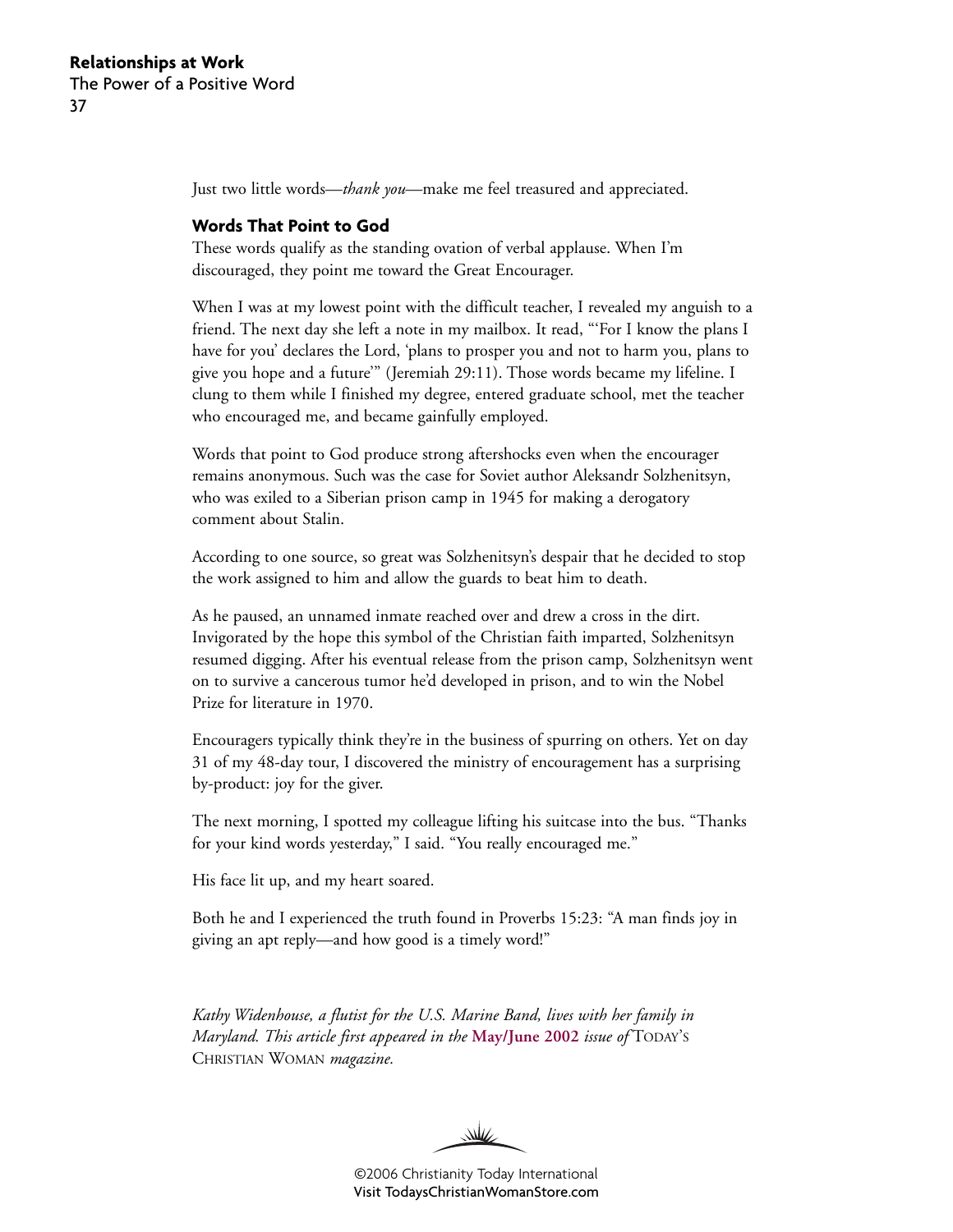Just two little words—*thank you*—make me feel treasured and appreciated.

#### **Words That Point to God**

These words qualify as the standing ovation of verbal applause. When I'm discouraged, they point me toward the Great Encourager.

When I was at my lowest point with the difficult teacher, I revealed my anguish to a friend. The next day she left a note in my mailbox. It read, "'For I know the plans I have for you' declares the Lord, 'plans to prosper you and not to harm you, plans to give you hope and a future'" (Jeremiah 29:11). Those words became my lifeline. I clung to them while I finished my degree, entered graduate school, met the teacher who encouraged me, and became gainfully employed.

Words that point to God produce strong aftershocks even when the encourager remains anonymous. Such was the case for Soviet author Aleksandr Solzhenitsyn, who was exiled to a Siberian prison camp in 1945 for making a derogatory comment about Stalin.

According to one source, so great was Solzhenitsyn's despair that he decided to stop the work assigned to him and allow the guards to beat him to death.

As he paused, an unnamed inmate reached over and drew a cross in the dirt. Invigorated by the hope this symbol of the Christian faith imparted, Solzhenitsyn resumed digging. After his eventual release from the prison camp, Solzhenitsyn went on to survive a cancerous tumor he'd developed in prison, and to win the Nobel Prize for literature in 1970.

Encouragers typically think they're in the business of spurring on others. Yet on day 31 of my 48-day tour, I discovered the ministry of encouragement has a surprising by-product: joy for the giver.

The next morning, I spotted my colleague lifting his suitcase into the bus. "Thanks for your kind words yesterday," I said. "You really encouraged me."

His face lit up, and my heart soared.

Both he and I experienced the truth found in Proverbs 15:23: "A man finds joy in giving an apt reply—and how good is a timely word!"

*Kathy Widenhouse, a flutist for the U.S. Marine Band, lives with her family in Maryland. This article first appeared in the* **[May/June 2002](http://www.christianitytoday.com/tcw/2002/mayjun/6.56.html)** *issue of* TODAY'S CHRISTIAN WOMAN *magazine.*

W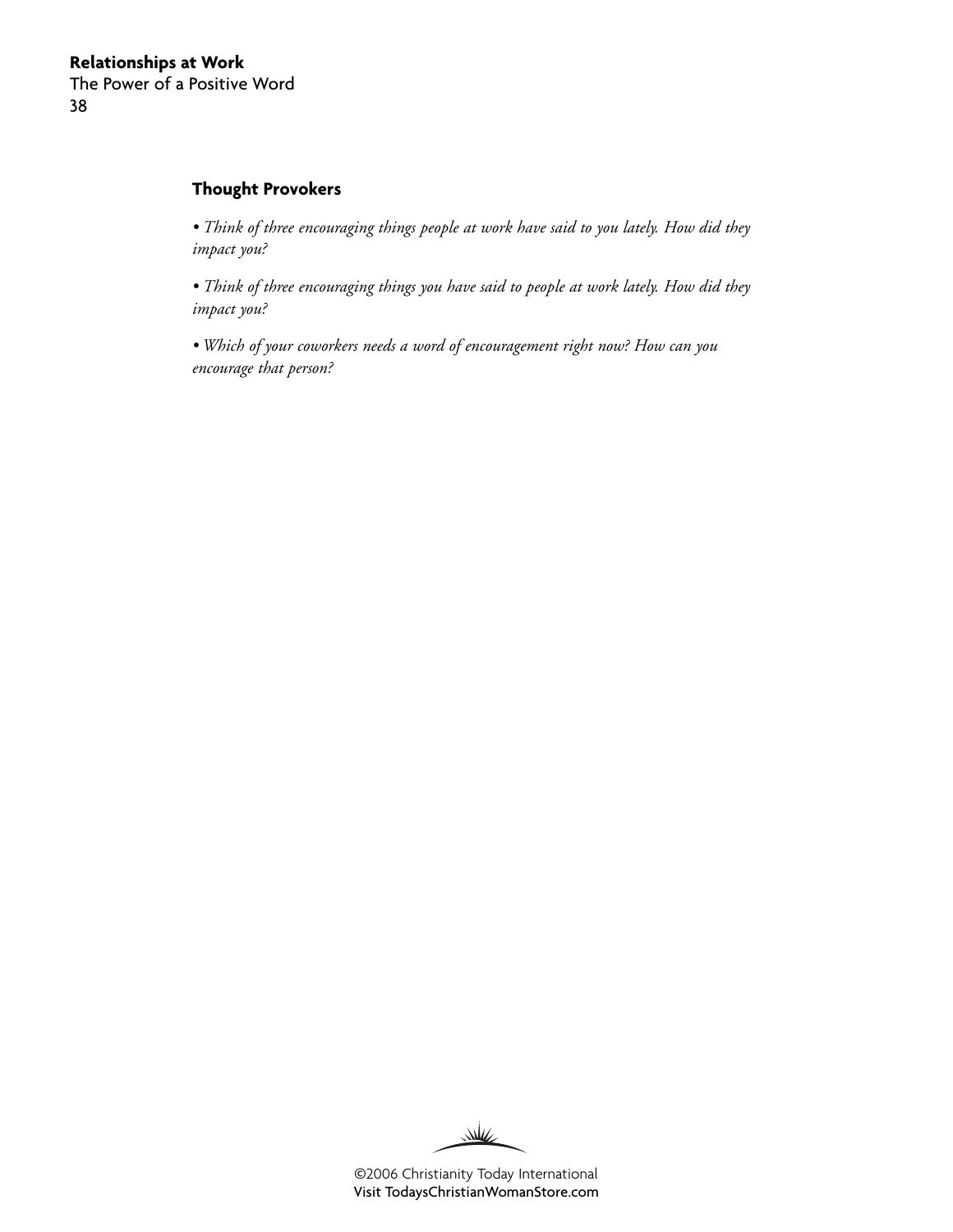#### **Thought Provokers**

*• Think of three encouraging things people at work have said to you lately. How did they impact you?*

*• Think of three encouraging things you have said to people at work lately. How did they impact you?*

*• Which of your coworkers needs a word of encouragement right now? How can you encourage that person?*

W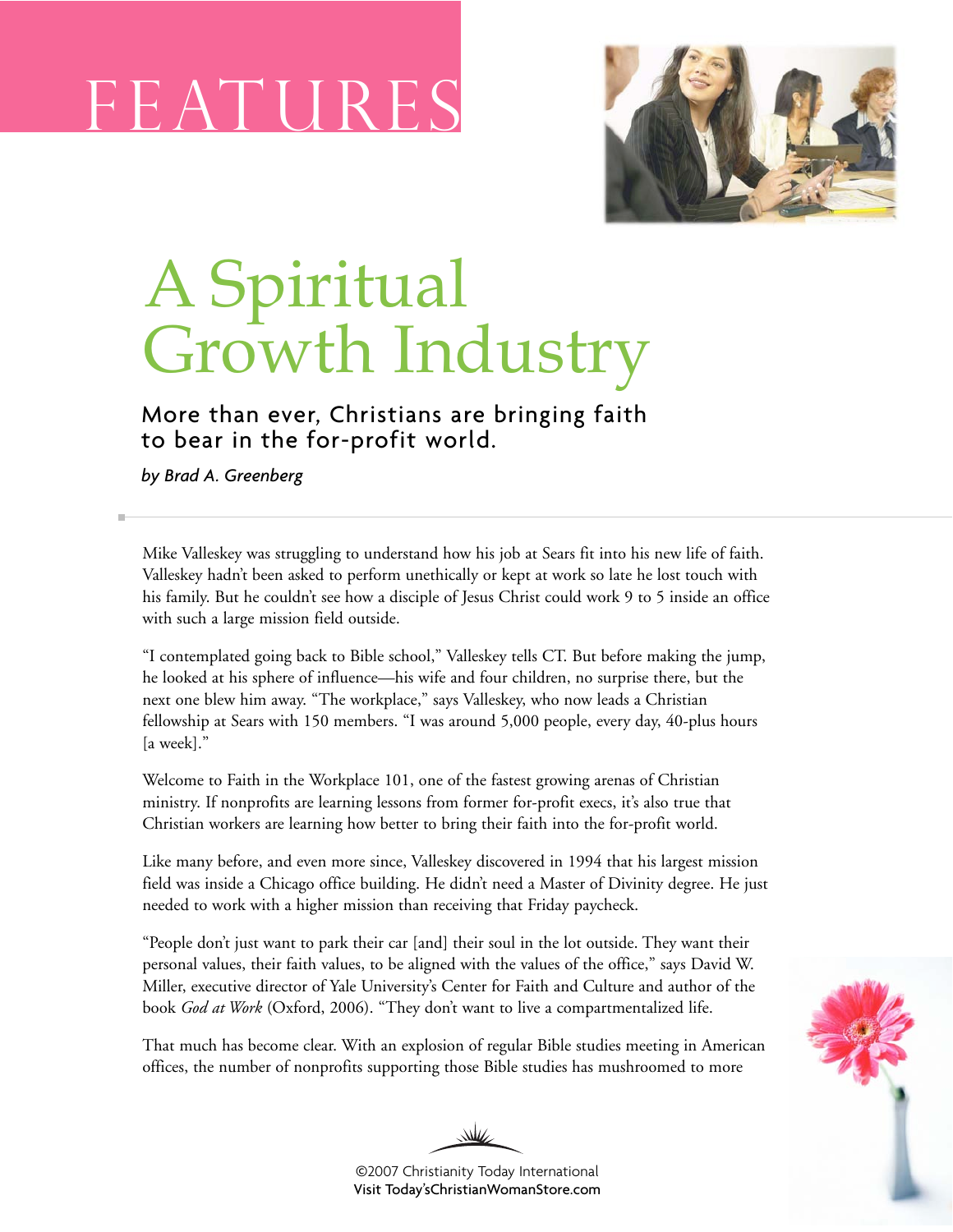# F E AT U



## A Spiritual Growth Industry

More than ever, Christians are bringing faith to bear in the for-profit world.

*by Brad A. Greenberg*

Mike Valleskey was struggling to understand how his job at Sears fit into his new life of faith. Valleskey hadn't been asked to perform unethically or kept at work so late he lost touch with his family. But he couldn't see how a disciple of Jesus Christ could work 9 to 5 inside an office with such a large mission field outside.

"I contemplated going back to Bible school," Valleskey tells CT. But before making the jump, he looked at his sphere of influence—his wife and four children, no surprise there, but the next one blew him away. "The workplace," says Valleskey, who now leads a Christian fellowship at Sears with 150 members. "I was around 5,000 people, every day, 40-plus hours [a week]."

Welcome to Faith in the Workplace 101, one of the fastest growing arenas of Christian ministry. If nonprofits are learning lessons from former for-profit execs, it's also true that Christian workers are learning how better to bring their faith into the for-profit world.

Like many before, and even more since, Valleskey discovered in 1994 that his largest mission field was inside a Chicago office building. He didn't need a Master of Divinity degree. He just needed to work with a higher mission than receiving that Friday paycheck.

"People don't just want to park their car [and] their soul in the lot outside. They want their personal values, their faith values, to be aligned with the values of the office," says David W. Miller, executive director of Yale University's Center for Faith and Culture and author of the book *God at Work* (Oxford, 2006). "They don't want to live a compartmentalized life.

That much has become clear. With an explosion of regular Bible studies meeting in American offices, the number of nonprofits supporting those Bible studies has mushroomed to more

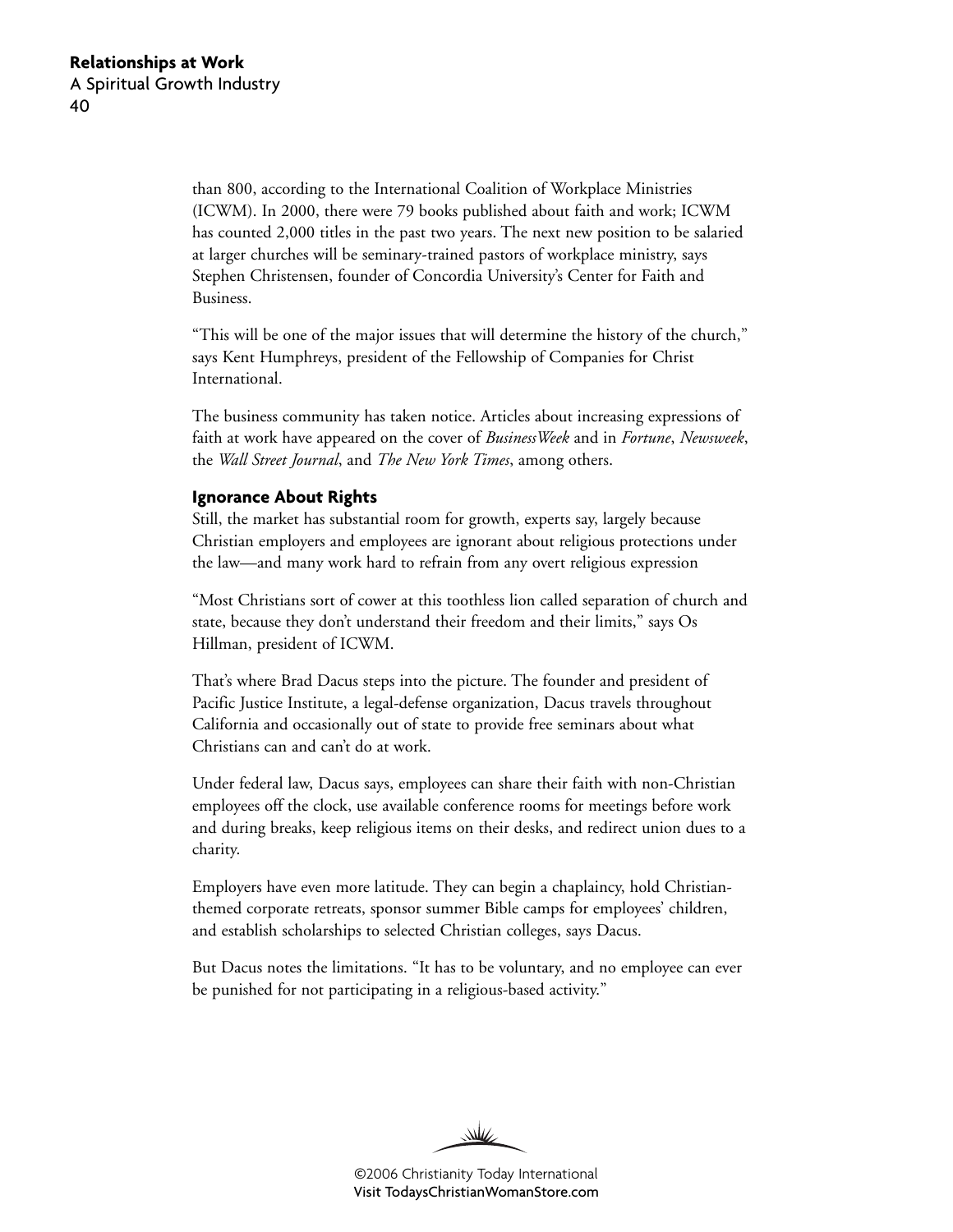than 800, according to the International Coalition of Workplace Ministries (ICWM). In 2000, there were 79 books published about faith and work; ICWM has counted 2,000 titles in the past two years. The next new position to be salaried at larger churches will be seminary-trained pastors of workplace ministry, says Stephen Christensen, founder of Concordia University's Center for Faith and Business.

"This will be one of the major issues that will determine the history of the church," says Kent Humphreys, president of the Fellowship of Companies for Christ International.

The business community has taken notice. Articles about increasing expressions of faith at work have appeared on the cover of *BusinessWeek* and in *Fortune*, *Newsweek*, the *Wall Street Journal*, and *The New York Times*, among others.

#### **Ignorance About Rights**

Still, the market has substantial room for growth, experts say, largely because Christian employers and employees are ignorant about religious protections under the law—and many work hard to refrain from any overt religious expression

"Most Christians sort of cower at this toothless lion called separation of church and state, because they don't understand their freedom and their limits," says Os Hillman, president of ICWM.

That's where Brad Dacus steps into the picture. The founder and president of Pacific Justice Institute, a legal-defense organization, Dacus travels throughout California and occasionally out of state to provide free seminars about what Christians can and can't do at work.

Under federal law, Dacus says, employees can share their faith with non-Christian employees off the clock, use available conference rooms for meetings before work and during breaks, keep religious items on their desks, and redirect union dues to a charity.

Employers have even more latitude. They can begin a chaplaincy, hold Christianthemed corporate retreats, sponsor summer Bible camps for employees' children, and establish scholarships to selected Christian colleges, says Dacus.

But Dacus notes the limitations. "It has to be voluntary, and no employee can ever be punished for not participating in a religious-based activity."

W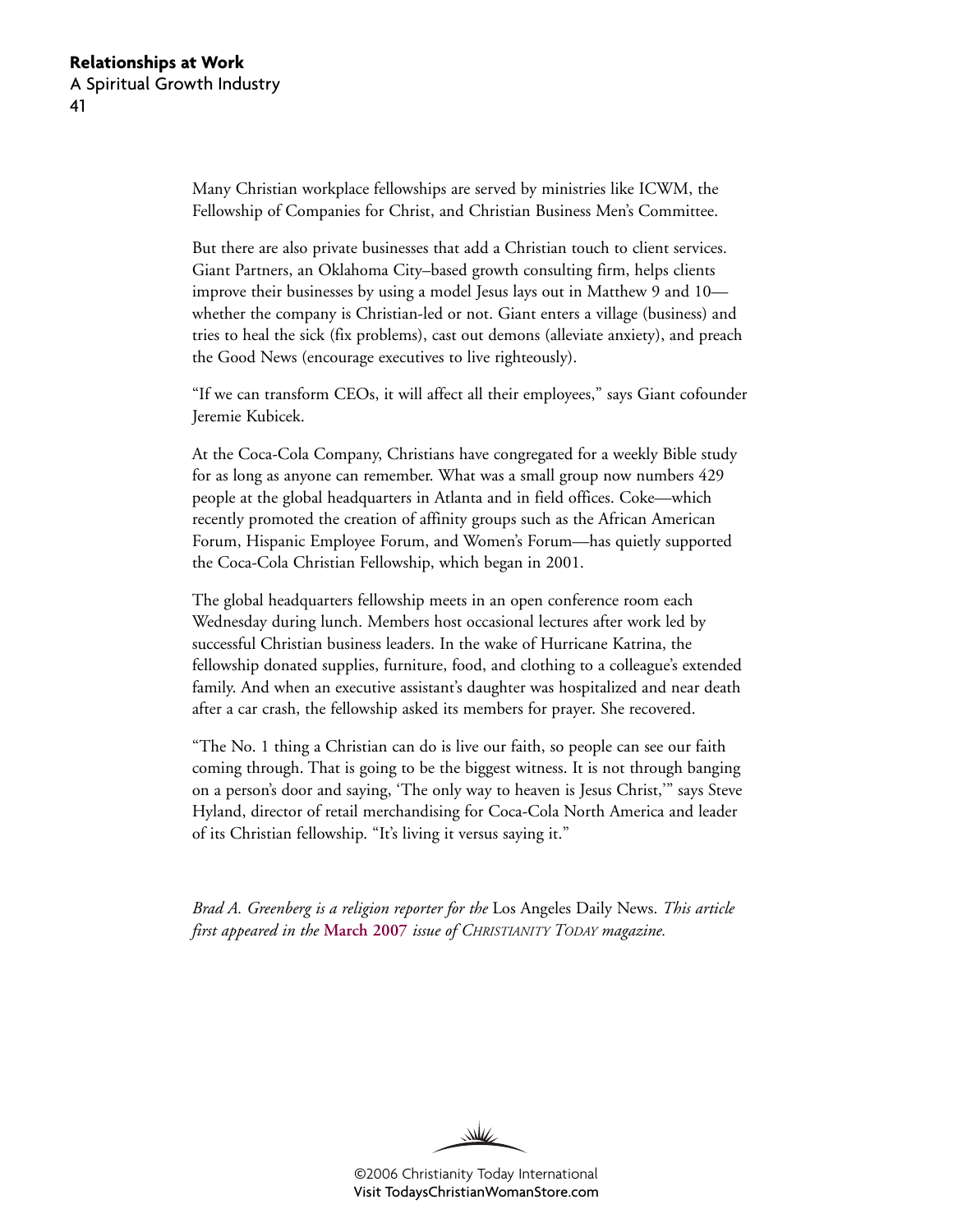Many Christian workplace fellowships are served by ministries like ICWM, the Fellowship of Companies for Christ, and Christian Business Men's Committee.

But there are also private businesses that add a Christian touch to client services. Giant Partners, an Oklahoma City–based growth consulting firm, helps clients improve their businesses by using a model Jesus lays out in Matthew 9 and 10 whether the company is Christian-led or not. Giant enters a village (business) and tries to heal the sick (fix problems), cast out demons (alleviate anxiety), and preach the Good News (encourage executives to live righteously).

"If we can transform CEOs, it will affect all their employees," says Giant cofounder Jeremie Kubicek.

At the Coca-Cola Company, Christians have congregated for a weekly Bible study for as long as anyone can remember. What was a small group now numbers 429 people at the global headquarters in Atlanta and in field offices. Coke—which recently promoted the creation of affinity groups such as the African American Forum, Hispanic Employee Forum, and Women's Forum—has quietly supported the Coca-Cola Christian Fellowship, which began in 2001.

The global headquarters fellowship meets in an open conference room each Wednesday during lunch. Members host occasional lectures after work led by successful Christian business leaders. In the wake of Hurricane Katrina, the fellowship donated supplies, furniture, food, and clothing to a colleague's extended family. And when an executive assistant's daughter was hospitalized and near death after a car crash, the fellowship asked its members for prayer. She recovered.

"The No. 1 thing a Christian can do is live our faith, so people can see our faith coming through. That is going to be the biggest witness. It is not through banging on a person's door and saying, 'The only way to heaven is Jesus Christ,'" says Steve Hyland, director of retail merchandising for Coca-Cola North America and leader of its Christian fellowship. "It's living it versus saying it."

*Brad A. Greenberg is a religion reporter for the* Los Angeles Daily News. *This article first appeared in the* **[March 2007](http://www.christianitytoday.com/ct/2007/march/33.62.html)** *issue of CHRISTIANITY TODAY magazine.*

W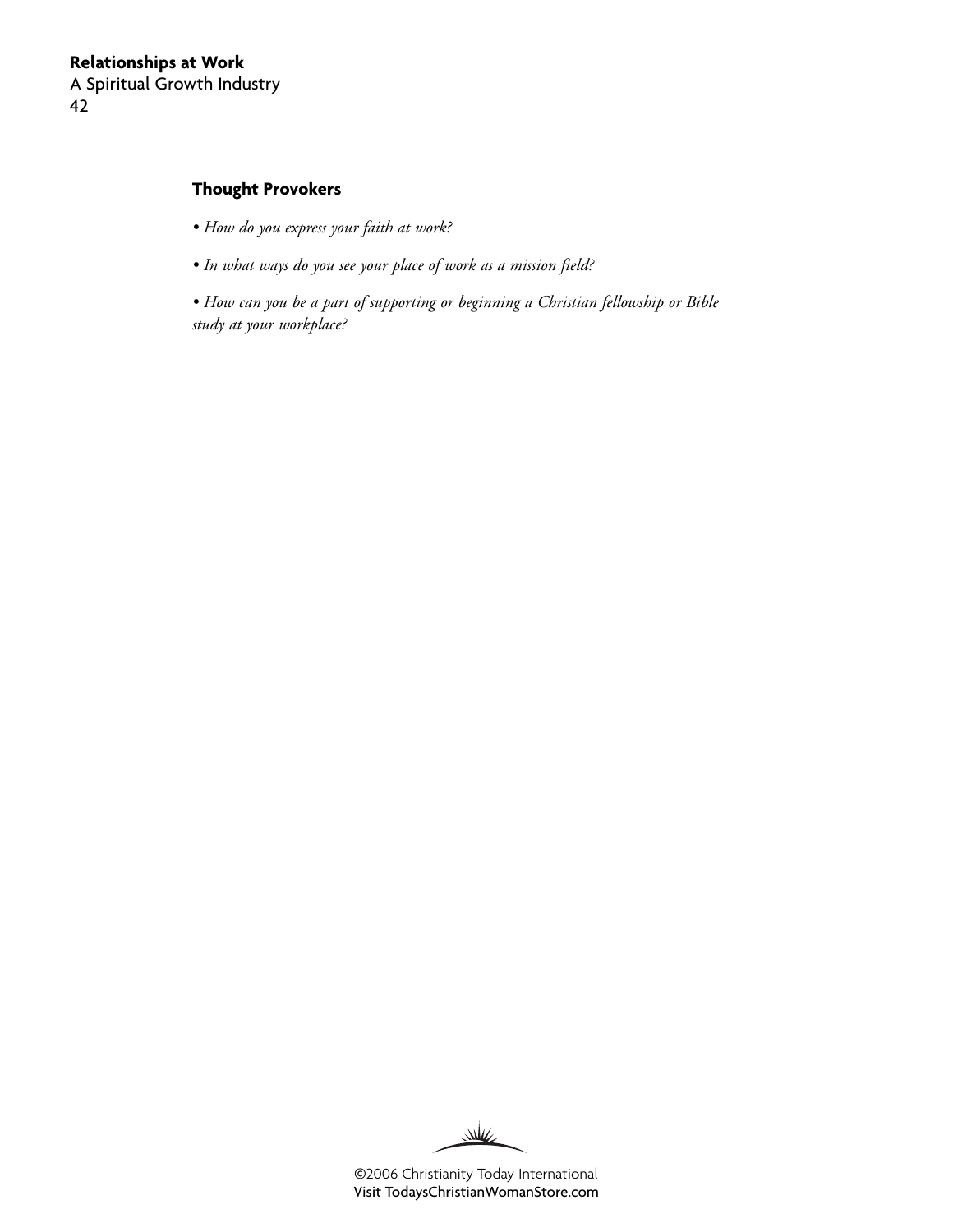#### **Thought Provokers**

- *How do you express your faith at work?*
- *In what ways do you see your place of work as a mission field?*

*• How can you be a part of supporting or beginning a Christian fellowship or Bible study at your workplace?*

W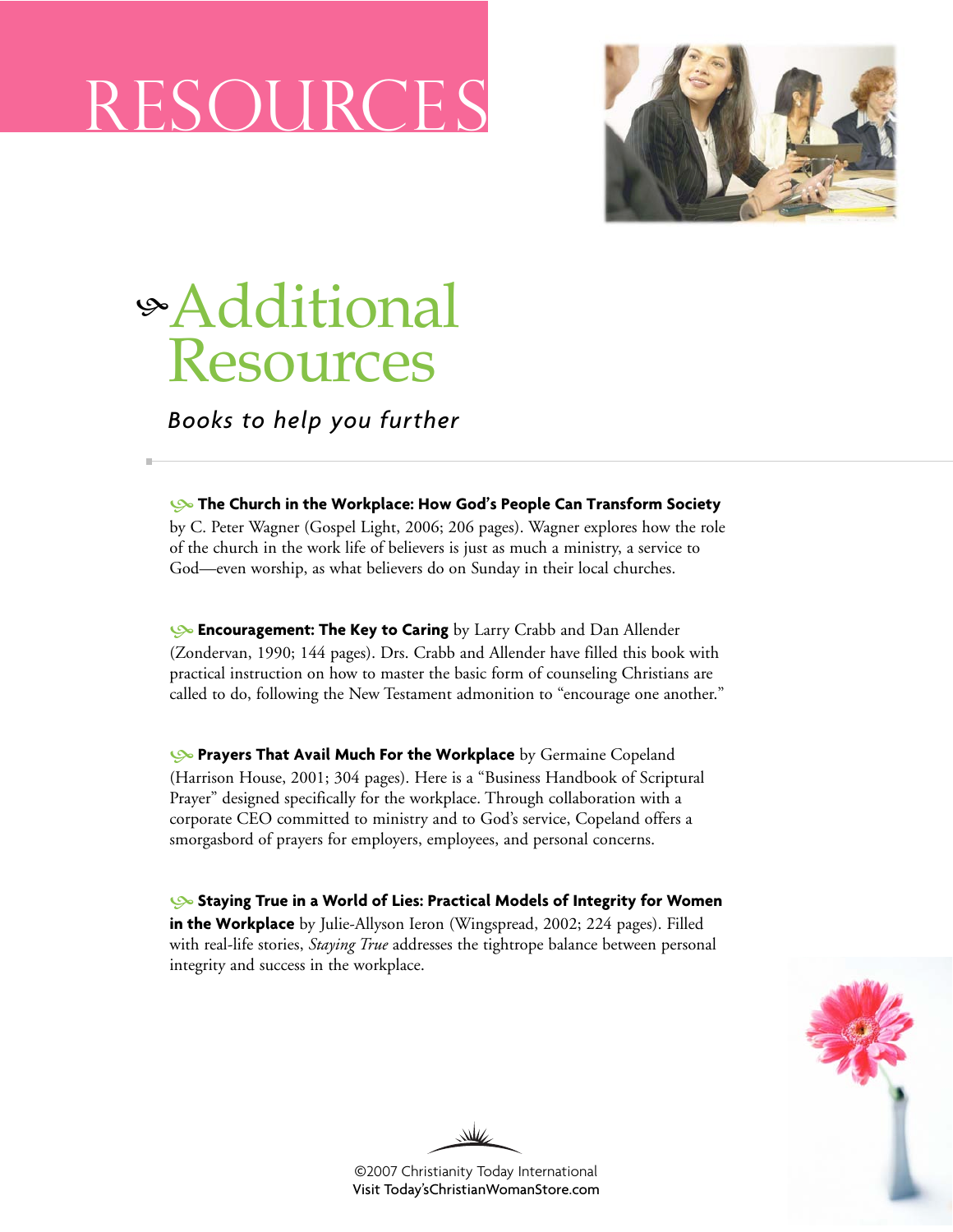# RESOURCE S



### <sup>h</sup>Additional Resources

*Books to help you further*

h**[The Church in the Workplace: How God's People Can Transform Society](http://www.christianbook.com/Christian/Books/product?item_no=739092&p=1026979)**

by C. Peter Wagner (Gospel Light, 2006; 206 pages). Wagner explores how the role of the church in the work life of believers is just as much a ministry, a service to God—even worship, as what believers do on Sunday in their local churches.

h**[Encouragement: The Key to Caring](http://www.christianbook.com/Christian/Books/product?item_no=10182P&p=1026979)** by Larry Crabb and Dan Allender (Zondervan, 1990; 144 pages). Drs. Crabb and Allender have filled this book with practical instruction on how to master the basic form of counseling Christians are called to do, following the New Testament admonition to "encourage one another."

**[Prayers That Avail Much For the Workplace](http://www.christianbook.com/Christian/Books/product?item_no=43491&p=1026979)** by Germaine Copeland (Harrison House, 2001; 304 pages). Here is a "Business Handbook of Scriptural Prayer" designed specifically for the workplace. Through collaboration with a corporate CEO committed to ministry and to God's service, Copeland offers a smorgasbord of prayers for employers, employees, and personal concerns.

h**[Staying True in a World of Lies: Practical Models of Integrity for Women](http://www.christianbook.com/Christian/Books/product?item_no=52058&p=1026979) [in the Workplace](http://www.christianbook.com/Christian/Books/product?item_no=52058&p=1026979)** by Julie-Allyson Ieron (Wingspread, 2002; 224 pages). Filled with real-life stories, *Staying True* addresses the tightrope balance between personal integrity and success in the workplace.